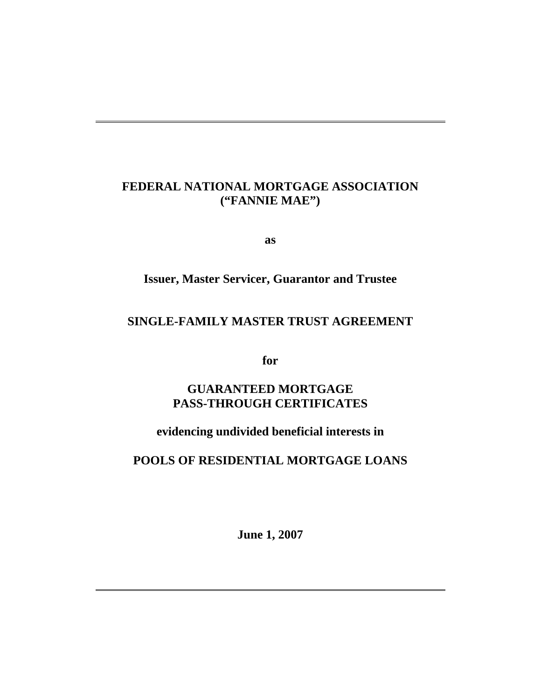# **FEDERAL NATIONAL MORTGAGE ASSOCIATION ("FANNIE MAE")**

 $\overline{a}$ 

**as** 

# **Issuer, Master Servicer, Guarantor and Trustee**

# **SINGLE-FAMILY MASTER TRUST AGREEMENT**

**for** 

# **GUARANTEED MORTGAGE PASS-THROUGH CERTIFICATES**

# **evidencing undivided beneficial interests in**

## **POOLS OF RESIDENTIAL MORTGAGE LOANS**

**June 1, 2007**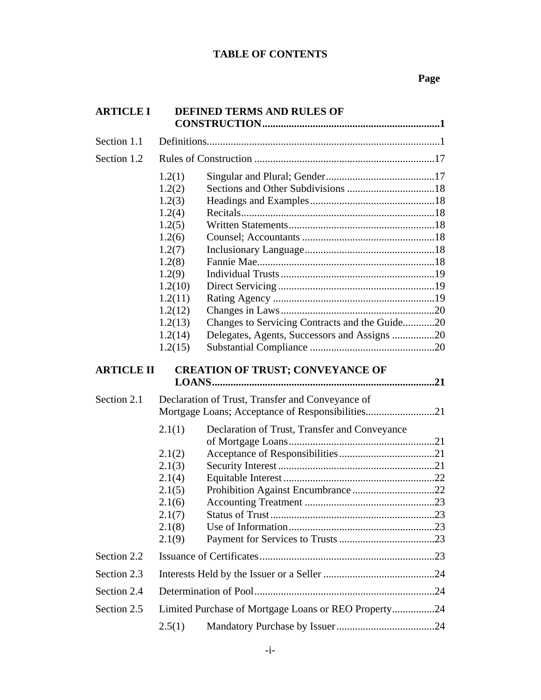## **Page**

| <b>ARTICLE I</b>  |                                                                                                                                                          | <b>DEFINED TERMS AND RULES OF</b>                                                                    |  |
|-------------------|----------------------------------------------------------------------------------------------------------------------------------------------------------|------------------------------------------------------------------------------------------------------|--|
| Section 1.1       |                                                                                                                                                          |                                                                                                      |  |
| Section 1.2       |                                                                                                                                                          |                                                                                                      |  |
|                   | 1.2(1)<br>1.2(2)<br>1.2(3)<br>1.2(4)<br>1.2(5)<br>1.2(6)<br>1.2(7)<br>1.2(8)<br>1.2(9)<br>1.2(10)<br>1.2(11)<br>1.2(12)<br>1.2(13)<br>1.2(14)<br>1.2(15) | Changes to Servicing Contracts and the Guide20<br>Delegates, Agents, Successors and Assigns 20       |  |
| <b>ARTICLE II</b> |                                                                                                                                                          | <b>CREATION OF TRUST; CONVEYANCE OF</b>                                                              |  |
| Section 2.1       |                                                                                                                                                          | Declaration of Trust, Transfer and Conveyance of<br>Mortgage Loans; Acceptance of Responsibilities21 |  |
|                   | 2.1(1)<br>2.1(2)<br>2.1(3)<br>2.1(4)<br>2.1(5)<br>2.1(6)<br>2.1(7)<br>2.1(8)<br>2.1(9)                                                                   | Declaration of Trust, Transfer and Conveyance                                                        |  |
| Section 2.2       |                                                                                                                                                          |                                                                                                      |  |
| Section 2.3       |                                                                                                                                                          |                                                                                                      |  |
| Section 2.4       |                                                                                                                                                          |                                                                                                      |  |
| Section 2.5       |                                                                                                                                                          | Limited Purchase of Mortgage Loans or REO Property24                                                 |  |
|                   | 2.5(1)                                                                                                                                                   |                                                                                                      |  |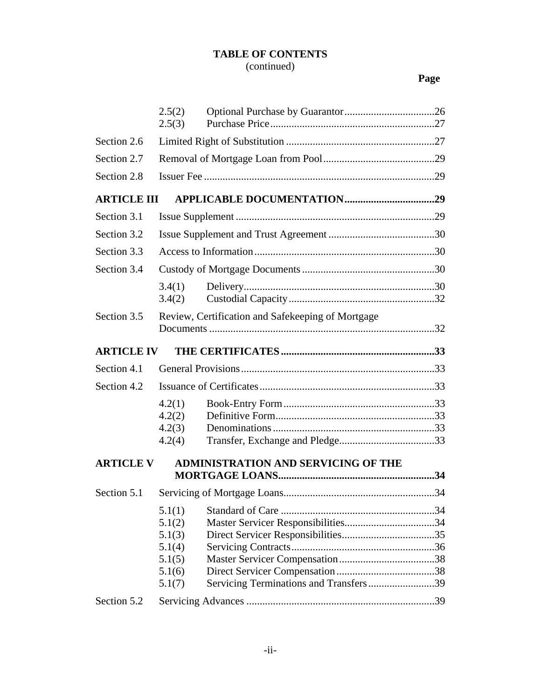## **Page**

|                    | 2.5(2)<br>2.5(3)                                                   |                                                   |  |
|--------------------|--------------------------------------------------------------------|---------------------------------------------------|--|
| Section 2.6        |                                                                    |                                                   |  |
| Section 2.7        |                                                                    |                                                   |  |
| Section 2.8        |                                                                    |                                                   |  |
| <b>ARTICLE III</b> |                                                                    |                                                   |  |
| Section 3.1        |                                                                    |                                                   |  |
| Section 3.2        |                                                                    |                                                   |  |
| Section 3.3        |                                                                    |                                                   |  |
| Section 3.4        |                                                                    |                                                   |  |
|                    | 3.4(1)<br>3.4(2)                                                   |                                                   |  |
| Section 3.5        |                                                                    | Review, Certification and Safekeeping of Mortgage |  |
| <b>ARTICLE IV</b>  |                                                                    |                                                   |  |
|                    |                                                                    |                                                   |  |
| Section 4.1        |                                                                    |                                                   |  |
| Section 4.2        |                                                                    |                                                   |  |
|                    | 4.2(1)<br>4.2(2)<br>4.2(3)<br>4.2(4)                               |                                                   |  |
| <b>ARTICLE V</b>   |                                                                    | <b>ADMINISTRATION AND SERVICING OF THE</b>        |  |
| Section 5.1        |                                                                    |                                                   |  |
| Section 5.2        | 5.1(1)<br>5.1(2)<br>5.1(3)<br>5.1(4)<br>5.1(5)<br>5.1(6)<br>5.1(7) | Servicing Terminations and Transfers39            |  |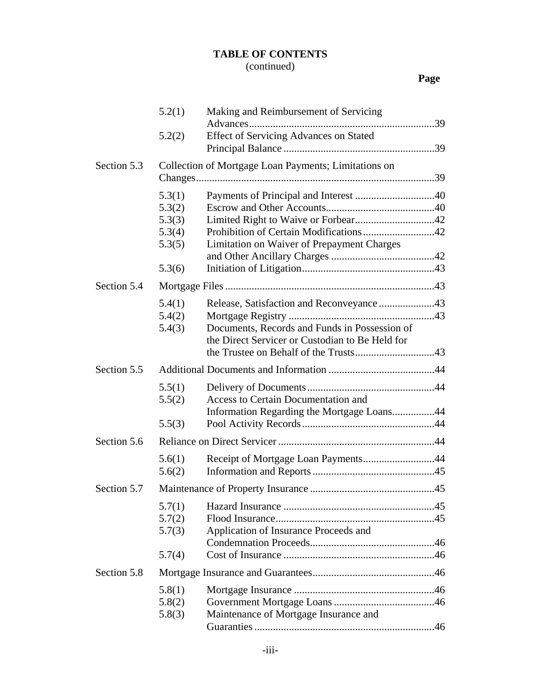# (continued)

|             | 5.2(1)                                                   | Making and Reimbursement of Servicing                                                                                                         |
|-------------|----------------------------------------------------------|-----------------------------------------------------------------------------------------------------------------------------------------------|
|             | 5.2(2)                                                   | <b>Effect of Servicing Advances on Stated</b>                                                                                                 |
|             |                                                          |                                                                                                                                               |
| Section 5.3 |                                                          | Collection of Mortgage Loan Payments; Limitations on                                                                                          |
|             | 5.3(1)<br>5.3(2)<br>5.3(3)<br>5.3(4)<br>5.3(5)<br>5.3(6) | Limitation on Waiver of Prepayment Charges                                                                                                    |
| Section 5.4 |                                                          |                                                                                                                                               |
|             | 5.4(1)<br>5.4(2)<br>5.4(3)                               | Release, Satisfaction and Reconveyance 43<br>Documents, Records and Funds in Possession of<br>the Direct Servicer or Custodian to Be Held for |
| Section 5.5 |                                                          |                                                                                                                                               |
|             | 5.5(1)<br>5.5(2)                                         | Access to Certain Documentation and<br>Information Regarding the Mortgage Loans44                                                             |
|             | 5.5(3)                                                   |                                                                                                                                               |
| Section 5.6 |                                                          |                                                                                                                                               |
|             | 5.6(1)<br>5.6(2)                                         | Receipt of Mortgage Loan Payments44                                                                                                           |
| Section 5.7 |                                                          |                                                                                                                                               |
|             | 5.7(1)<br>5.7(2)<br>5.7(3)                               | Application of Insurance Proceeds and                                                                                                         |
|             | 5.7(4)                                                   |                                                                                                                                               |
| Section 5.8 |                                                          |                                                                                                                                               |
|             | 5.8(1)<br>5.8(2)<br>5.8(3)                               | Maintenance of Mortgage Insurance and                                                                                                         |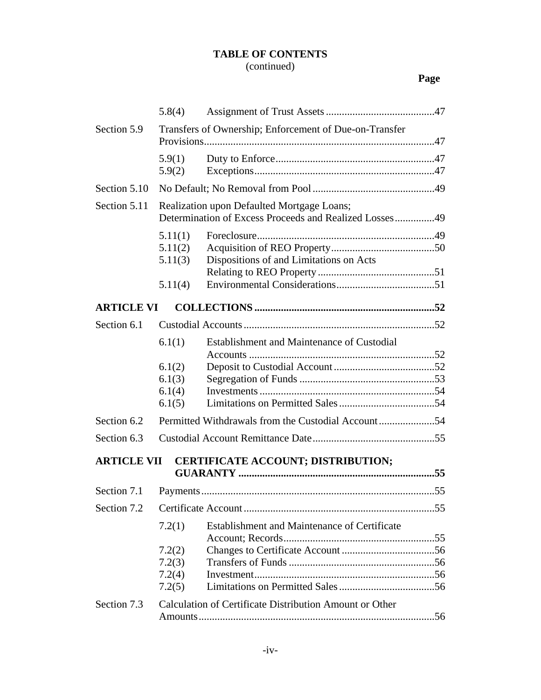# (continued)

|                    | 5.8(4)                                                                                               |                                                         |
|--------------------|------------------------------------------------------------------------------------------------------|---------------------------------------------------------|
| Section 5.9        | Transfers of Ownership; Enforcement of Due-on-Transfer                                               |                                                         |
|                    | 5.9(1)<br>5.9(2)                                                                                     |                                                         |
| Section 5.10       |                                                                                                      |                                                         |
| Section 5.11       | Realization upon Defaulted Mortgage Loans;<br>Determination of Excess Proceeds and Realized Losses49 |                                                         |
|                    | 5.11(1)<br>5.11(2)<br>5.11(3)                                                                        | Dispositions of and Limitations on Acts                 |
|                    | 5.11(4)                                                                                              |                                                         |
| <b>ARTICLE VI</b>  |                                                                                                      |                                                         |
| Section 6.1        |                                                                                                      |                                                         |
|                    | 6.1(1)                                                                                               | Establishment and Maintenance of Custodial              |
|                    | 6.1(2)<br>6.1(3)                                                                                     |                                                         |
|                    | 6.1(4)<br>6.1(5)                                                                                     |                                                         |
| Section 6.2        |                                                                                                      |                                                         |
| Section 6.3        |                                                                                                      |                                                         |
| <b>ARTICLE VII</b> |                                                                                                      | CERTIFICATE ACCOUNT; DISTRIBUTION;                      |
| Section 7.1        |                                                                                                      |                                                         |
| Section 7.2        |                                                                                                      |                                                         |
|                    | 7.2(1)                                                                                               | Establishment and Maintenance of Certificate            |
|                    | 7.2(2)<br>7.2(3)<br>7.2(4)<br>7.2(5)                                                                 |                                                         |
| Section 7.3        |                                                                                                      | Calculation of Certificate Distribution Amount or Other |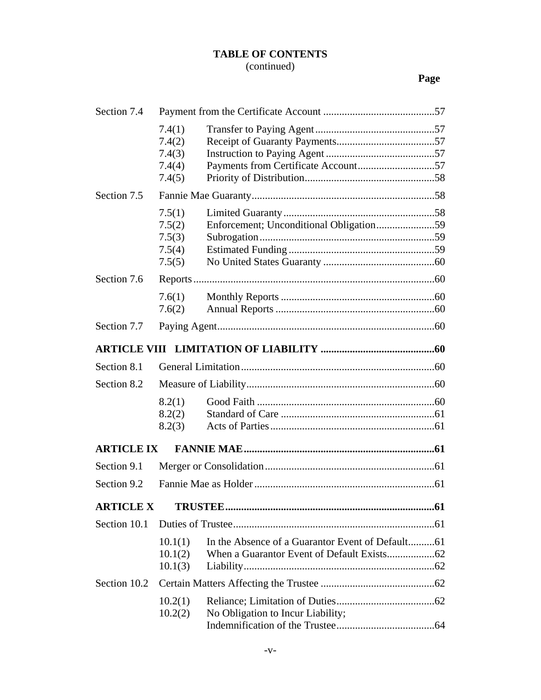# (continued)

| Section 7.4       |                                                |                                         |
|-------------------|------------------------------------------------|-----------------------------------------|
|                   | 7.4(1)<br>7.4(2)<br>7.4(3)<br>7.4(4)<br>7.4(5) |                                         |
| Section 7.5       |                                                |                                         |
|                   | 7.5(1)<br>7.5(2)<br>7.5(3)<br>7.5(4)<br>7.5(5) | Enforcement; Unconditional Obligation59 |
| Section 7.6       |                                                |                                         |
|                   | 7.6(1)<br>7.6(2)                               |                                         |
| Section 7.7       |                                                |                                         |
|                   |                                                |                                         |
| Section 8.1       |                                                |                                         |
| Section 8.2       |                                                |                                         |
|                   | 8.2(1)<br>8.2(2)<br>8.2(3)                     |                                         |
| <b>ARTICLE IX</b> |                                                |                                         |
| Section 9.1       |                                                |                                         |
| Section 9.2       |                                                |                                         |
| <b>ARTICLE X</b>  |                                                |                                         |
| Section 10.1      |                                                |                                         |
|                   | 10.1(1)<br>10.1(2)<br>10.1(3)                  |                                         |
| Section 10.2      |                                                |                                         |
|                   | 10.2(1)<br>10.2(2)                             | No Obligation to Incur Liability;       |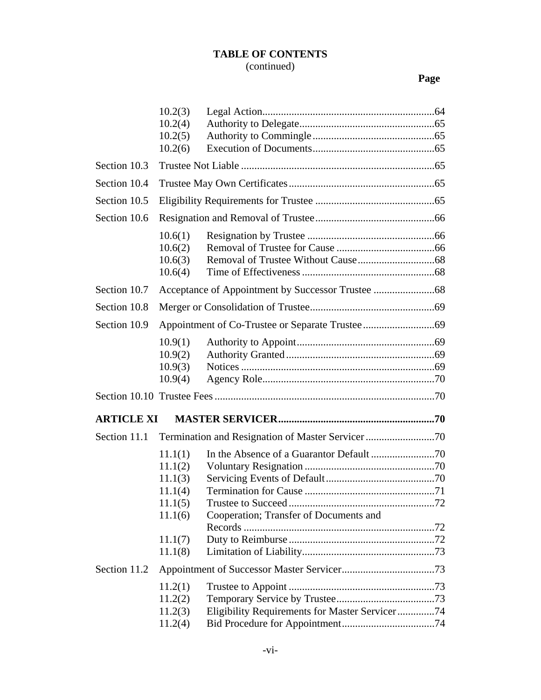|                   | 10.2(3) |                                                |  |
|-------------------|---------|------------------------------------------------|--|
|                   | 10.2(4) |                                                |  |
|                   | 10.2(5) |                                                |  |
|                   | 10.2(6) |                                                |  |
| Section 10.3      |         |                                                |  |
| Section 10.4      |         |                                                |  |
| Section 10.5      |         |                                                |  |
| Section 10.6      |         |                                                |  |
|                   | 10.6(1) |                                                |  |
|                   | 10.6(2) |                                                |  |
|                   | 10.6(3) |                                                |  |
|                   | 10.6(4) |                                                |  |
| Section 10.7      |         |                                                |  |
| Section 10.8      |         |                                                |  |
| Section 10.9      |         |                                                |  |
|                   | 10.9(1) |                                                |  |
|                   | 10.9(2) |                                                |  |
|                   | 10.9(3) |                                                |  |
|                   | 10.9(4) |                                                |  |
|                   |         |                                                |  |
| <b>ARTICLE XI</b> |         |                                                |  |
| Section 11.1      |         |                                                |  |
|                   | 11.1(1) |                                                |  |
|                   | 11.1(2) |                                                |  |
|                   | 11.1(3) |                                                |  |
|                   | 11.1(4) |                                                |  |
|                   | 11.1(5) |                                                |  |
|                   | 11.1(6) | Cooperation; Transfer of Documents and         |  |
|                   |         |                                                |  |
|                   | 11.1(7) |                                                |  |
|                   | 11.1(8) |                                                |  |
| Section 11.2      |         |                                                |  |
|                   | 11.2(1) |                                                |  |
|                   | 11.2(2) |                                                |  |
|                   | 11.2(3) | Eligibility Requirements for Master Servicer74 |  |
|                   | 11.2(4) |                                                |  |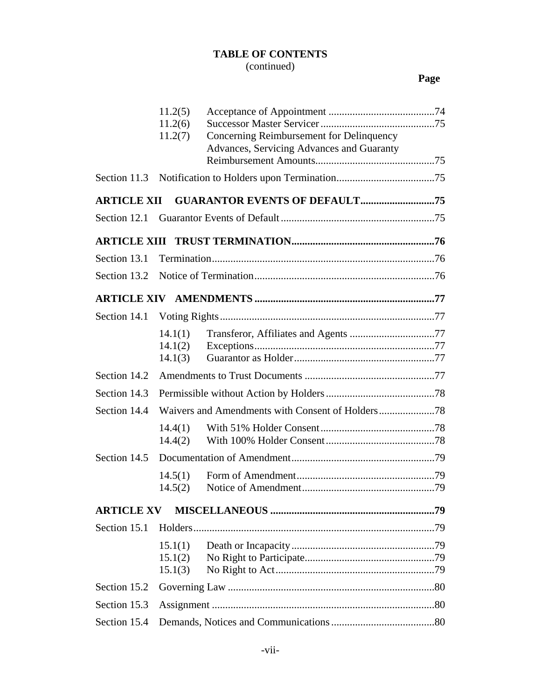|                    | 11.2(5)<br>11.2(6)<br>11.2(7) | Concerning Reimbursement for Delinquency<br>Advances, Servicing Advances and Guaranty |  |
|--------------------|-------------------------------|---------------------------------------------------------------------------------------|--|
|                    |                               |                                                                                       |  |
| Section 11.3       |                               |                                                                                       |  |
| <b>ARTICLE XII</b> |                               |                                                                                       |  |
| Section 12.1       |                               |                                                                                       |  |
|                    |                               |                                                                                       |  |
| Section 13.1       |                               |                                                                                       |  |
| Section 13.2       |                               |                                                                                       |  |
|                    |                               |                                                                                       |  |
| Section 14.1       |                               |                                                                                       |  |
|                    | 14.1(1)<br>14.1(2)<br>14.1(3) |                                                                                       |  |
| Section 14.2       |                               |                                                                                       |  |
| Section 14.3       |                               |                                                                                       |  |
| Section 14.4       |                               |                                                                                       |  |
|                    | 14.4(1)<br>14.4(2)            |                                                                                       |  |
| Section 14.5       |                               |                                                                                       |  |
|                    | 14.5(1)<br>14.5(2)            |                                                                                       |  |
| <b>ARTICLE XV</b>  |                               |                                                                                       |  |
| Section 15.1       |                               |                                                                                       |  |
|                    | 15.1(1)<br>15.1(2)<br>15.1(3) |                                                                                       |  |
| Section 15.2       |                               |                                                                                       |  |
| Section 15.3       |                               |                                                                                       |  |
| Section 15.4       |                               |                                                                                       |  |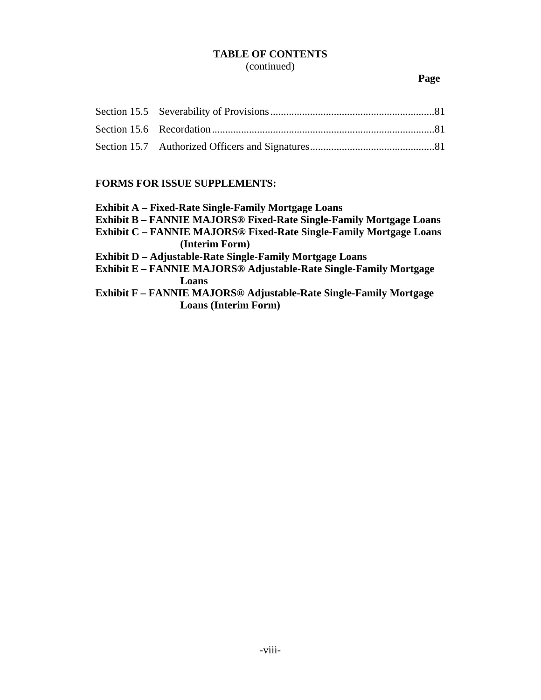## **Page**

## **FORMS FOR ISSUE SUPPLEMENTS:**

| <b>Exhibit A</b> – Fixed-Rate Single-Family Mortgage Loans                    |
|-------------------------------------------------------------------------------|
|                                                                               |
| <b>Exhibit B - FANNIE MAJORS® Fixed-Rate Single-Family Mortgage Loans</b>     |
| <b>Exhibit C - FANNIE MAJORS® Fixed-Rate Single-Family Mortgage Loans</b>     |
| (Interim Form)                                                                |
| <b>Exhibit D</b> – Adjustable-Rate Single-Family Mortgage Loans               |
| Exhibit E - FANNIE MAJORS® Adjustable-Rate Single-Family Mortgage             |
| Loans                                                                         |
| Exhibit F – FANNIE MAJORS <sup>®</sup> Adjustable-Rate Single-Family Mortgage |
| <b>Loans (Interim Form)</b>                                                   |
|                                                                               |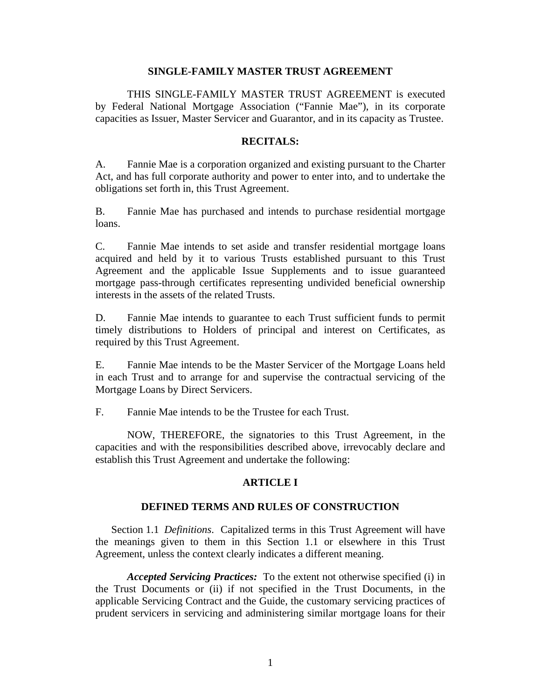### **SINGLE-FAMILY MASTER TRUST AGREEMENT**

THIS SINGLE-FAMILY MASTER TRUST AGREEMENT is executed by Federal National Mortgage Association ("Fannie Mae"), in its corporate capacities as Issuer, Master Servicer and Guarantor, and in its capacity as Trustee.

### **RECITALS:**

A. Fannie Mae is a corporation organized and existing pursuant to the Charter Act, and has full corporate authority and power to enter into, and to undertake the obligations set forth in, this Trust Agreement.

B. Fannie Mae has purchased and intends to purchase residential mortgage loans.

C. Fannie Mae intends to set aside and transfer residential mortgage loans acquired and held by it to various Trusts established pursuant to this Trust Agreement and the applicable Issue Supplements and to issue guaranteed mortgage pass-through certificates representing undivided beneficial ownership interests in the assets of the related Trusts.

D. Fannie Mae intends to guarantee to each Trust sufficient funds to permit timely distributions to Holders of principal and interest on Certificates, as required by this Trust Agreement.

E. Fannie Mae intends to be the Master Servicer of the Mortgage Loans held in each Trust and to arrange for and supervise the contractual servicing of the Mortgage Loans by Direct Servicers.

F. Fannie Mae intends to be the Trustee for each Trust.

NOW, THEREFORE, the signatories to this Trust Agreement, in the capacities and with the responsibilities described above, irrevocably declare and establish this Trust Agreement and undertake the following:

### **ARTICLE I**

#### **DEFINED TERMS AND RULES OF CONSTRUCTION**

Section 1.1 *Definitions*. Capitalized terms in this Trust Agreement will have the meanings given to them in this Section 1.1 or elsewhere in this Trust Agreement, unless the context clearly indicates a different meaning.

*Accepted Servicing Practices:* To the extent not otherwise specified (i) in the Trust Documents or (ii) if not specified in the Trust Documents, in the applicable Servicing Contract and the Guide, the customary servicing practices of prudent servicers in servicing and administering similar mortgage loans for their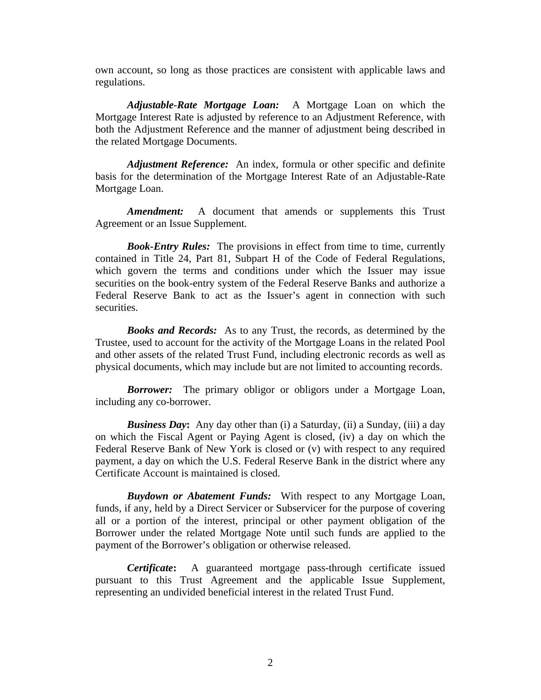own account, so long as those practices are consistent with applicable laws and regulations.

*Adjustable-Rate Mortgage Loan:* A Mortgage Loan on which the Mortgage Interest Rate is adjusted by reference to an Adjustment Reference, with both the Adjustment Reference and the manner of adjustment being described in the related Mortgage Documents.

*Adjustment Reference:* An index, formula or other specific and definite basis for the determination of the Mortgage Interest Rate of an Adjustable-Rate Mortgage Loan.

*Amendment:* A document that amends or supplements this Trust Agreement or an Issue Supplement.

*Book-Entry Rules:* The provisions in effect from time to time, currently contained in Title 24, Part 81, Subpart H of the Code of Federal Regulations, which govern the terms and conditions under which the Issuer may issue securities on the book-entry system of the Federal Reserve Banks and authorize a Federal Reserve Bank to act as the Issuer's agent in connection with such securities.

*Books and Records:* As to any Trust, the records, as determined by the Trustee, used to account for the activity of the Mortgage Loans in the related Pool and other assets of the related Trust Fund, including electronic records as well as physical documents, which may include but are not limited to accounting records.

*Borrower:* The primary obligor or obligors under a Mortgage Loan, including any co-borrower.

*Business Day***:** Any day other than (i) a Saturday, (ii) a Sunday, (iii) a day on which the Fiscal Agent or Paying Agent is closed, (iv) a day on which the Federal Reserve Bank of New York is closed or (v) with respect to any required payment, a day on which the U.S. Federal Reserve Bank in the district where any Certificate Account is maintained is closed.

*Buydown or Abatement Funds:* With respect to any Mortgage Loan, funds, if any, held by a Direct Servicer or Subservicer for the purpose of covering all or a portion of the interest, principal or other payment obligation of the Borrower under the related Mortgage Note until such funds are applied to the payment of the Borrower's obligation or otherwise released.

*Certificate***:** A guaranteed mortgage pass-through certificate issued pursuant to this Trust Agreement and the applicable Issue Supplement, representing an undivided beneficial interest in the related Trust Fund.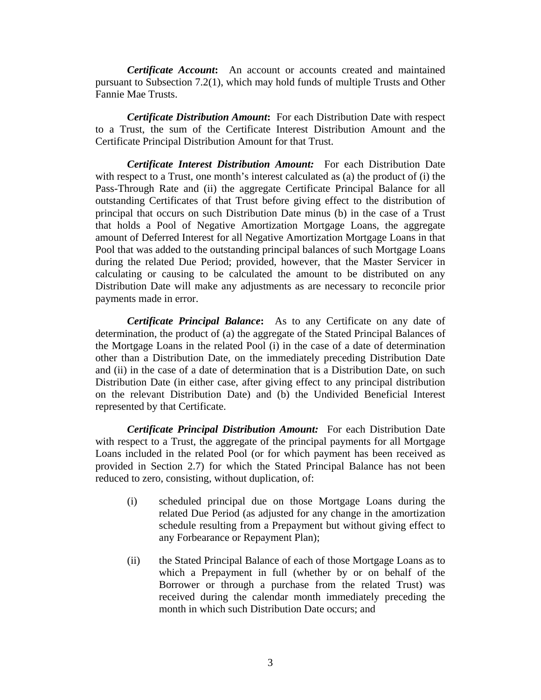*Certificate Account***:** An account or accounts created and maintained pursuant to Subsection 7.2(1), which may hold funds of multiple Trusts and Other Fannie Mae Trusts.

*Certificate Distribution Amount***:** For each Distribution Date with respect to a Trust, the sum of the Certificate Interest Distribution Amount and the Certificate Principal Distribution Amount for that Trust.

*Certificate Interest Distribution Amount:* For each Distribution Date with respect to a Trust, one month's interest calculated as (a) the product of (i) the Pass-Through Rate and (ii) the aggregate Certificate Principal Balance for all outstanding Certificates of that Trust before giving effect to the distribution of principal that occurs on such Distribution Date minus (b) in the case of a Trust that holds a Pool of Negative Amortization Mortgage Loans, the aggregate amount of Deferred Interest for all Negative Amortization Mortgage Loans in that Pool that was added to the outstanding principal balances of such Mortgage Loans during the related Due Period; provided, however, that the Master Servicer in calculating or causing to be calculated the amount to be distributed on any Distribution Date will make any adjustments as are necessary to reconcile prior payments made in error.

*Certificate Principal Balance***:** As to any Certificate on any date of determination, the product of (a) the aggregate of the Stated Principal Balances of the Mortgage Loans in the related Pool (i) in the case of a date of determination other than a Distribution Date, on the immediately preceding Distribution Date and (ii) in the case of a date of determination that is a Distribution Date, on such Distribution Date (in either case, after giving effect to any principal distribution on the relevant Distribution Date) and (b) the Undivided Beneficial Interest represented by that Certificate.

*Certificate Principal Distribution Amount:* For each Distribution Date with respect to a Trust, the aggregate of the principal payments for all Mortgage Loans included in the related Pool (or for which payment has been received as provided in Section 2.7) for which the Stated Principal Balance has not been reduced to zero, consisting, without duplication, of:

- (i) scheduled principal due on those Mortgage Loans during the related Due Period (as adjusted for any change in the amortization schedule resulting from a Prepayment but without giving effect to any Forbearance or Repayment Plan);
- (ii) the Stated Principal Balance of each of those Mortgage Loans as to which a Prepayment in full (whether by or on behalf of the Borrower or through a purchase from the related Trust) was received during the calendar month immediately preceding the month in which such Distribution Date occurs; and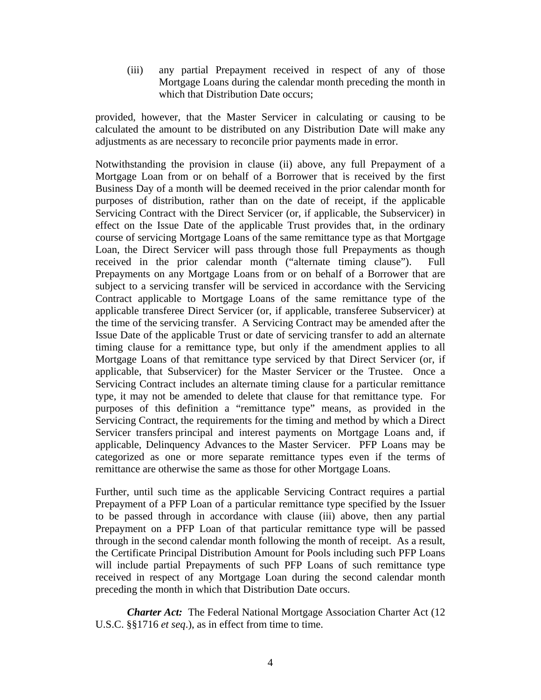(iii) any partial Prepayment received in respect of any of those Mortgage Loans during the calendar month preceding the month in which that Distribution Date occurs;

provided, however, that the Master Servicer in calculating or causing to be calculated the amount to be distributed on any Distribution Date will make any adjustments as are necessary to reconcile prior payments made in error.

Notwithstanding the provision in clause (ii) above, any full Prepayment of a Mortgage Loan from or on behalf of a Borrower that is received by the first Business Day of a month will be deemed received in the prior calendar month for purposes of distribution, rather than on the date of receipt, if the applicable Servicing Contract with the Direct Servicer (or, if applicable, the Subservicer) in effect on the Issue Date of the applicable Trust provides that, in the ordinary course of servicing Mortgage Loans of the same remittance type as that Mortgage Loan, the Direct Servicer will pass through those full Prepayments as though received in the prior calendar month ("alternate timing clause"). Full Prepayments on any Mortgage Loans from or on behalf of a Borrower that are subject to a servicing transfer will be serviced in accordance with the Servicing Contract applicable to Mortgage Loans of the same remittance type of the applicable transferee Direct Servicer (or, if applicable, transferee Subservicer) at the time of the servicing transfer. A Servicing Contract may be amended after the Issue Date of the applicable Trust or date of servicing transfer to add an alternate timing clause for a remittance type, but only if the amendment applies to all Mortgage Loans of that remittance type serviced by that Direct Servicer (or, if applicable, that Subservicer) for the Master Servicer or the Trustee. Once a Servicing Contract includes an alternate timing clause for a particular remittance type, it may not be amended to delete that clause for that remittance type. For purposes of this definition a "remittance type" means, as provided in the Servicing Contract, the requirements for the timing and method by which a Direct Servicer transfers principal and interest payments on Mortgage Loans and, if applicable, Delinquency Advances to the Master Servicer. PFP Loans may be categorized as one or more separate remittance types even if the terms of remittance are otherwise the same as those for other Mortgage Loans.

Further, until such time as the applicable Servicing Contract requires a partial Prepayment of a PFP Loan of a particular remittance type specified by the Issuer to be passed through in accordance with clause (iii) above, then any partial Prepayment on a PFP Loan of that particular remittance type will be passed through in the second calendar month following the month of receipt. As a result, the Certificate Principal Distribution Amount for Pools including such PFP Loans will include partial Prepayments of such PFP Loans of such remittance type received in respect of any Mortgage Loan during the second calendar month preceding the month in which that Distribution Date occurs.

*Charter Act:* The Federal National Mortgage Association Charter Act (12) U.S.C. §§1716 *et seq*.), as in effect from time to time.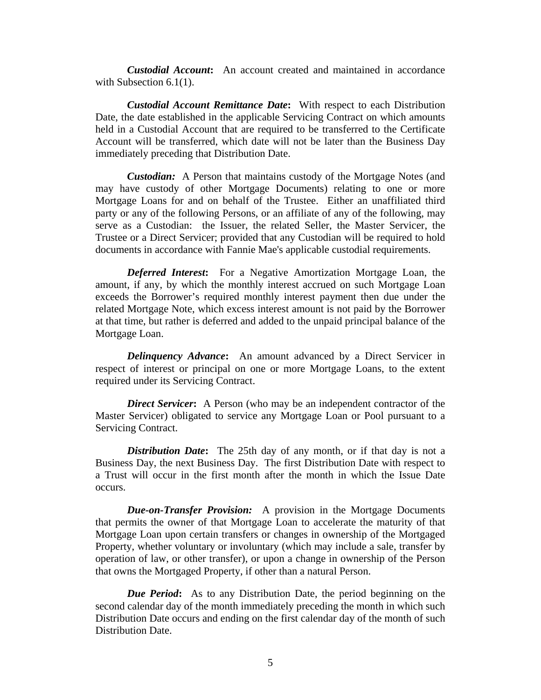*Custodial Account***:** An account created and maintained in accordance with Subsection 6.1(1).

*Custodial Account Remittance Date***:** With respect to each Distribution Date, the date established in the applicable Servicing Contract on which amounts held in a Custodial Account that are required to be transferred to the Certificate Account will be transferred, which date will not be later than the Business Day immediately preceding that Distribution Date.

*Custodian:* A Person that maintains custody of the Mortgage Notes (and may have custody of other Mortgage Documents) relating to one or more Mortgage Loans for and on behalf of the Trustee. Either an unaffiliated third party or any of the following Persons, or an affiliate of any of the following, may serve as a Custodian: the Issuer, the related Seller, the Master Servicer, the Trustee or a Direct Servicer; provided that any Custodian will be required to hold documents in accordance with Fannie Mae's applicable custodial requirements.

*Deferred Interest***:** For a Negative Amortization Mortgage Loan, the amount, if any, by which the monthly interest accrued on such Mortgage Loan exceeds the Borrower's required monthly interest payment then due under the related Mortgage Note, which excess interest amount is not paid by the Borrower at that time, but rather is deferred and added to the unpaid principal balance of the Mortgage Loan.

*Delinquency Advance*: An amount advanced by a Direct Servicer in respect of interest or principal on one or more Mortgage Loans, to the extent required under its Servicing Contract.

*Direct Servicer***:** A Person (who may be an independent contractor of the Master Servicer) obligated to service any Mortgage Loan or Pool pursuant to a Servicing Contract.

*Distribution Date***:** The 25th day of any month, or if that day is not a Business Day, the next Business Day. The first Distribution Date with respect to a Trust will occur in the first month after the month in which the Issue Date occurs.

*Due-on-Transfer Provision:* A provision in the Mortgage Documents that permits the owner of that Mortgage Loan to accelerate the maturity of that Mortgage Loan upon certain transfers or changes in ownership of the Mortgaged Property, whether voluntary or involuntary (which may include a sale, transfer by operation of law, or other transfer), or upon a change in ownership of the Person that owns the Mortgaged Property, if other than a natural Person.

*Due Period***:** As to any Distribution Date, the period beginning on the second calendar day of the month immediately preceding the month in which such Distribution Date occurs and ending on the first calendar day of the month of such Distribution Date.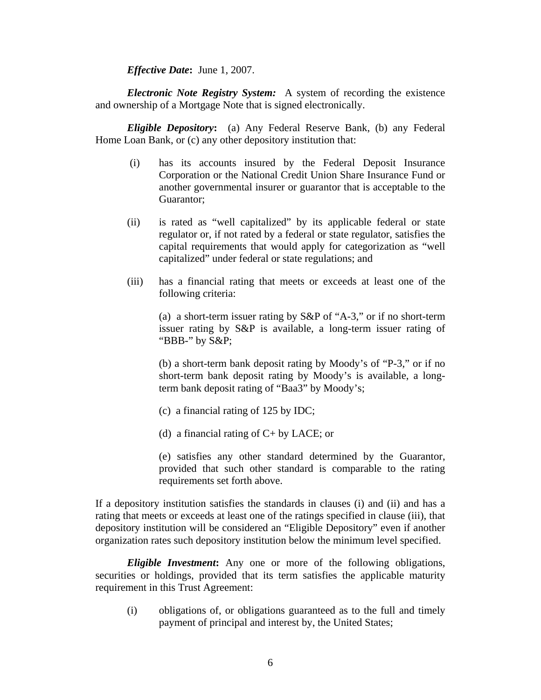*Effective Date***:** June 1, 2007.

*Electronic Note Registry System:* A system of recording the existence and ownership of a Mortgage Note that is signed electronically.

*Eligible Depository***:** (a) Any Federal Reserve Bank, (b) any Federal Home Loan Bank, or (c) any other depository institution that:

- (i) has its accounts insured by the Federal Deposit Insurance Corporation or the National Credit Union Share Insurance Fund or another governmental insurer or guarantor that is acceptable to the Guarantor;
- (ii) is rated as "well capitalized" by its applicable federal or state regulator or, if not rated by a federal or state regulator, satisfies the capital requirements that would apply for categorization as "well capitalized" under federal or state regulations; and
- (iii) has a financial rating that meets or exceeds at least one of the following criteria:

 (a) a short-term issuer rating by S&P of "A-3," or if no short-term issuer rating by S&P is available, a long-term issuer rating of "BBB-" by S&P;

 (b) a short-term bank deposit rating by Moody's of "P-3," or if no short-term bank deposit rating by Moody's is available, a longterm bank deposit rating of "Baa3" by Moody's;

- (c) a financial rating of 125 by IDC;
- (d) a financial rating of C+ by LACE; or
- (e) satisfies any other standard determined by the Guarantor, provided that such other standard is comparable to the rating requirements set forth above.

If a depository institution satisfies the standards in clauses (i) and (ii) and has a rating that meets or exceeds at least one of the ratings specified in clause (iii), that depository institution will be considered an "Eligible Depository" even if another organization rates such depository institution below the minimum level specified.

*Eligible Investment***:** Any one or more of the following obligations, securities or holdings, provided that its term satisfies the applicable maturity requirement in this Trust Agreement:

(i) obligations of, or obligations guaranteed as to the full and timely payment of principal and interest by, the United States;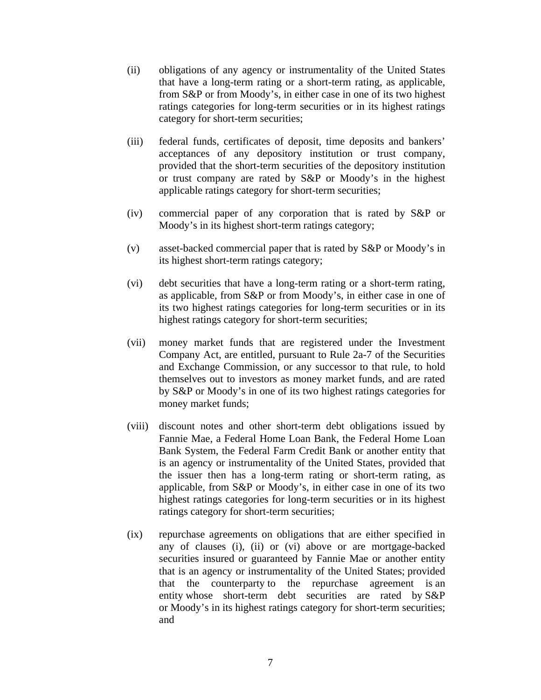- (ii) obligations of any agency or instrumentality of the United States that have a long-term rating or a short-term rating, as applicable, from S&P or from Moody's, in either case in one of its two highest ratings categories for long-term securities or in its highest ratings category for short-term securities;
- (iii) federal funds, certificates of deposit, time deposits and bankers' acceptances of any depository institution or trust company, provided that the short-term securities of the depository institution or trust company are rated by S&P or Moody's in the highest applicable ratings category for short-term securities;
- (iv) commercial paper of any corporation that is rated by S&P or Moody's in its highest short-term ratings category;
- (v) asset-backed commercial paper that is rated by S&P or Moody's in its highest short-term ratings category;
- (vi) debt securities that have a long-term rating or a short-term rating, as applicable, from S&P or from Moody's, in either case in one of its two highest ratings categories for long-term securities or in its highest ratings category for short-term securities;
- (vii) money market funds that are registered under the Investment Company Act, are entitled, pursuant to Rule 2a-7 of the Securities and Exchange Commission, or any successor to that rule, to hold themselves out to investors as money market funds, and are rated by S&P or Moody's in one of its two highest ratings categories for money market funds;
- (viii) discount notes and other short-term debt obligations issued by Fannie Mae, a Federal Home Loan Bank, the Federal Home Loan Bank System, the Federal Farm Credit Bank or another entity that is an agency or instrumentality of the United States, provided that the issuer then has a long-term rating or short-term rating, as applicable, from S&P or Moody's, in either case in one of its two highest ratings categories for long-term securities or in its highest ratings category for short-term securities;
- (ix) repurchase agreements on obligations that are either specified in any of clauses (i), (ii) or (vi) above or are mortgage-backed securities insured or guaranteed by Fannie Mae or another entity that is an agency or instrumentality of the United States; provided that the counterparty to the repurchase agreement is an entity whose short-term debt securities are rated by S&P or Moody's in its highest ratings category for short-term securities; and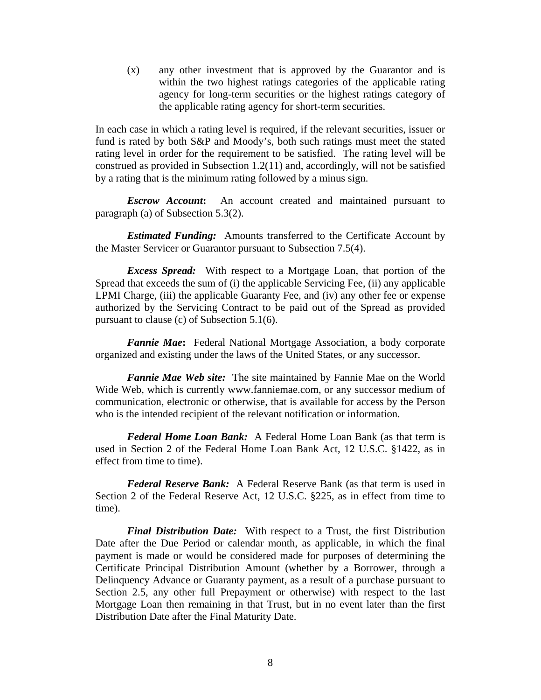(x) any other investment that is approved by the Guarantor and is within the two highest ratings categories of the applicable rating agency for long-term securities or the highest ratings category of the applicable rating agency for short-term securities.

In each case in which a rating level is required, if the relevant securities, issuer or fund is rated by both S&P and Moody's, both such ratings must meet the stated rating level in order for the requirement to be satisfied. The rating level will be construed as provided in Subsection 1.2(11) and, accordingly, will not be satisfied by a rating that is the minimum rating followed by a minus sign.

*Escrow Account***:** An account created and maintained pursuant to paragraph (a) of Subsection 5.3(2).

*Estimated Funding:* Amounts transferred to the Certificate Account by the Master Servicer or Guarantor pursuant to Subsection 7.5(4).

*Excess Spread:* With respect to a Mortgage Loan, that portion of the Spread that exceeds the sum of (i) the applicable Servicing Fee, (ii) any applicable LPMI Charge, (iii) the applicable Guaranty Fee, and (iv) any other fee or expense authorized by the Servicing Contract to be paid out of the Spread as provided pursuant to clause (c) of Subsection 5.1(6).

*Fannie Mae***:** Federal National Mortgage Association, a body corporate organized and existing under the laws of the United States, or any successor.

*Fannie Mae Web site:* The site maintained by Fannie Mae on the World Wide Web, which is currently www.fanniemae.com, or any successor medium of communication, electronic or otherwise, that is available for access by the Person who is the intended recipient of the relevant notification or information.

*Federal Home Loan Bank:* A Federal Home Loan Bank (as that term is used in Section 2 of the Federal Home Loan Bank Act, 12 U.S.C. §1422, as in effect from time to time).

*Federal Reserve Bank:* A Federal Reserve Bank (as that term is used in Section 2 of the Federal Reserve Act, 12 U.S.C. §225, as in effect from time to time).

*Final Distribution Date:* With respect to a Trust, the first Distribution Date after the Due Period or calendar month, as applicable, in which the final payment is made or would be considered made for purposes of determining the Certificate Principal Distribution Amount (whether by a Borrower, through a Delinquency Advance or Guaranty payment, as a result of a purchase pursuant to Section 2.5, any other full Prepayment or otherwise) with respect to the last Mortgage Loan then remaining in that Trust, but in no event later than the first Distribution Date after the Final Maturity Date.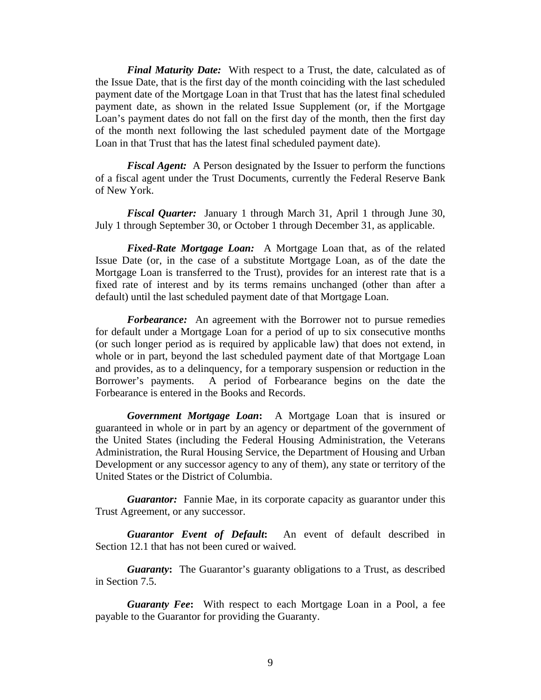*Final Maturity Date:* With respect to a Trust, the date, calculated as of the Issue Date, that is the first day of the month coinciding with the last scheduled payment date of the Mortgage Loan in that Trust that has the latest final scheduled payment date, as shown in the related Issue Supplement (or, if the Mortgage Loan's payment dates do not fall on the first day of the month, then the first day of the month next following the last scheduled payment date of the Mortgage Loan in that Trust that has the latest final scheduled payment date).

*Fiscal Agent:* A Person designated by the Issuer to perform the functions of a fiscal agent under the Trust Documents, currently the Federal Reserve Bank of New York.

*Fiscal Quarter:* January 1 through March 31, April 1 through June 30, July 1 through September 30, or October 1 through December 31, as applicable.

*Fixed-Rate Mortgage Loan:* A Mortgage Loan that, as of the related Issue Date (or, in the case of a substitute Mortgage Loan, as of the date the Mortgage Loan is transferred to the Trust), provides for an interest rate that is a fixed rate of interest and by its terms remains unchanged (other than after a default) until the last scheduled payment date of that Mortgage Loan.

**Forbearance:** An agreement with the Borrower not to pursue remedies for default under a Mortgage Loan for a period of up to six consecutive months (or such longer period as is required by applicable law) that does not extend, in whole or in part, beyond the last scheduled payment date of that Mortgage Loan and provides, as to a delinquency, for a temporary suspension or reduction in the Borrower's payments. A period of Forbearance begins on the date the Forbearance is entered in the Books and Records.

*Government Mortgage Loan***:** A Mortgage Loan that is insured or guaranteed in whole or in part by an agency or department of the government of the United States (including the Federal Housing Administration, the Veterans Administration, the Rural Housing Service, the Department of Housing and Urban Development or any successor agency to any of them), any state or territory of the United States or the District of Columbia.

*Guarantor:* Fannie Mae, in its corporate capacity as guarantor under this Trust Agreement, or any successor.

*Guarantor Event of Default***:** An event of default described in Section 12.1 that has not been cured or waived.

*Guaranty***:** The Guarantor's guaranty obligations to a Trust, as described in Section 7.5.

*Guaranty Fee***:** With respect to each Mortgage Loan in a Pool, a fee payable to the Guarantor for providing the Guaranty.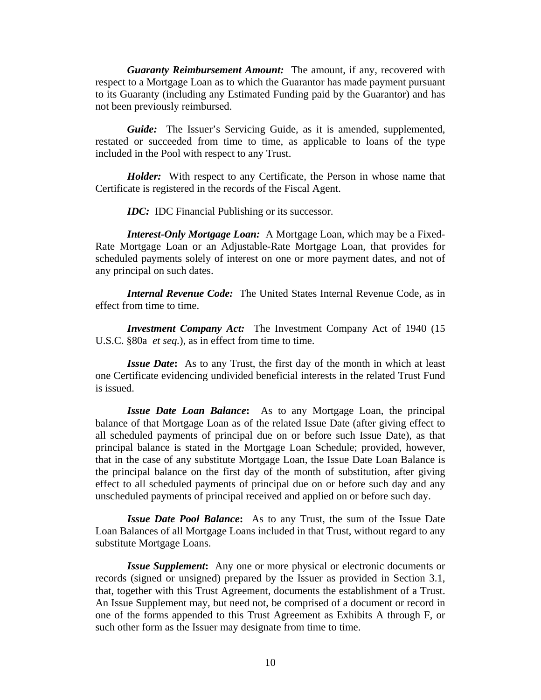*Guaranty Reimbursement Amount:* The amount, if any, recovered with respect to a Mortgage Loan as to which the Guarantor has made payment pursuant to its Guaranty (including any Estimated Funding paid by the Guarantor) and has not been previously reimbursed.

*Guide:* The Issuer's Servicing Guide, as it is amended, supplemented, restated or succeeded from time to time, as applicable to loans of the type included in the Pool with respect to any Trust.

*Holder:* With respect to any Certificate, the Person in whose name that Certificate is registered in the records of the Fiscal Agent.

*IDC:* IDC Financial Publishing or its successor.

*Interest-Only Mortgage Loan:* A Mortgage Loan, which may be a Fixed-Rate Mortgage Loan or an Adjustable-Rate Mortgage Loan, that provides for scheduled payments solely of interest on one or more payment dates, and not of any principal on such dates.

*Internal Revenue Code:* The United States Internal Revenue Code, as in effect from time to time.

*Investment Company Act:* The Investment Company Act of 1940 (15 U.S.C. §80a *et seq.*), as in effect from time to time.

*Issue Date***:** As to any Trust, the first day of the month in which at least one Certificate evidencing undivided beneficial interests in the related Trust Fund is issued.

*Issue Date Loan Balance***:** As to any Mortgage Loan, the principal balance of that Mortgage Loan as of the related Issue Date (after giving effect to all scheduled payments of principal due on or before such Issue Date), as that principal balance is stated in the Mortgage Loan Schedule; provided, however, that in the case of any substitute Mortgage Loan, the Issue Date Loan Balance is the principal balance on the first day of the month of substitution, after giving effect to all scheduled payments of principal due on or before such day and any unscheduled payments of principal received and applied on or before such day.

*Issue Date Pool Balance***:** As to any Trust, the sum of the Issue Date Loan Balances of all Mortgage Loans included in that Trust, without regard to any substitute Mortgage Loans.

*Issue Supplement***:** Any one or more physical or electronic documents or records (signed or unsigned) prepared by the Issuer as provided in Section 3.1, that, together with this Trust Agreement, documents the establishment of a Trust. An Issue Supplement may, but need not, be comprised of a document or record in one of the forms appended to this Trust Agreement as Exhibits A through F, or such other form as the Issuer may designate from time to time.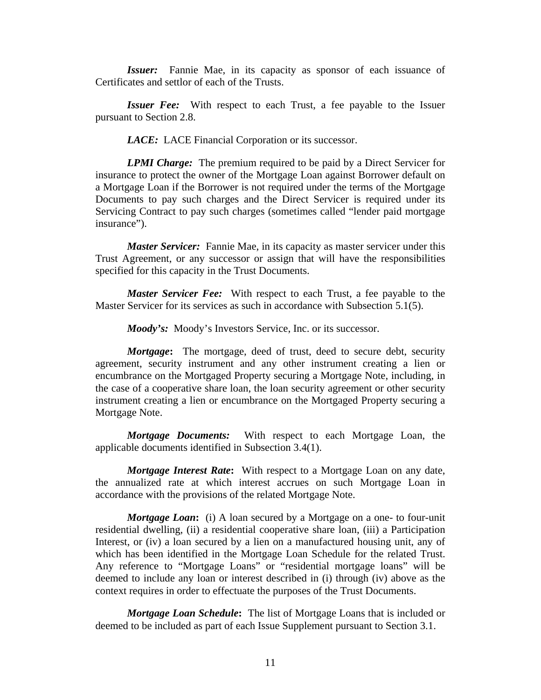*Issuer:* Fannie Mae, in its capacity as sponsor of each issuance of Certificates and settlor of each of the Trusts.

*Issuer Fee:* With respect to each Trust, a fee payable to the Issuer pursuant to Section 2.8.

*LACE:* LACE Financial Corporation or its successor.

*LPMI Charge:* The premium required to be paid by a Direct Servicer for insurance to protect the owner of the Mortgage Loan against Borrower default on a Mortgage Loan if the Borrower is not required under the terms of the Mortgage Documents to pay such charges and the Direct Servicer is required under its Servicing Contract to pay such charges (sometimes called "lender paid mortgage insurance").

*Master Servicer:* Fannie Mae, in its capacity as master servicer under this Trust Agreement, or any successor or assign that will have the responsibilities specified for this capacity in the Trust Documents.

*Master Servicer Fee:* With respect to each Trust, a fee payable to the Master Servicer for its services as such in accordance with Subsection 5.1(5).

*Moody's:* Moody's Investors Service, Inc. or its successor.

*Mortgage***:** The mortgage, deed of trust, deed to secure debt, security agreement, security instrument and any other instrument creating a lien or encumbrance on the Mortgaged Property securing a Mortgage Note, including, in the case of a cooperative share loan, the loan security agreement or other security instrument creating a lien or encumbrance on the Mortgaged Property securing a Mortgage Note.

*Mortgage Documents:* With respect to each Mortgage Loan, the applicable documents identified in Subsection 3.4(1).

*Mortgage Interest Rate***:** With respect to a Mortgage Loan on any date, the annualized rate at which interest accrues on such Mortgage Loan in accordance with the provisions of the related Mortgage Note.

*Mortgage Loan***:** (i) A loan secured by a Mortgage on a one- to four-unit residential dwelling, (ii) a residential cooperative share loan, (iii) a Participation Interest, or (iv) a loan secured by a lien on a manufactured housing unit, any of which has been identified in the Mortgage Loan Schedule for the related Trust. Any reference to "Mortgage Loans" or "residential mortgage loans" will be deemed to include any loan or interest described in (i) through (iv) above as the context requires in order to effectuate the purposes of the Trust Documents.

*Mortgage Loan Schedule***:** The list of Mortgage Loans that is included or deemed to be included as part of each Issue Supplement pursuant to Section 3.1.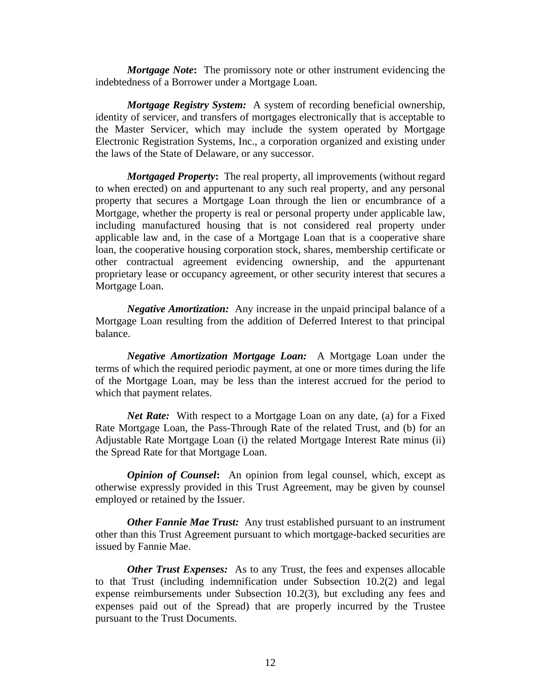*Mortgage Note***:** The promissory note or other instrument evidencing the indebtedness of a Borrower under a Mortgage Loan.

*Mortgage Registry System:* A system of recording beneficial ownership, identity of servicer, and transfers of mortgages electronically that is acceptable to the Master Servicer, which may include the system operated by Mortgage Electronic Registration Systems, Inc., a corporation organized and existing under the laws of the State of Delaware, or any successor.

*Mortgaged Property***:** The real property, all improvements (without regard to when erected) on and appurtenant to any such real property, and any personal property that secures a Mortgage Loan through the lien or encumbrance of a Mortgage, whether the property is real or personal property under applicable law, including manufactured housing that is not considered real property under applicable law and, in the case of a Mortgage Loan that is a cooperative share loan, the cooperative housing corporation stock, shares, membership certificate or other contractual agreement evidencing ownership, and the appurtenant proprietary lease or occupancy agreement, or other security interest that secures a Mortgage Loan.

*Negative Amortization:* Any increase in the unpaid principal balance of a Mortgage Loan resulting from the addition of Deferred Interest to that principal balance.

*Negative Amortization Mortgage Loan:* A Mortgage Loan under the terms of which the required periodic payment, at one or more times during the life of the Mortgage Loan, may be less than the interest accrued for the period to which that payment relates.

*Net Rate:* With respect to a Mortgage Loan on any date, (a) for a Fixed Rate Mortgage Loan, the Pass-Through Rate of the related Trust, and (b) for an Adjustable Rate Mortgage Loan (i) the related Mortgage Interest Rate minus (ii) the Spread Rate for that Mortgage Loan.

*Opinion of Counsel*: An opinion from legal counsel, which, except as otherwise expressly provided in this Trust Agreement, may be given by counsel employed or retained by the Issuer.

*Other Fannie Mae Trust:* Any trust established pursuant to an instrument other than this Trust Agreement pursuant to which mortgage-backed securities are issued by Fannie Mae.

*Other Trust Expenses:* As to any Trust, the fees and expenses allocable to that Trust (including indemnification under Subsection 10.2(2) and legal expense reimbursements under Subsection 10.2(3), but excluding any fees and expenses paid out of the Spread) that are properly incurred by the Trustee pursuant to the Trust Documents.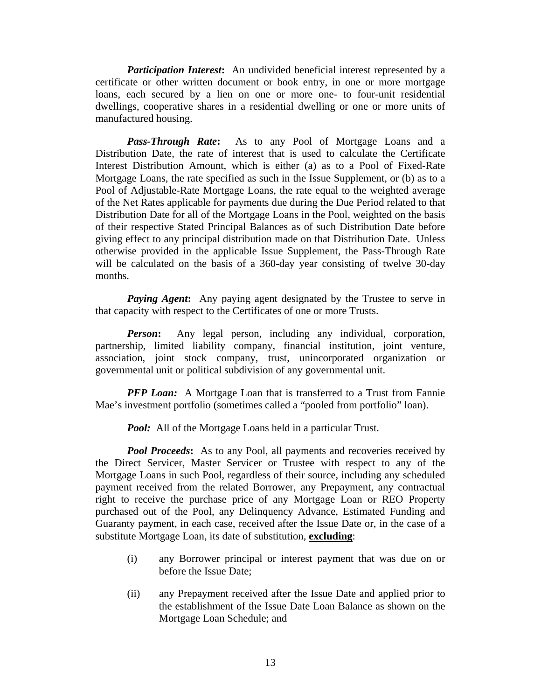*Participation Interest:* An undivided beneficial interest represented by a certificate or other written document or book entry, in one or more mortgage loans, each secured by a lien on one or more one- to four-unit residential dwellings, cooperative shares in a residential dwelling or one or more units of manufactured housing.

*Pass-Through Rate***:** As to any Pool of Mortgage Loans and a Distribution Date, the rate of interest that is used to calculate the Certificate Interest Distribution Amount, which is either (a) as to a Pool of Fixed-Rate Mortgage Loans, the rate specified as such in the Issue Supplement, or (b) as to a Pool of Adjustable-Rate Mortgage Loans, the rate equal to the weighted average of the Net Rates applicable for payments due during the Due Period related to that Distribution Date for all of the Mortgage Loans in the Pool, weighted on the basis of their respective Stated Principal Balances as of such Distribution Date before giving effect to any principal distribution made on that Distribution Date. Unless otherwise provided in the applicable Issue Supplement, the Pass-Through Rate will be calculated on the basis of a 360-day year consisting of twelve 30-day months.

*Paying Agent***:** Any paying agent designated by the Trustee to serve in that capacity with respect to the Certificates of one or more Trusts.

**Person:** Any legal person, including any individual, corporation, partnership, limited liability company, financial institution, joint venture, association, joint stock company, trust, unincorporated organization or governmental unit or political subdivision of any governmental unit.

*PFP Loan:* A Mortgage Loan that is transferred to a Trust from Fannie Mae's investment portfolio (sometimes called a "pooled from portfolio" loan).

*Pool:* All of the Mortgage Loans held in a particular Trust.

*Pool Proceeds*: As to any Pool, all payments and recoveries received by the Direct Servicer, Master Servicer or Trustee with respect to any of the Mortgage Loans in such Pool, regardless of their source, including any scheduled payment received from the related Borrower, any Prepayment, any contractual right to receive the purchase price of any Mortgage Loan or REO Property purchased out of the Pool, any Delinquency Advance, Estimated Funding and Guaranty payment, in each case, received after the Issue Date or, in the case of a substitute Mortgage Loan, its date of substitution, **excluding**:

- (i) any Borrower principal or interest payment that was due on or before the Issue Date;
- (ii) any Prepayment received after the Issue Date and applied prior to the establishment of the Issue Date Loan Balance as shown on the Mortgage Loan Schedule; and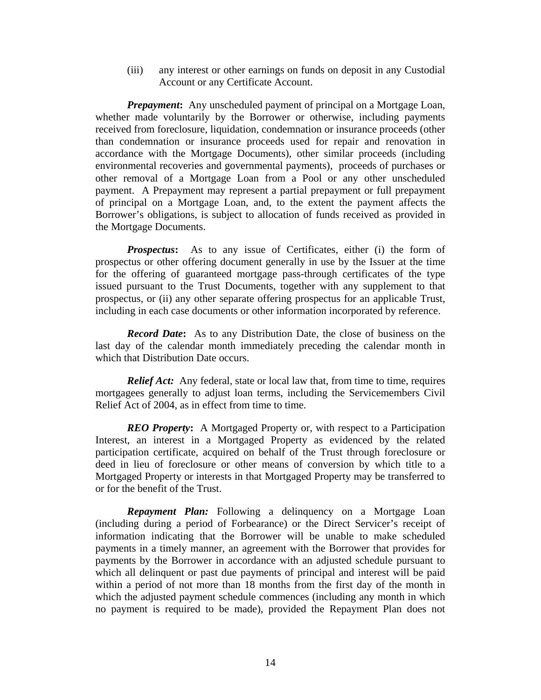(iii) any interest or other earnings on funds on deposit in any Custodial Account or any Certificate Account.

*Prepayment***:** Any unscheduled payment of principal on a Mortgage Loan, whether made voluntarily by the Borrower or otherwise, including payments received from foreclosure, liquidation, condemnation or insurance proceeds (other than condemnation or insurance proceeds used for repair and renovation in accordance with the Mortgage Documents), other similar proceeds (including environmental recoveries and governmental payments), proceeds of purchases or other removal of a Mortgage Loan from a Pool or any other unscheduled payment. A Prepayment may represent a partial prepayment or full prepayment of principal on a Mortgage Loan, and, to the extent the payment affects the Borrower's obligations, is subject to allocation of funds received as provided in the Mortgage Documents.

*Prospectus*: As to any issue of Certificates, either (i) the form of prospectus or other offering document generally in use by the Issuer at the time for the offering of guaranteed mortgage pass-through certificates of the type issued pursuant to the Trust Documents, together with any supplement to that prospectus, or (ii) any other separate offering prospectus for an applicable Trust, including in each case documents or other information incorporated by reference.

*Record Date***:** As to any Distribution Date, the close of business on the last day of the calendar month immediately preceding the calendar month in which that Distribution Date occurs.

*Relief Act:* Any federal, state or local law that, from time to time, requires mortgagees generally to adjust loan terms, including the Servicemembers Civil Relief Act of 2004, as in effect from time to time.

*REO Property***:** A Mortgaged Property or, with respect to a Participation Interest, an interest in a Mortgaged Property as evidenced by the related participation certificate, acquired on behalf of the Trust through foreclosure or deed in lieu of foreclosure or other means of conversion by which title to a Mortgaged Property or interests in that Mortgaged Property may be transferred to or for the benefit of the Trust.

*Repayment Plan:* Following a delinquency on a Mortgage Loan (including during a period of Forbearance) or the Direct Servicer's receipt of information indicating that the Borrower will be unable to make scheduled payments in a timely manner, an agreement with the Borrower that provides for payments by the Borrower in accordance with an adjusted schedule pursuant to which all delinquent or past due payments of principal and interest will be paid within a period of not more than 18 months from the first day of the month in which the adjusted payment schedule commences (including any month in which no payment is required to be made), provided the Repayment Plan does not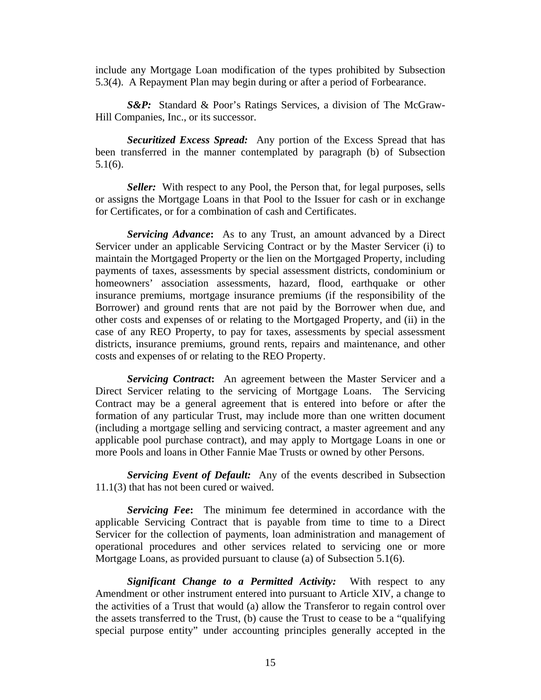include any Mortgage Loan modification of the types prohibited by Subsection 5.3(4). A Repayment Plan may begin during or after a period of Forbearance.

**S&P:** Standard & Poor's Ratings Services, a division of The McGraw-Hill Companies, Inc., or its successor.

*Securitized Excess Spread:* Any portion of the Excess Spread that has been transferred in the manner contemplated by paragraph (b) of Subsection 5.1(6).

*Seller:* With respect to any Pool, the Person that, for legal purposes, sells or assigns the Mortgage Loans in that Pool to the Issuer for cash or in exchange for Certificates, or for a combination of cash and Certificates.

*Servicing Advance***:** As to any Trust, an amount advanced by a Direct Servicer under an applicable Servicing Contract or by the Master Servicer (i) to maintain the Mortgaged Property or the lien on the Mortgaged Property, including payments of taxes, assessments by special assessment districts, condominium or homeowners' association assessments, hazard, flood, earthquake or other insurance premiums, mortgage insurance premiums (if the responsibility of the Borrower) and ground rents that are not paid by the Borrower when due, and other costs and expenses of or relating to the Mortgaged Property, and (ii) in the case of any REO Property, to pay for taxes, assessments by special assessment districts, insurance premiums, ground rents, repairs and maintenance, and other costs and expenses of or relating to the REO Property.

*Servicing Contract***:** An agreement between the Master Servicer and a Direct Servicer relating to the servicing of Mortgage Loans. The Servicing Contract may be a general agreement that is entered into before or after the formation of any particular Trust, may include more than one written document (including a mortgage selling and servicing contract, a master agreement and any applicable pool purchase contract), and may apply to Mortgage Loans in one or more Pools and loans in Other Fannie Mae Trusts or owned by other Persons.

*Servicing Event of Default:* Any of the events described in Subsection 11.1(3) that has not been cured or waived.

*Servicing Fee***:** The minimum fee determined in accordance with the applicable Servicing Contract that is payable from time to time to a Direct Servicer for the collection of payments, loan administration and management of operational procedures and other services related to servicing one or more Mortgage Loans, as provided pursuant to clause (a) of Subsection 5.1(6).

*Significant Change to a Permitted Activity:* With respect to any Amendment or other instrument entered into pursuant to Article XIV, a change to the activities of a Trust that would (a) allow the Transferor to regain control over the assets transferred to the Trust, (b) cause the Trust to cease to be a "qualifying special purpose entity" under accounting principles generally accepted in the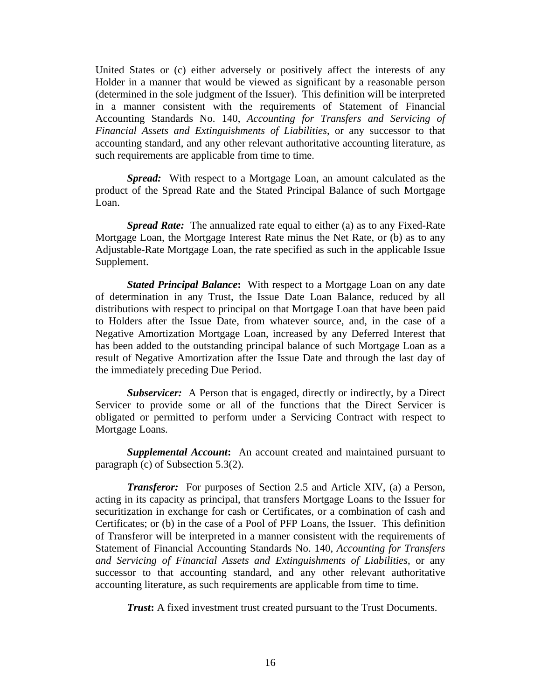United States or (c) either adversely or positively affect the interests of any Holder in a manner that would be viewed as significant by a reasonable person (determined in the sole judgment of the Issuer). This definition will be interpreted in a manner consistent with the requirements of Statement of Financial Accounting Standards No. 140, *Accounting for Transfers and Servicing of Financial Assets and Extinguishments of Liabilities*, or any successor to that accounting standard, and any other relevant authoritative accounting literature, as such requirements are applicable from time to time.

*Spread:* With respect to a Mortgage Loan, an amount calculated as the product of the Spread Rate and the Stated Principal Balance of such Mortgage Loan.

*Spread Rate:* The annualized rate equal to either (a) as to any Fixed-Rate Mortgage Loan, the Mortgage Interest Rate minus the Net Rate, or (b) as to any Adjustable-Rate Mortgage Loan, the rate specified as such in the applicable Issue Supplement.

*Stated Principal Balance***:** With respect to a Mortgage Loan on any date of determination in any Trust, the Issue Date Loan Balance, reduced by all distributions with respect to principal on that Mortgage Loan that have been paid to Holders after the Issue Date, from whatever source, and, in the case of a Negative Amortization Mortgage Loan, increased by any Deferred Interest that has been added to the outstanding principal balance of such Mortgage Loan as a result of Negative Amortization after the Issue Date and through the last day of the immediately preceding Due Period.

*Subservicer:* A Person that is engaged, directly or indirectly, by a Direct Servicer to provide some or all of the functions that the Direct Servicer is obligated or permitted to perform under a Servicing Contract with respect to Mortgage Loans.

*Supplemental Account***:** An account created and maintained pursuant to paragraph (c) of Subsection 5.3(2).

*Transferor:* For purposes of Section 2.5 and Article XIV, (a) a Person, acting in its capacity as principal, that transfers Mortgage Loans to the Issuer for securitization in exchange for cash or Certificates, or a combination of cash and Certificates; or (b) in the case of a Pool of PFP Loans, the Issuer. This definition of Transferor will be interpreted in a manner consistent with the requirements of Statement of Financial Accounting Standards No. 140, *Accounting for Transfers and Servicing of Financial Assets and Extinguishments of Liabilities*, or any successor to that accounting standard, and any other relevant authoritative accounting literature, as such requirements are applicable from time to time.

*Trust*: A fixed investment trust created pursuant to the Trust Documents.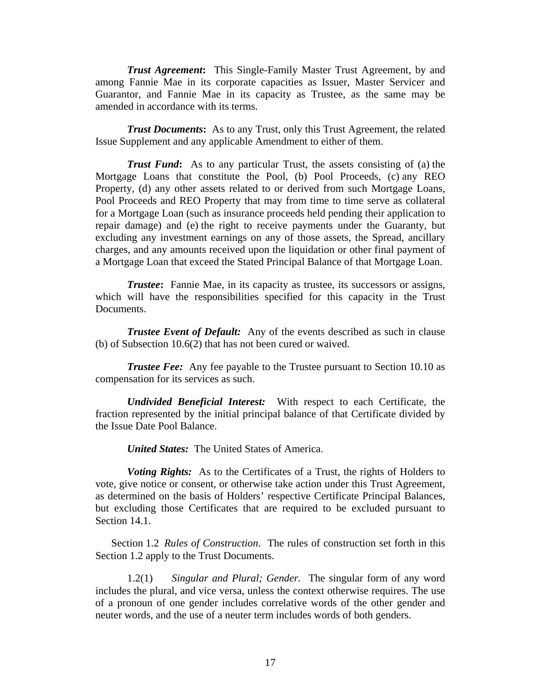*Trust Agreement***:** This Single-Family Master Trust Agreement, by and among Fannie Mae in its corporate capacities as Issuer, Master Servicer and Guarantor, and Fannie Mae in its capacity as Trustee, as the same may be amended in accordance with its terms.

*Trust Documents***:** As to any Trust, only this Trust Agreement, the related Issue Supplement and any applicable Amendment to either of them.

*Trust Fund***:** As to any particular Trust, the assets consisting of (a) the Mortgage Loans that constitute the Pool, (b) Pool Proceeds, (c) any REO Property, (d) any other assets related to or derived from such Mortgage Loans, Pool Proceeds and REO Property that may from time to time serve as collateral for a Mortgage Loan (such as insurance proceeds held pending their application to repair damage) and (e) the right to receive payments under the Guaranty, but excluding any investment earnings on any of those assets, the Spread, ancillary charges, and any amounts received upon the liquidation or other final payment of a Mortgage Loan that exceed the Stated Principal Balance of that Mortgage Loan.

*Trustee***:** Fannie Mae, in its capacity as trustee, its successors or assigns, which will have the responsibilities specified for this capacity in the Trust Documents.

*Trustee Event of Default:* Any of the events described as such in clause (b) of Subsection 10.6(2) that has not been cured or waived.

*Trustee Fee:* Any fee payable to the Trustee pursuant to Section 10.10 as compensation for its services as such.

*Undivided Beneficial Interest:* With respect to each Certificate, the fraction represented by the initial principal balance of that Certificate divided by the Issue Date Pool Balance.

*United States:* The United States of America.

*Voting Rights:* As to the Certificates of a Trust, the rights of Holders to vote, give notice or consent, or otherwise take action under this Trust Agreement, as determined on the basis of Holders' respective Certificate Principal Balances, but excluding those Certificates that are required to be excluded pursuant to Section 14.1.

Section 1.2 *Rules of Construction*.The rules of construction set forth in this Section 1.2 apply to the Trust Documents.

1.2(1) *Singular and Plural; Gender.* The singular form of any word includes the plural, and vice versa, unless the context otherwise requires. The use of a pronoun of one gender includes correlative words of the other gender and neuter words, and the use of a neuter term includes words of both genders.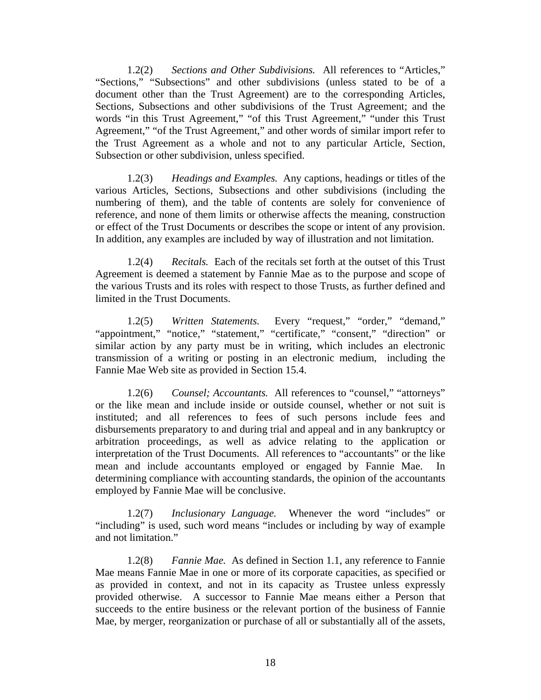1.2(2) *Sections and Other Subdivisions.* All references to "Articles," "Sections," "Subsections" and other subdivisions (unless stated to be of a document other than the Trust Agreement) are to the corresponding Articles, Sections, Subsections and other subdivisions of the Trust Agreement; and the words "in this Trust Agreement," "of this Trust Agreement," "under this Trust Agreement," "of the Trust Agreement," and other words of similar import refer to the Trust Agreement as a whole and not to any particular Article, Section, Subsection or other subdivision, unless specified.

1.2(3) *Headings and Examples.* Any captions, headings or titles of the various Articles, Sections, Subsections and other subdivisions (including the numbering of them), and the table of contents are solely for convenience of reference, and none of them limits or otherwise affects the meaning, construction or effect of the Trust Documents or describes the scope or intent of any provision. In addition, any examples are included by way of illustration and not limitation.

1.2(4) *Recitals.* Each of the recitals set forth at the outset of this Trust Agreement is deemed a statement by Fannie Mae as to the purpose and scope of the various Trusts and its roles with respect to those Trusts, as further defined and limited in the Trust Documents.

1.2(5) *Written Statements.* Every "request," "order," "demand," "appointment," "notice," "statement," "certificate," "consent," "direction" or similar action by any party must be in writing, which includes an electronic transmission of a writing or posting in an electronic medium, including the Fannie Mae Web site as provided in Section 15.4.

1.2(6) *Counsel; Accountants.* All references to "counsel," "attorneys" or the like mean and include inside or outside counsel, whether or not suit is instituted; and all references to fees of such persons include fees and disbursements preparatory to and during trial and appeal and in any bankruptcy or arbitration proceedings, as well as advice relating to the application or interpretation of the Trust Documents. All references to "accountants" or the like mean and include accountants employed or engaged by Fannie Mae. In determining compliance with accounting standards, the opinion of the accountants employed by Fannie Mae will be conclusive.

1.2(7) *Inclusionary Language.* Whenever the word "includes" or "including" is used, such word means "includes or including by way of example and not limitation."

1.2(8) *Fannie Mae.* As defined in Section 1.1, any reference to Fannie Mae means Fannie Mae in one or more of its corporate capacities, as specified or as provided in context, and not in its capacity as Trustee unless expressly provided otherwise. A successor to Fannie Mae means either a Person that succeeds to the entire business or the relevant portion of the business of Fannie Mae, by merger, reorganization or purchase of all or substantially all of the assets,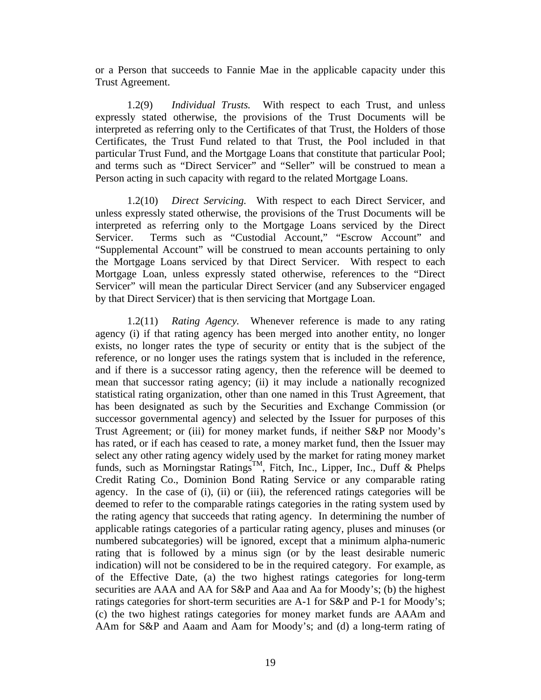or a Person that succeeds to Fannie Mae in the applicable capacity under this Trust Agreement.

1.2(9) *Individual Trusts.* With respect to each Trust, and unless expressly stated otherwise, the provisions of the Trust Documents will be interpreted as referring only to the Certificates of that Trust, the Holders of those Certificates, the Trust Fund related to that Trust, the Pool included in that particular Trust Fund, and the Mortgage Loans that constitute that particular Pool; and terms such as "Direct Servicer" and "Seller" will be construed to mean a Person acting in such capacity with regard to the related Mortgage Loans.

1.2(10) *Direct Servicing.* With respect to each Direct Servicer, and unless expressly stated otherwise, the provisions of the Trust Documents will be interpreted as referring only to the Mortgage Loans serviced by the Direct Servicer. Terms such as "Custodial Account," "Escrow Account" and "Supplemental Account" will be construed to mean accounts pertaining to only the Mortgage Loans serviced by that Direct Servicer. With respect to each Mortgage Loan, unless expressly stated otherwise, references to the "Direct Servicer" will mean the particular Direct Servicer (and any Subservicer engaged by that Direct Servicer) that is then servicing that Mortgage Loan.

1.2(11) *Rating Agency.* Whenever reference is made to any rating agency (i) if that rating agency has been merged into another entity, no longer exists, no longer rates the type of security or entity that is the subject of the reference, or no longer uses the ratings system that is included in the reference, and if there is a successor rating agency, then the reference will be deemed to mean that successor rating agency; (ii) it may include a nationally recognized statistical rating organization, other than one named in this Trust Agreement, that has been designated as such by the Securities and Exchange Commission (or successor governmental agency) and selected by the Issuer for purposes of this Trust Agreement; or (iii) for money market funds, if neither S&P nor Moody's has rated, or if each has ceased to rate, a money market fund, then the Issuer may select any other rating agency widely used by the market for rating money market funds, such as Morningstar Ratings<sup>TM</sup>, Fitch, Inc., Lipper, Inc., Duff & Phelps Credit Rating Co., Dominion Bond Rating Service or any comparable rating agency. In the case of (i), (ii) or (iii), the referenced ratings categories will be deemed to refer to the comparable ratings categories in the rating system used by the rating agency that succeeds that rating agency. In determining the number of applicable ratings categories of a particular rating agency, pluses and minuses (or numbered subcategories) will be ignored, except that a minimum alpha-numeric rating that is followed by a minus sign (or by the least desirable numeric indication) will not be considered to be in the required category. For example, as of the Effective Date, (a) the two highest ratings categories for long-term securities are AAA and AA for S&P and Aaa and Aa for Moody's; (b) the highest ratings categories for short-term securities are A-1 for S&P and P-1 for Moody's; (c) the two highest ratings categories for money market funds are AAAm and AAm for S&P and Aaam and Aam for Moody's; and (d) a long-term rating of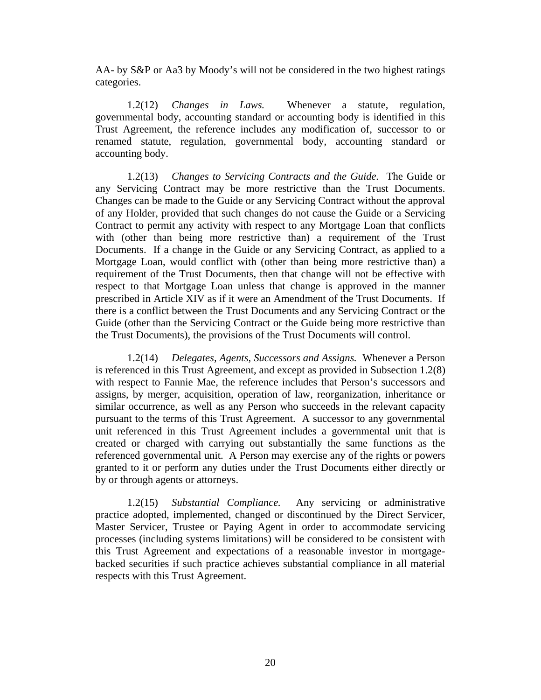AA- by S&P or Aa3 by Moody's will not be considered in the two highest ratings categories.

1.2(12) *Changes in Laws.* Whenever a statute, regulation, governmental body, accounting standard or accounting body is identified in this Trust Agreement, the reference includes any modification of, successor to or renamed statute, regulation, governmental body, accounting standard or accounting body.

1.2(13) *Changes to Servicing Contracts and the Guide.* The Guide or any Servicing Contract may be more restrictive than the Trust Documents. Changes can be made to the Guide or any Servicing Contract without the approval of any Holder, provided that such changes do not cause the Guide or a Servicing Contract to permit any activity with respect to any Mortgage Loan that conflicts with (other than being more restrictive than) a requirement of the Trust Documents. If a change in the Guide or any Servicing Contract, as applied to a Mortgage Loan, would conflict with (other than being more restrictive than) a requirement of the Trust Documents, then that change will not be effective with respect to that Mortgage Loan unless that change is approved in the manner prescribed in Article XIV as if it were an Amendment of the Trust Documents. If there is a conflict between the Trust Documents and any Servicing Contract or the Guide (other than the Servicing Contract or the Guide being more restrictive than the Trust Documents), the provisions of the Trust Documents will control.

1.2(14) *Delegates, Agents, Successors and Assigns.* Whenever a Person is referenced in this Trust Agreement, and except as provided in Subsection 1.2(8) with respect to Fannie Mae, the reference includes that Person's successors and assigns, by merger, acquisition, operation of law, reorganization, inheritance or similar occurrence, as well as any Person who succeeds in the relevant capacity pursuant to the terms of this Trust Agreement. A successor to any governmental unit referenced in this Trust Agreement includes a governmental unit that is created or charged with carrying out substantially the same functions as the referenced governmental unit. A Person may exercise any of the rights or powers granted to it or perform any duties under the Trust Documents either directly or by or through agents or attorneys.

1.2(15) *Substantial Compliance.* Any servicing or administrative practice adopted, implemented, changed or discontinued by the Direct Servicer, Master Servicer, Trustee or Paying Agent in order to accommodate servicing processes (including systems limitations) will be considered to be consistent with this Trust Agreement and expectations of a reasonable investor in mortgagebacked securities if such practice achieves substantial compliance in all material respects with this Trust Agreement.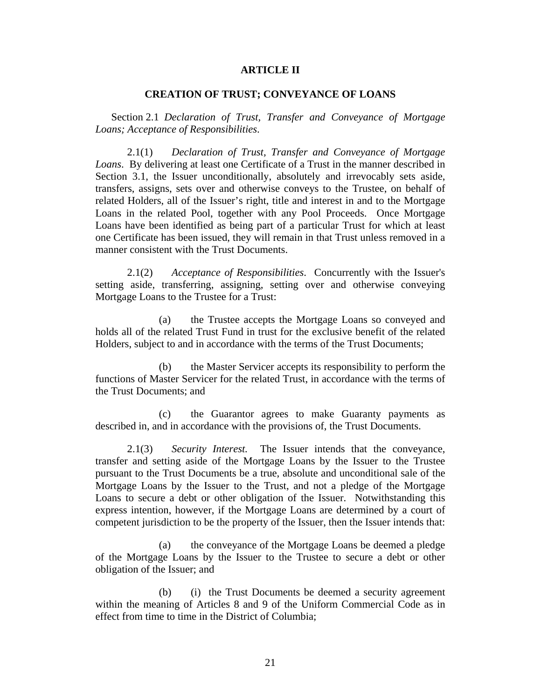### **ARTICLE II**

### **CREATION OF TRUST; CONVEYANCE OF LOANS**

Section 2.1 *Declaration of Trust, Transfer and Conveyance of Mortgage Loans; Acceptance of Responsibilities*.

2.1(1) *Declaration of Trust, Transfer and Conveyance of Mortgage Loans*. By delivering at least one Certificate of a Trust in the manner described in Section 3.1, the Issuer unconditionally, absolutely and irrevocably sets aside, transfers, assigns, sets over and otherwise conveys to the Trustee, on behalf of related Holders, all of the Issuer's right, title and interest in and to the Mortgage Loans in the related Pool, together with any Pool Proceeds. Once Mortgage Loans have been identified as being part of a particular Trust for which at least one Certificate has been issued, they will remain in that Trust unless removed in a manner consistent with the Trust Documents.

2.1(2) *Acceptance of Responsibilities*. Concurrently with the Issuer's setting aside, transferring, assigning, setting over and otherwise conveying Mortgage Loans to the Trustee for a Trust:

(a) the Trustee accepts the Mortgage Loans so conveyed and holds all of the related Trust Fund in trust for the exclusive benefit of the related Holders, subject to and in accordance with the terms of the Trust Documents;

(b) the Master Servicer accepts its responsibility to perform the functions of Master Servicer for the related Trust, in accordance with the terms of the Trust Documents; and

(c) the Guarantor agrees to make Guaranty payments as described in, and in accordance with the provisions of, the Trust Documents.

2.1(3) *Security Interest.* The Issuer intends that the conveyance, transfer and setting aside of the Mortgage Loans by the Issuer to the Trustee pursuant to the Trust Documents be a true, absolute and unconditional sale of the Mortgage Loans by the Issuer to the Trust, and not a pledge of the Mortgage Loans to secure a debt or other obligation of the Issuer. Notwithstanding this express intention, however, if the Mortgage Loans are determined by a court of competent jurisdiction to be the property of the Issuer, then the Issuer intends that:

(a) the conveyance of the Mortgage Loans be deemed a pledge of the Mortgage Loans by the Issuer to the Trustee to secure a debt or other obligation of the Issuer; and

(b) (i) the Trust Documents be deemed a security agreement within the meaning of Articles 8 and 9 of the Uniform Commercial Code as in effect from time to time in the District of Columbia;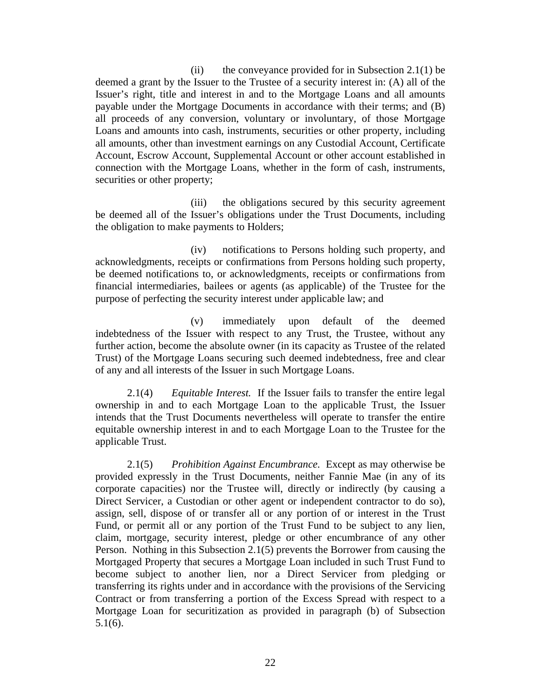(ii) the conveyance provided for in Subsection 2.1(1) be deemed a grant by the Issuer to the Trustee of a security interest in: (A) all of the Issuer's right, title and interest in and to the Mortgage Loans and all amounts payable under the Mortgage Documents in accordance with their terms; and (B) all proceeds of any conversion, voluntary or involuntary, of those Mortgage Loans and amounts into cash, instruments, securities or other property, including all amounts, other than investment earnings on any Custodial Account, Certificate Account, Escrow Account, Supplemental Account or other account established in connection with the Mortgage Loans, whether in the form of cash, instruments, securities or other property;

(iii) the obligations secured by this security agreement be deemed all of the Issuer's obligations under the Trust Documents, including the obligation to make payments to Holders;

(iv) notifications to Persons holding such property, and acknowledgments, receipts or confirmations from Persons holding such property, be deemed notifications to, or acknowledgments, receipts or confirmations from financial intermediaries, bailees or agents (as applicable) of the Trustee for the purpose of perfecting the security interest under applicable law; and

(v) immediately upon default of the deemed indebtedness of the Issuer with respect to any Trust, the Trustee, without any further action, become the absolute owner (in its capacity as Trustee of the related Trust) of the Mortgage Loans securing such deemed indebtedness, free and clear of any and all interests of the Issuer in such Mortgage Loans.

2.1(4) *Equitable Interest.* If the Issuer fails to transfer the entire legal ownership in and to each Mortgage Loan to the applicable Trust, the Issuer intends that the Trust Documents nevertheless will operate to transfer the entire equitable ownership interest in and to each Mortgage Loan to the Trustee for the applicable Trust.

2.1(5) *Prohibition Against Encumbrance.* Except as may otherwise be provided expressly in the Trust Documents, neither Fannie Mae (in any of its corporate capacities) nor the Trustee will, directly or indirectly (by causing a Direct Servicer, a Custodian or other agent or independent contractor to do so), assign, sell, dispose of or transfer all or any portion of or interest in the Trust Fund, or permit all or any portion of the Trust Fund to be subject to any lien, claim, mortgage, security interest, pledge or other encumbrance of any other Person. Nothing in this Subsection 2.1(5) prevents the Borrower from causing the Mortgaged Property that secures a Mortgage Loan included in such Trust Fund to become subject to another lien, nor a Direct Servicer from pledging or transferring its rights under and in accordance with the provisions of the Servicing Contract or from transferring a portion of the Excess Spread with respect to a Mortgage Loan for securitization as provided in paragraph (b) of Subsection 5.1(6).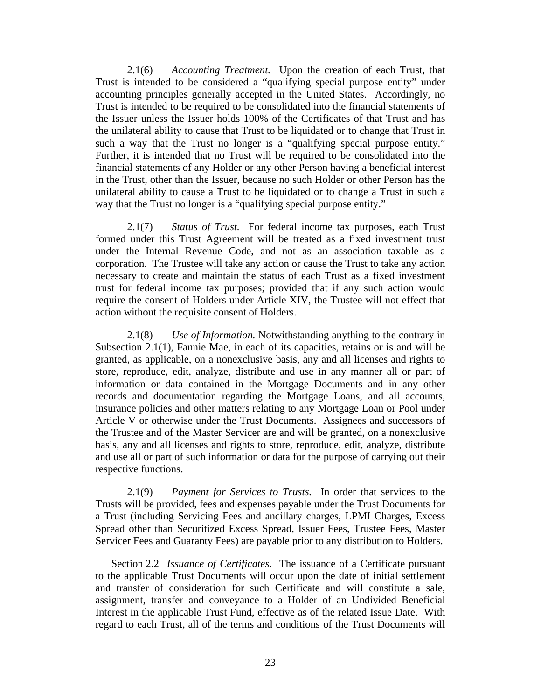2.1(6) *Accounting Treatment.* Upon the creation of each Trust, that Trust is intended to be considered a "qualifying special purpose entity" under accounting principles generally accepted in the United States. Accordingly, no Trust is intended to be required to be consolidated into the financial statements of the Issuer unless the Issuer holds 100% of the Certificates of that Trust and has the unilateral ability to cause that Trust to be liquidated or to change that Trust in such a way that the Trust no longer is a "qualifying special purpose entity." Further, it is intended that no Trust will be required to be consolidated into the financial statements of any Holder or any other Person having a beneficial interest in the Trust, other than the Issuer, because no such Holder or other Person has the unilateral ability to cause a Trust to be liquidated or to change a Trust in such a way that the Trust no longer is a "qualifying special purpose entity."

2.1(7) *Status of Trust.* For federal income tax purposes, each Trust formed under this Trust Agreement will be treated as a fixed investment trust under the Internal Revenue Code, and not as an association taxable as a corporation. The Trustee will take any action or cause the Trust to take any action necessary to create and maintain the status of each Trust as a fixed investment trust for federal income tax purposes; provided that if any such action would require the consent of Holders under Article XIV, the Trustee will not effect that action without the requisite consent of Holders.

2.1(8) *Use of Information.* Notwithstanding anything to the contrary in Subsection 2.1(1), Fannie Mae, in each of its capacities, retains or is and will be granted, as applicable, on a nonexclusive basis, any and all licenses and rights to store, reproduce, edit, analyze, distribute and use in any manner all or part of information or data contained in the Mortgage Documents and in any other records and documentation regarding the Mortgage Loans, and all accounts, insurance policies and other matters relating to any Mortgage Loan or Pool under Article V or otherwise under the Trust Documents. Assignees and successors of the Trustee and of the Master Servicer are and will be granted, on a nonexclusive basis, any and all licenses and rights to store, reproduce, edit, analyze, distribute and use all or part of such information or data for the purpose of carrying out their respective functions.

2.1(9) *Payment for Services to Trusts.* In order that services to the Trusts will be provided, fees and expenses payable under the Trust Documents for a Trust (including Servicing Fees and ancillary charges, LPMI Charges, Excess Spread other than Securitized Excess Spread, Issuer Fees, Trustee Fees, Master Servicer Fees and Guaranty Fees) are payable prior to any distribution to Holders.

Section 2.2 *Issuance of Certificates*. The issuance of a Certificate pursuant to the applicable Trust Documents will occur upon the date of initial settlement and transfer of consideration for such Certificate and will constitute a sale, assignment, transfer and conveyance to a Holder of an Undivided Beneficial Interest in the applicable Trust Fund, effective as of the related Issue Date. With regard to each Trust, all of the terms and conditions of the Trust Documents will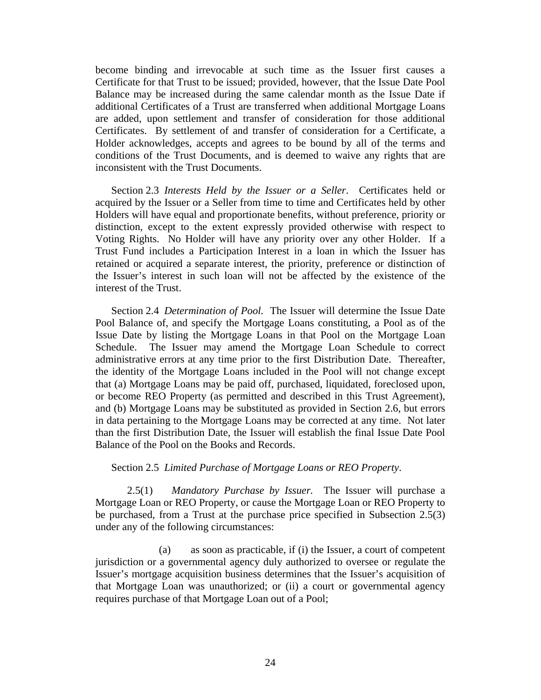become binding and irrevocable at such time as the Issuer first causes a Certificate for that Trust to be issued; provided, however, that the Issue Date Pool Balance may be increased during the same calendar month as the Issue Date if additional Certificates of a Trust are transferred when additional Mortgage Loans are added, upon settlement and transfer of consideration for those additional Certificates. By settlement of and transfer of consideration for a Certificate, a Holder acknowledges, accepts and agrees to be bound by all of the terms and conditions of the Trust Documents, and is deemed to waive any rights that are inconsistent with the Trust Documents.

Section 2.3 *Interests Held by the Issuer or a Seller*. Certificates held or acquired by the Issuer or a Seller from time to time and Certificates held by other Holders will have equal and proportionate benefits, without preference, priority or distinction, except to the extent expressly provided otherwise with respect to Voting Rights. No Holder will have any priority over any other Holder. If a Trust Fund includes a Participation Interest in a loan in which the Issuer has retained or acquired a separate interest, the priority, preference or distinction of the Issuer's interest in such loan will not be affected by the existence of the interest of the Trust.

Section 2.4 *Determination of Pool.* The Issuer will determine the Issue Date Pool Balance of, and specify the Mortgage Loans constituting, a Pool as of the Issue Date by listing the Mortgage Loans in that Pool on the Mortgage Loan Schedule. The Issuer may amend the Mortgage Loan Schedule to correct administrative errors at any time prior to the first Distribution Date. Thereafter, the identity of the Mortgage Loans included in the Pool will not change except that (a) Mortgage Loans may be paid off, purchased, liquidated, foreclosed upon, or become REO Property (as permitted and described in this Trust Agreement), and (b) Mortgage Loans may be substituted as provided in Section 2.6, but errors in data pertaining to the Mortgage Loans may be corrected at any time. Not later than the first Distribution Date, the Issuer will establish the final Issue Date Pool Balance of the Pool on the Books and Records.

### Section 2.5 *Limited Purchase of Mortgage Loans or REO Property*.

2.5(1) *Mandatory Purchase by Issuer.* The Issuer will purchase a Mortgage Loan or REO Property, or cause the Mortgage Loan or REO Property to be purchased, from a Trust at the purchase price specified in Subsection 2.5(3) under any of the following circumstances:

(a) as soon as practicable, if (i) the Issuer, a court of competent jurisdiction or a governmental agency duly authorized to oversee or regulate the Issuer's mortgage acquisition business determines that the Issuer's acquisition of that Mortgage Loan was unauthorized; or (ii) a court or governmental agency requires purchase of that Mortgage Loan out of a Pool;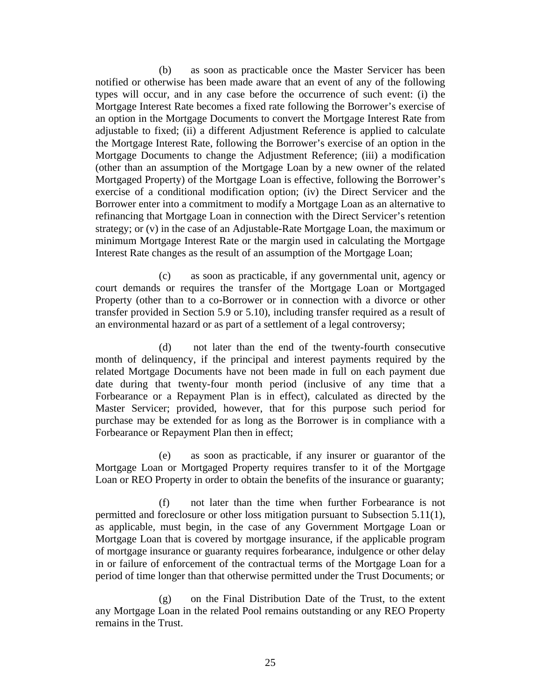(b) as soon as practicable once the Master Servicer has been notified or otherwise has been made aware that an event of any of the following types will occur, and in any case before the occurrence of such event: (i) the Mortgage Interest Rate becomes a fixed rate following the Borrower's exercise of an option in the Mortgage Documents to convert the Mortgage Interest Rate from adjustable to fixed; (ii) a different Adjustment Reference is applied to calculate the Mortgage Interest Rate, following the Borrower's exercise of an option in the Mortgage Documents to change the Adjustment Reference; (iii) a modification (other than an assumption of the Mortgage Loan by a new owner of the related Mortgaged Property) of the Mortgage Loan is effective, following the Borrower's exercise of a conditional modification option; (iv) the Direct Servicer and the Borrower enter into a commitment to modify a Mortgage Loan as an alternative to refinancing that Mortgage Loan in connection with the Direct Servicer's retention strategy; or (v) in the case of an Adjustable-Rate Mortgage Loan, the maximum or minimum Mortgage Interest Rate or the margin used in calculating the Mortgage Interest Rate changes as the result of an assumption of the Mortgage Loan;

(c) as soon as practicable, if any governmental unit, agency or court demands or requires the transfer of the Mortgage Loan or Mortgaged Property (other than to a co-Borrower or in connection with a divorce or other transfer provided in Section 5.9 or 5.10), including transfer required as a result of an environmental hazard or as part of a settlement of a legal controversy;

(d) not later than the end of the twenty-fourth consecutive month of delinquency, if the principal and interest payments required by the related Mortgage Documents have not been made in full on each payment due date during that twenty-four month period (inclusive of any time that a Forbearance or a Repayment Plan is in effect), calculated as directed by the Master Servicer; provided, however, that for this purpose such period for purchase may be extended for as long as the Borrower is in compliance with a Forbearance or Repayment Plan then in effect;

(e) as soon as practicable, if any insurer or guarantor of the Mortgage Loan or Mortgaged Property requires transfer to it of the Mortgage Loan or REO Property in order to obtain the benefits of the insurance or guaranty;

(f) not later than the time when further Forbearance is not permitted and foreclosure or other loss mitigation pursuant to Subsection 5.11(1), as applicable, must begin, in the case of any Government Mortgage Loan or Mortgage Loan that is covered by mortgage insurance, if the applicable program of mortgage insurance or guaranty requires forbearance, indulgence or other delay in or failure of enforcement of the contractual terms of the Mortgage Loan for a period of time longer than that otherwise permitted under the Trust Documents; or

(g) on the Final Distribution Date of the Trust, to the extent any Mortgage Loan in the related Pool remains outstanding or any REO Property remains in the Trust.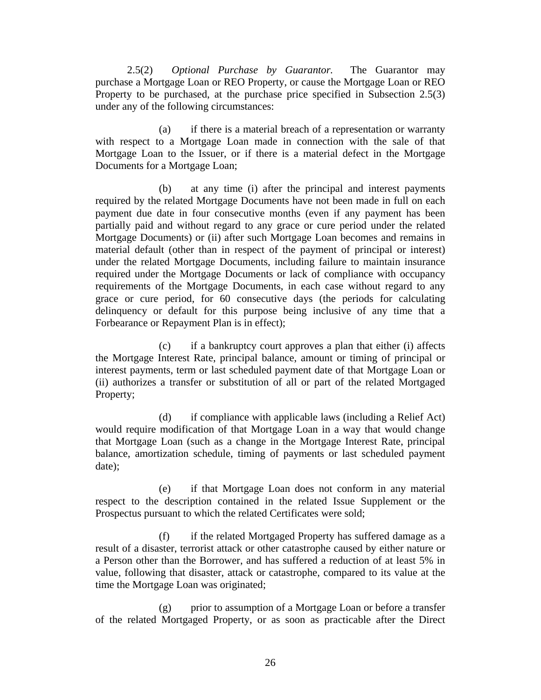2.5(2) *Optional Purchase by Guarantor.* The Guarantor may purchase a Mortgage Loan or REO Property, or cause the Mortgage Loan or REO Property to be purchased, at the purchase price specified in Subsection 2.5(3) under any of the following circumstances:

(a) if there is a material breach of a representation or warranty with respect to a Mortgage Loan made in connection with the sale of that Mortgage Loan to the Issuer, or if there is a material defect in the Mortgage Documents for a Mortgage Loan;

(b) at any time (i) after the principal and interest payments required by the related Mortgage Documents have not been made in full on each payment due date in four consecutive months (even if any payment has been partially paid and without regard to any grace or cure period under the related Mortgage Documents) or (ii) after such Mortgage Loan becomes and remains in material default (other than in respect of the payment of principal or interest) under the related Mortgage Documents, including failure to maintain insurance required under the Mortgage Documents or lack of compliance with occupancy requirements of the Mortgage Documents, in each case without regard to any grace or cure period, for 60 consecutive days (the periods for calculating delinquency or default for this purpose being inclusive of any time that a Forbearance or Repayment Plan is in effect);

(c) if a bankruptcy court approves a plan that either (i) affects the Mortgage Interest Rate, principal balance, amount or timing of principal or interest payments, term or last scheduled payment date of that Mortgage Loan or (ii) authorizes a transfer or substitution of all or part of the related Mortgaged Property;

(d) if compliance with applicable laws (including a Relief Act) would require modification of that Mortgage Loan in a way that would change that Mortgage Loan (such as a change in the Mortgage Interest Rate, principal balance, amortization schedule, timing of payments or last scheduled payment date);

(e) if that Mortgage Loan does not conform in any material respect to the description contained in the related Issue Supplement or the Prospectus pursuant to which the related Certificates were sold;

(f) if the related Mortgaged Property has suffered damage as a result of a disaster, terrorist attack or other catastrophe caused by either nature or a Person other than the Borrower, and has suffered a reduction of at least 5% in value, following that disaster, attack or catastrophe, compared to its value at the time the Mortgage Loan was originated;

(g) prior to assumption of a Mortgage Loan or before a transfer of the related Mortgaged Property, or as soon as practicable after the Direct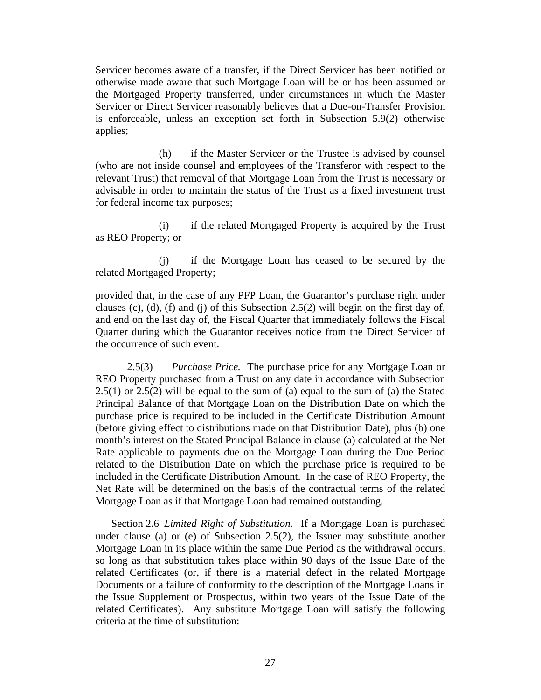Servicer becomes aware of a transfer, if the Direct Servicer has been notified or otherwise made aware that such Mortgage Loan will be or has been assumed or the Mortgaged Property transferred, under circumstances in which the Master Servicer or Direct Servicer reasonably believes that a Due-on-Transfer Provision is enforceable, unless an exception set forth in Subsection 5.9(2) otherwise applies;

(h) if the Master Servicer or the Trustee is advised by counsel (who are not inside counsel and employees of the Transferor with respect to the relevant Trust) that removal of that Mortgage Loan from the Trust is necessary or advisable in order to maintain the status of the Trust as a fixed investment trust for federal income tax purposes;

(i) if the related Mortgaged Property is acquired by the Trust as REO Property; or

(j) if the Mortgage Loan has ceased to be secured by the related Mortgaged Property;

provided that, in the case of any PFP Loan, the Guarantor's purchase right under clauses (c), (d), (f) and (j) of this Subsection 2.5(2) will begin on the first day of, and end on the last day of, the Fiscal Quarter that immediately follows the Fiscal Quarter during which the Guarantor receives notice from the Direct Servicer of the occurrence of such event.

2.5(3) *Purchase Price.* The purchase price for any Mortgage Loan or REO Property purchased from a Trust on any date in accordance with Subsection 2.5(1) or 2.5(2) will be equal to the sum of (a) equal to the sum of (a) the Stated Principal Balance of that Mortgage Loan on the Distribution Date on which the purchase price is required to be included in the Certificate Distribution Amount (before giving effect to distributions made on that Distribution Date), plus (b) one month's interest on the Stated Principal Balance in clause (a) calculated at the Net Rate applicable to payments due on the Mortgage Loan during the Due Period related to the Distribution Date on which the purchase price is required to be included in the Certificate Distribution Amount. In the case of REO Property, the Net Rate will be determined on the basis of the contractual terms of the related Mortgage Loan as if that Mortgage Loan had remained outstanding.

Section 2.6 *Limited Right of Substitution.* If a Mortgage Loan is purchased under clause (a) or (e) of Subsection 2.5(2), the Issuer may substitute another Mortgage Loan in its place within the same Due Period as the withdrawal occurs, so long as that substitution takes place within 90 days of the Issue Date of the related Certificates (or, if there is a material defect in the related Mortgage Documents or a failure of conformity to the description of the Mortgage Loans in the Issue Supplement or Prospectus, within two years of the Issue Date of the related Certificates). Any substitute Mortgage Loan will satisfy the following criteria at the time of substitution: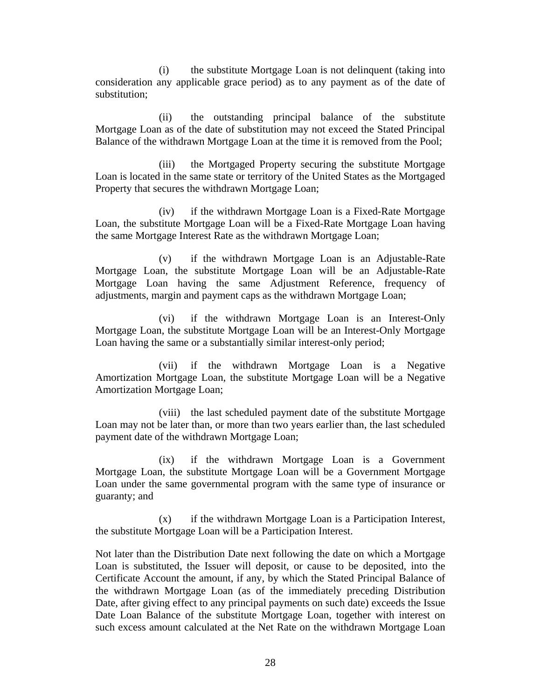(i) the substitute Mortgage Loan is not delinquent (taking into consideration any applicable grace period) as to any payment as of the date of substitution;

(ii) the outstanding principal balance of the substitute Mortgage Loan as of the date of substitution may not exceed the Stated Principal Balance of the withdrawn Mortgage Loan at the time it is removed from the Pool;

(iii) the Mortgaged Property securing the substitute Mortgage Loan is located in the same state or territory of the United States as the Mortgaged Property that secures the withdrawn Mortgage Loan;

(iv) if the withdrawn Mortgage Loan is a Fixed-Rate Mortgage Loan, the substitute Mortgage Loan will be a Fixed-Rate Mortgage Loan having the same Mortgage Interest Rate as the withdrawn Mortgage Loan;

(v) if the withdrawn Mortgage Loan is an Adjustable-Rate Mortgage Loan, the substitute Mortgage Loan will be an Adjustable-Rate Mortgage Loan having the same Adjustment Reference, frequency of adjustments, margin and payment caps as the withdrawn Mortgage Loan;

(vi) if the withdrawn Mortgage Loan is an Interest-Only Mortgage Loan, the substitute Mortgage Loan will be an Interest-Only Mortgage Loan having the same or a substantially similar interest-only period;

(vii) if the withdrawn Mortgage Loan is a Negative Amortization Mortgage Loan, the substitute Mortgage Loan will be a Negative Amortization Mortgage Loan;

(viii) the last scheduled payment date of the substitute Mortgage Loan may not be later than, or more than two years earlier than, the last scheduled payment date of the withdrawn Mortgage Loan;

(ix) if the withdrawn Mortgage Loan is a Government Mortgage Loan, the substitute Mortgage Loan will be a Government Mortgage Loan under the same governmental program with the same type of insurance or guaranty; and

(x) if the withdrawn Mortgage Loan is a Participation Interest, the substitute Mortgage Loan will be a Participation Interest.

Not later than the Distribution Date next following the date on which a Mortgage Loan is substituted, the Issuer will deposit, or cause to be deposited, into the Certificate Account the amount, if any, by which the Stated Principal Balance of the withdrawn Mortgage Loan (as of the immediately preceding Distribution Date, after giving effect to any principal payments on such date) exceeds the Issue Date Loan Balance of the substitute Mortgage Loan, together with interest on such excess amount calculated at the Net Rate on the withdrawn Mortgage Loan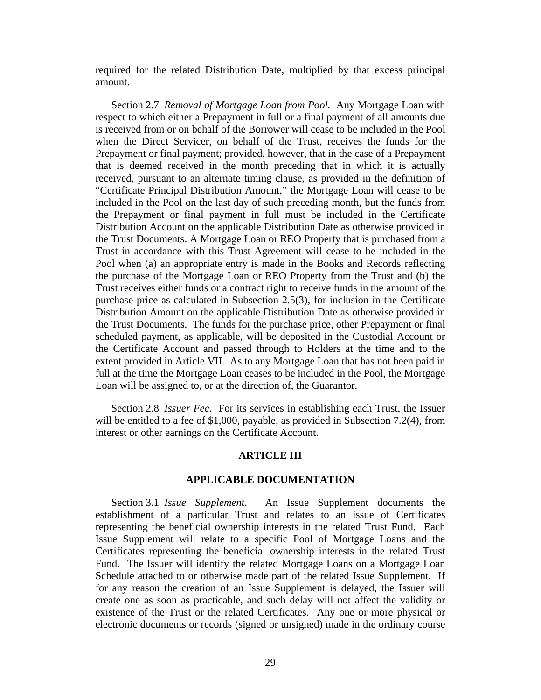required for the related Distribution Date, multiplied by that excess principal amount.

Section 2.7 *Removal of Mortgage Loan from Pool.* Any Mortgage Loan with respect to which either a Prepayment in full or a final payment of all amounts due is received from or on behalf of the Borrower will cease to be included in the Pool when the Direct Servicer, on behalf of the Trust, receives the funds for the Prepayment or final payment; provided, however, that in the case of a Prepayment that is deemed received in the month preceding that in which it is actually received, pursuant to an alternate timing clause, as provided in the definition of "Certificate Principal Distribution Amount," the Mortgage Loan will cease to be included in the Pool on the last day of such preceding month, but the funds from the Prepayment or final payment in full must be included in the Certificate Distribution Account on the applicable Distribution Date as otherwise provided in the Trust Documents. A Mortgage Loan or REO Property that is purchased from a Trust in accordance with this Trust Agreement will cease to be included in the Pool when (a) an appropriate entry is made in the Books and Records reflecting the purchase of the Mortgage Loan or REO Property from the Trust and (b) the Trust receives either funds or a contract right to receive funds in the amount of the purchase price as calculated in Subsection 2.5(3), for inclusion in the Certificate Distribution Amount on the applicable Distribution Date as otherwise provided in the Trust Documents. The funds for the purchase price, other Prepayment or final scheduled payment, as applicable, will be deposited in the Custodial Account or the Certificate Account and passed through to Holders at the time and to the extent provided in Article VII. As to any Mortgage Loan that has not been paid in full at the time the Mortgage Loan ceases to be included in the Pool, the Mortgage Loan will be assigned to, or at the direction of, the Guarantor.

Section 2.8 *Issuer Fee.* For its services in establishing each Trust, the Issuer will be entitled to a fee of \$1,000, payable, as provided in Subsection 7.2(4), from interest or other earnings on the Certificate Account.

#### **ARTICLE III**

#### **APPLICABLE DOCUMENTATION**

Section 3.1 *Issue Supplement*. An Issue Supplement documents the establishment of a particular Trust and relates to an issue of Certificates representing the beneficial ownership interests in the related Trust Fund. Each Issue Supplement will relate to a specific Pool of Mortgage Loans and the Certificates representing the beneficial ownership interests in the related Trust Fund. The Issuer will identify the related Mortgage Loans on a Mortgage Loan Schedule attached to or otherwise made part of the related Issue Supplement. If for any reason the creation of an Issue Supplement is delayed, the Issuer will create one as soon as practicable, and such delay will not affect the validity or existence of the Trust or the related Certificates. Any one or more physical or electronic documents or records (signed or unsigned) made in the ordinary course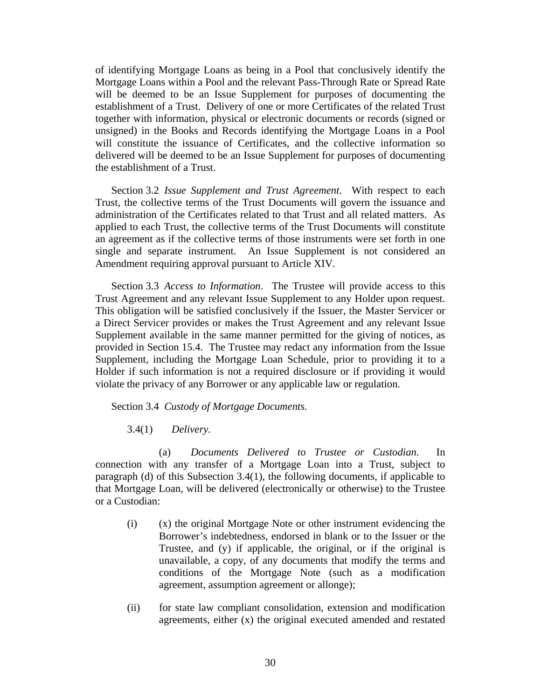of identifying Mortgage Loans as being in a Pool that conclusively identify the Mortgage Loans within a Pool and the relevant Pass-Through Rate or Spread Rate will be deemed to be an Issue Supplement for purposes of documenting the establishment of a Trust. Delivery of one or more Certificates of the related Trust together with information, physical or electronic documents or records (signed or unsigned) in the Books and Records identifying the Mortgage Loans in a Pool will constitute the issuance of Certificates, and the collective information so delivered will be deemed to be an Issue Supplement for purposes of documenting the establishment of a Trust.

Section 3.2 *Issue Supplement and Trust Agreement*. With respect to each Trust, the collective terms of the Trust Documents will govern the issuance and administration of the Certificates related to that Trust and all related matters. As applied to each Trust, the collective terms of the Trust Documents will constitute an agreement as if the collective terms of those instruments were set forth in one single and separate instrument. An Issue Supplement is not considered an Amendment requiring approval pursuant to Article XIV.

Section 3.3 *Access to Information*. The Trustee will provide access to this Trust Agreement and any relevant Issue Supplement to any Holder upon request. This obligation will be satisfied conclusively if the Issuer, the Master Servicer or a Direct Servicer provides or makes the Trust Agreement and any relevant Issue Supplement available in the same manner permitted for the giving of notices, as provided in Section 15.4. The Trustee may redact any information from the Issue Supplement, including the Mortgage Loan Schedule, prior to providing it to a Holder if such information is not a required disclosure or if providing it would violate the privacy of any Borrower or any applicable law or regulation.

Section 3.4 *Custody of Mortgage Documents.* 

3.4(1) *Delivery.* 

(a) *Documents Delivered to Trustee or Custodian.* In connection with any transfer of a Mortgage Loan into a Trust, subject to paragraph (d) of this Subsection 3.4(1), the following documents, if applicable to that Mortgage Loan, will be delivered (electronically or otherwise) to the Trustee or a Custodian:

- (i) (x) the original Mortgage Note or other instrument evidencing the Borrower's indebtedness, endorsed in blank or to the Issuer or the Trustee, and (y) if applicable, the original, or if the original is unavailable, a copy, of any documents that modify the terms and conditions of the Mortgage Note (such as a modification agreement, assumption agreement or allonge);
- (ii) for state law compliant consolidation, extension and modification agreements, either (x) the original executed amended and restated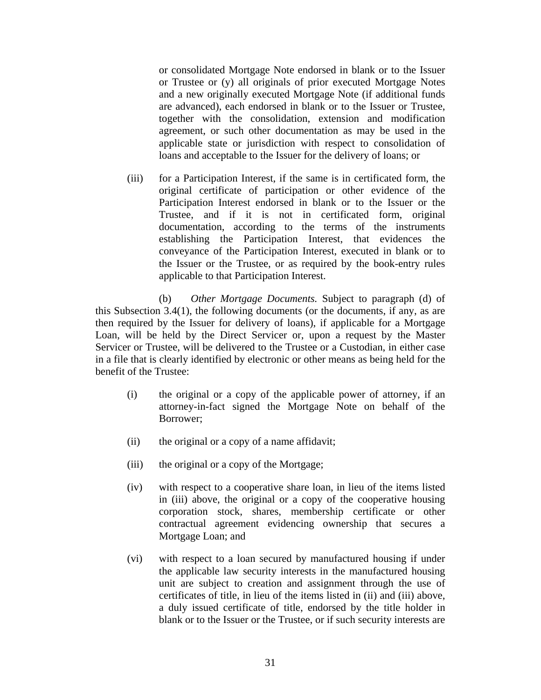or consolidated Mortgage Note endorsed in blank or to the Issuer or Trustee or (y) all originals of prior executed Mortgage Notes and a new originally executed Mortgage Note (if additional funds are advanced), each endorsed in blank or to the Issuer or Trustee, together with the consolidation, extension and modification agreement, or such other documentation as may be used in the applicable state or jurisdiction with respect to consolidation of loans and acceptable to the Issuer for the delivery of loans; or

(iii) for a Participation Interest, if the same is in certificated form, the original certificate of participation or other evidence of the Participation Interest endorsed in blank or to the Issuer or the Trustee, and if it is not in certificated form, original documentation, according to the terms of the instruments establishing the Participation Interest, that evidences the conveyance of the Participation Interest, executed in blank or to the Issuer or the Trustee, or as required by the book-entry rules applicable to that Participation Interest.

(b) *Other Mortgage Documents.* Subject to paragraph (d) of this Subsection 3.4(1), the following documents (or the documents, if any, as are then required by the Issuer for delivery of loans), if applicable for a Mortgage Loan, will be held by the Direct Servicer or, upon a request by the Master Servicer or Trustee, will be delivered to the Trustee or a Custodian, in either case in a file that is clearly identified by electronic or other means as being held for the benefit of the Trustee:

- (i) the original or a copy of the applicable power of attorney, if an attorney-in-fact signed the Mortgage Note on behalf of the Borrower;
- (ii) the original or a copy of a name affidavit;
- (iii) the original or a copy of the Mortgage;
- (iv) with respect to a cooperative share loan, in lieu of the items listed in (iii) above, the original or a copy of the cooperative housing corporation stock, shares, membership certificate or other contractual agreement evidencing ownership that secures a Mortgage Loan; and
- (vi) with respect to a loan secured by manufactured housing if under the applicable law security interests in the manufactured housing unit are subject to creation and assignment through the use of certificates of title, in lieu of the items listed in (ii) and (iii) above, a duly issued certificate of title, endorsed by the title holder in blank or to the Issuer or the Trustee, or if such security interests are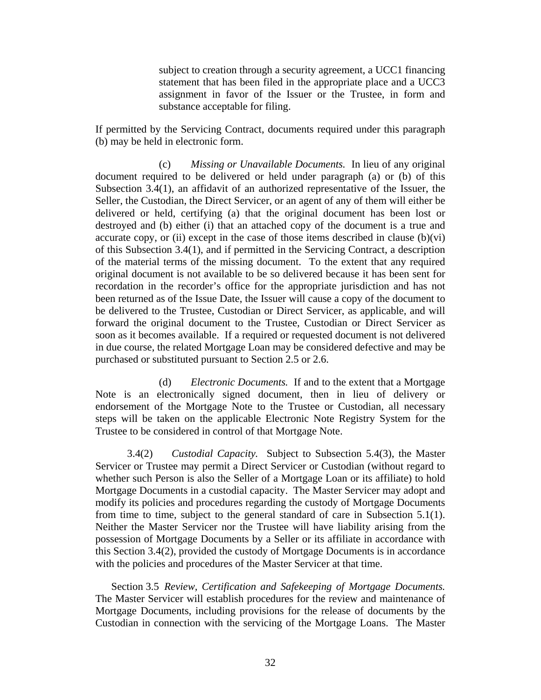subject to creation through a security agreement, a UCC1 financing statement that has been filed in the appropriate place and a UCC3 assignment in favor of the Issuer or the Trustee, in form and substance acceptable for filing.

If permitted by the Servicing Contract, documents required under this paragraph (b) may be held in electronic form.

(c) *Missing or Unavailable Documents.* In lieu of any original document required to be delivered or held under paragraph (a) or (b) of this Subsection 3.4(1), an affidavit of an authorized representative of the Issuer, the Seller, the Custodian, the Direct Servicer, or an agent of any of them will either be delivered or held, certifying (a) that the original document has been lost or destroyed and (b) either (i) that an attached copy of the document is a true and accurate copy, or (ii) except in the case of those items described in clause  $(b)(vi)$ of this Subsection 3.4(1), and if permitted in the Servicing Contract, a description of the material terms of the missing document. To the extent that any required original document is not available to be so delivered because it has been sent for recordation in the recorder's office for the appropriate jurisdiction and has not been returned as of the Issue Date, the Issuer will cause a copy of the document to be delivered to the Trustee, Custodian or Direct Servicer, as applicable, and will forward the original document to the Trustee, Custodian or Direct Servicer as soon as it becomes available. If a required or requested document is not delivered in due course, the related Mortgage Loan may be considered defective and may be purchased or substituted pursuant to Section 2.5 or 2.6.

(d) *Electronic Documents.* If and to the extent that a Mortgage Note is an electronically signed document, then in lieu of delivery or endorsement of the Mortgage Note to the Trustee or Custodian, all necessary steps will be taken on the applicable Electronic Note Registry System for the Trustee to be considered in control of that Mortgage Note.

3.4(2) *Custodial Capacity.* Subject to Subsection 5.4(3), the Master Servicer or Trustee may permit a Direct Servicer or Custodian (without regard to whether such Person is also the Seller of a Mortgage Loan or its affiliate) to hold Mortgage Documents in a custodial capacity. The Master Servicer may adopt and modify its policies and procedures regarding the custody of Mortgage Documents from time to time, subject to the general standard of care in Subsection 5.1(1). Neither the Master Servicer nor the Trustee will have liability arising from the possession of Mortgage Documents by a Seller or its affiliate in accordance with this Section 3.4(2), provided the custody of Mortgage Documents is in accordance with the policies and procedures of the Master Servicer at that time.

Section 3.5 *Review, Certification and Safekeeping of Mortgage Documents.* The Master Servicer will establish procedures for the review and maintenance of Mortgage Documents, including provisions for the release of documents by the Custodian in connection with the servicing of the Mortgage Loans. The Master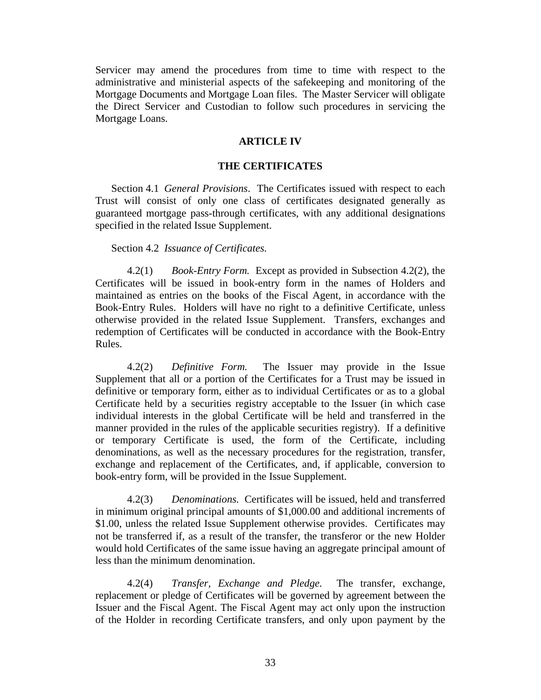Servicer may amend the procedures from time to time with respect to the administrative and ministerial aspects of the safekeeping and monitoring of the Mortgage Documents and Mortgage Loan files. The Master Servicer will obligate the Direct Servicer and Custodian to follow such procedures in servicing the Mortgage Loans.

## **ARTICLE IV**

## **THE CERTIFICATES**

Section 4.1 *General Provisions*. The Certificates issued with respect to each Trust will consist of only one class of certificates designated generally as guaranteed mortgage pass-through certificates, with any additional designations specified in the related Issue Supplement.

#### Section 4.2 *Issuance of Certificates.*

4.2(1) *Book-Entry Form.* Except as provided in Subsection 4.2(2), the Certificates will be issued in book-entry form in the names of Holders and maintained as entries on the books of the Fiscal Agent, in accordance with the Book-Entry Rules. Holders will have no right to a definitive Certificate, unless otherwise provided in the related Issue Supplement. Transfers, exchanges and redemption of Certificates will be conducted in accordance with the Book-Entry Rules.

4.2(2) *Definitive Form.* The Issuer may provide in the Issue Supplement that all or a portion of the Certificates for a Trust may be issued in definitive or temporary form, either as to individual Certificates or as to a global Certificate held by a securities registry acceptable to the Issuer (in which case individual interests in the global Certificate will be held and transferred in the manner provided in the rules of the applicable securities registry). If a definitive or temporary Certificate is used, the form of the Certificate, including denominations, as well as the necessary procedures for the registration, transfer, exchange and replacement of the Certificates, and, if applicable, conversion to book-entry form, will be provided in the Issue Supplement.

4.2(3) *Denominations.* Certificates will be issued, held and transferred in minimum original principal amounts of \$1,000.00 and additional increments of \$1.00, unless the related Issue Supplement otherwise provides. Certificates may not be transferred if, as a result of the transfer, the transferor or the new Holder would hold Certificates of the same issue having an aggregate principal amount of less than the minimum denomination.

4.2(4) *Transfer, Exchange and Pledge.* The transfer, exchange, replacement or pledge of Certificates will be governed by agreement between the Issuer and the Fiscal Agent. The Fiscal Agent may act only upon the instruction of the Holder in recording Certificate transfers, and only upon payment by the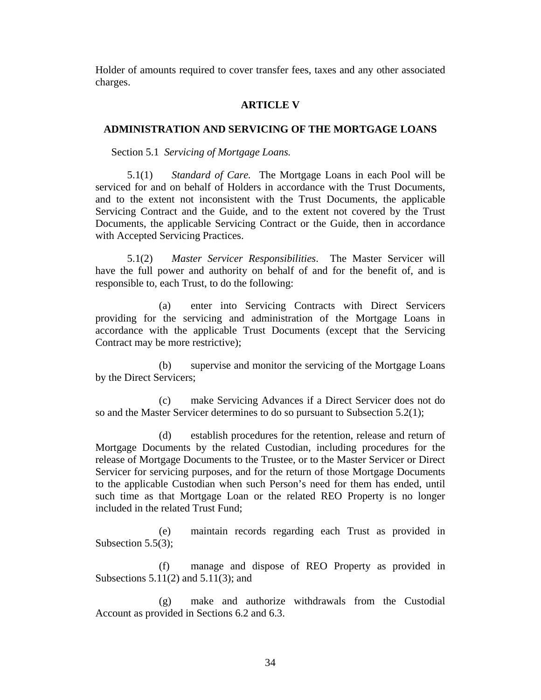Holder of amounts required to cover transfer fees, taxes and any other associated charges.

## **ARTICLE V**

#### **ADMINISTRATION AND SERVICING OF THE MORTGAGE LOANS**

Section 5.1 *Servicing of Mortgage Loans.* 

5.1(1) *Standard of Care.* The Mortgage Loans in each Pool will be serviced for and on behalf of Holders in accordance with the Trust Documents, and to the extent not inconsistent with the Trust Documents, the applicable Servicing Contract and the Guide, and to the extent not covered by the Trust Documents, the applicable Servicing Contract or the Guide, then in accordance with Accepted Servicing Practices.

5.1(2) *Master Servicer Responsibilities*. The Master Servicer will have the full power and authority on behalf of and for the benefit of, and is responsible to, each Trust, to do the following:

(a) enter into Servicing Contracts with Direct Servicers providing for the servicing and administration of the Mortgage Loans in accordance with the applicable Trust Documents (except that the Servicing Contract may be more restrictive);

(b) supervise and monitor the servicing of the Mortgage Loans by the Direct Servicers;

(c) make Servicing Advances if a Direct Servicer does not do so and the Master Servicer determines to do so pursuant to Subsection 5.2(1);

(d) establish procedures for the retention, release and return of Mortgage Documents by the related Custodian, including procedures for the release of Mortgage Documents to the Trustee, or to the Master Servicer or Direct Servicer for servicing purposes, and for the return of those Mortgage Documents to the applicable Custodian when such Person's need for them has ended, until such time as that Mortgage Loan or the related REO Property is no longer included in the related Trust Fund;

(e) maintain records regarding each Trust as provided in Subsection 5.5(3);

(f) manage and dispose of REO Property as provided in Subsections 5.11(2) and 5.11(3); and

(g) make and authorize withdrawals from the Custodial Account as provided in Sections 6.2 and 6.3.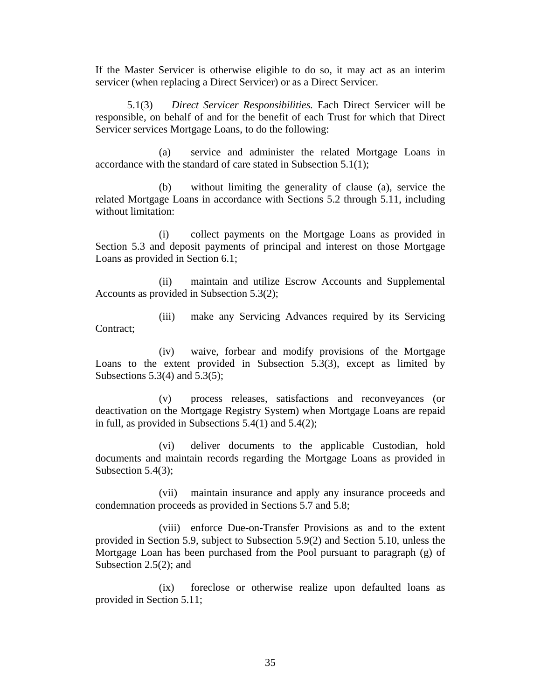If the Master Servicer is otherwise eligible to do so, it may act as an interim servicer (when replacing a Direct Servicer) or as a Direct Servicer.

5.1(3) *Direct Servicer Responsibilities.* Each Direct Servicer will be responsible, on behalf of and for the benefit of each Trust for which that Direct Servicer services Mortgage Loans, to do the following:

(a) service and administer the related Mortgage Loans in accordance with the standard of care stated in Subsection 5.1(1);

(b) without limiting the generality of clause (a), service the related Mortgage Loans in accordance with Sections 5.2 through 5.11, including without limitation:

(i) collect payments on the Mortgage Loans as provided in Section 5.3 and deposit payments of principal and interest on those Mortgage Loans as provided in Section 6.1;

(ii) maintain and utilize Escrow Accounts and Supplemental Accounts as provided in Subsection 5.3(2);

(iii) make any Servicing Advances required by its Servicing Contract:

(iv) waive, forbear and modify provisions of the Mortgage Loans to the extent provided in Subsection 5.3(3), except as limited by Subsections  $5.3(4)$  and  $5.3(5)$ ;

(v) process releases, satisfactions and reconveyances (or deactivation on the Mortgage Registry System) when Mortgage Loans are repaid in full, as provided in Subsections 5.4(1) and 5.4(2);

(vi) deliver documents to the applicable Custodian, hold documents and maintain records regarding the Mortgage Loans as provided in Subsection 5.4(3);

(vii) maintain insurance and apply any insurance proceeds and condemnation proceeds as provided in Sections 5.7 and 5.8;

(viii) enforce Due-on-Transfer Provisions as and to the extent provided in Section 5.9, subject to Subsection 5.9(2) and Section 5.10, unless the Mortgage Loan has been purchased from the Pool pursuant to paragraph (g) of Subsection 2.5(2); and

(ix) foreclose or otherwise realize upon defaulted loans as provided in Section 5.11;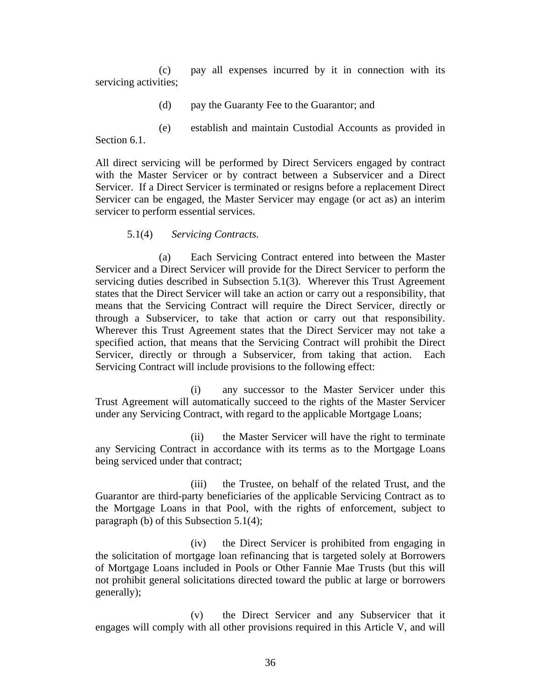(c) pay all expenses incurred by it in connection with its servicing activities;

- (d) pay the Guaranty Fee to the Guarantor; and
- (e) establish and maintain Custodial Accounts as provided in

Section 6.1.

All direct servicing will be performed by Direct Servicers engaged by contract with the Master Servicer or by contract between a Subservicer and a Direct Servicer. If a Direct Servicer is terminated or resigns before a replacement Direct Servicer can be engaged, the Master Servicer may engage (or act as) an interim servicer to perform essential services.

5.1(4) *Servicing Contracts.* 

(a) Each Servicing Contract entered into between the Master Servicer and a Direct Servicer will provide for the Direct Servicer to perform the servicing duties described in Subsection 5.1(3). Wherever this Trust Agreement states that the Direct Servicer will take an action or carry out a responsibility, that means that the Servicing Contract will require the Direct Servicer, directly or through a Subservicer, to take that action or carry out that responsibility. Wherever this Trust Agreement states that the Direct Servicer may not take a specified action, that means that the Servicing Contract will prohibit the Direct Servicer, directly or through a Subservicer, from taking that action. Each Servicing Contract will include provisions to the following effect:

(i) any successor to the Master Servicer under this Trust Agreement will automatically succeed to the rights of the Master Servicer under any Servicing Contract, with regard to the applicable Mortgage Loans;

(ii) the Master Servicer will have the right to terminate any Servicing Contract in accordance with its terms as to the Mortgage Loans being serviced under that contract;

(iii) the Trustee, on behalf of the related Trust, and the Guarantor are third-party beneficiaries of the applicable Servicing Contract as to the Mortgage Loans in that Pool, with the rights of enforcement, subject to paragraph (b) of this Subsection 5.1(4);

(iv) the Direct Servicer is prohibited from engaging in the solicitation of mortgage loan refinancing that is targeted solely at Borrowers of Mortgage Loans included in Pools or Other Fannie Mae Trusts (but this will not prohibit general solicitations directed toward the public at large or borrowers generally);

(v) the Direct Servicer and any Subservicer that it engages will comply with all other provisions required in this Article V, and will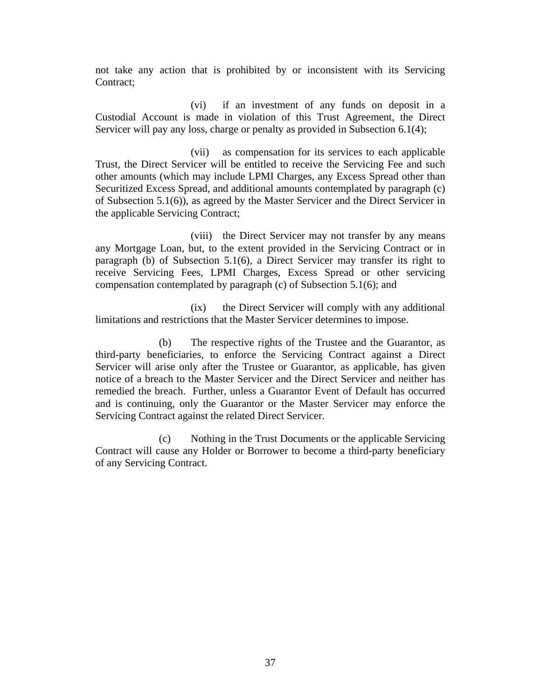not take any action that is prohibited by or inconsistent with its Servicing Contract:

(vi) if an investment of any funds on deposit in a Custodial Account is made in violation of this Trust Agreement, the Direct Servicer will pay any loss, charge or penalty as provided in Subsection 6.1(4);

(vii) as compensation for its services to each applicable Trust, the Direct Servicer will be entitled to receive the Servicing Fee and such other amounts (which may include LPMI Charges, any Excess Spread other than Securitized Excess Spread, and additional amounts contemplated by paragraph (c) of Subsection 5.1(6)), as agreed by the Master Servicer and the Direct Servicer in the applicable Servicing Contract;

(viii) the Direct Servicer may not transfer by any means any Mortgage Loan, but, to the extent provided in the Servicing Contract or in paragraph (b) of Subsection 5.1(6), a Direct Servicer may transfer its right to receive Servicing Fees, LPMI Charges, Excess Spread or other servicing compensation contemplated by paragraph (c) of Subsection 5.1(6); and

(ix) the Direct Servicer will comply with any additional limitations and restrictions that the Master Servicer determines to impose.

(b) The respective rights of the Trustee and the Guarantor, as third-party beneficiaries, to enforce the Servicing Contract against a Direct Servicer will arise only after the Trustee or Guarantor, as applicable, has given notice of a breach to the Master Servicer and the Direct Servicer and neither has remedied the breach. Further, unless a Guarantor Event of Default has occurred and is continuing, only the Guarantor or the Master Servicer may enforce the Servicing Contract against the related Direct Servicer.

(c) Nothing in the Trust Documents or the applicable Servicing Contract will cause any Holder or Borrower to become a third-party beneficiary of any Servicing Contract.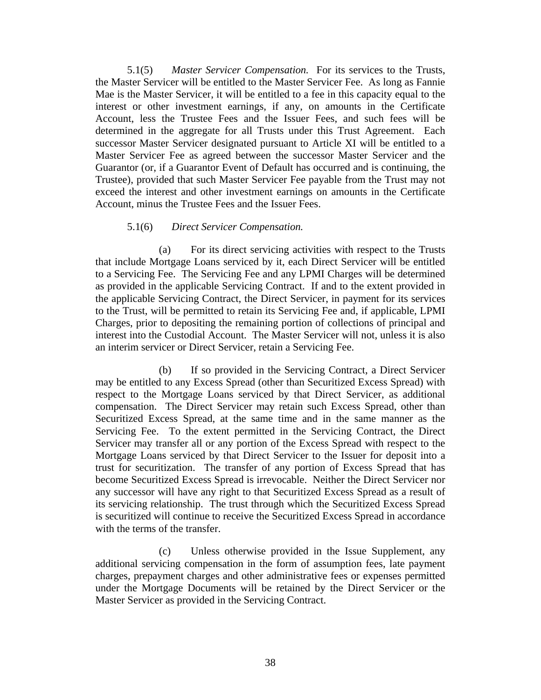5.1(5) *Master Servicer Compensation.* For its services to the Trusts, the Master Servicer will be entitled to the Master Servicer Fee. As long as Fannie Mae is the Master Servicer, it will be entitled to a fee in this capacity equal to the interest or other investment earnings, if any, on amounts in the Certificate Account, less the Trustee Fees and the Issuer Fees, and such fees will be determined in the aggregate for all Trusts under this Trust Agreement. Each successor Master Servicer designated pursuant to Article XI will be entitled to a Master Servicer Fee as agreed between the successor Master Servicer and the Guarantor (or, if a Guarantor Event of Default has occurred and is continuing, the Trustee), provided that such Master Servicer Fee payable from the Trust may not exceed the interest and other investment earnings on amounts in the Certificate Account, minus the Trustee Fees and the Issuer Fees.

# 5.1(6) *Direct Servicer Compensation.*

(a) For its direct servicing activities with respect to the Trusts that include Mortgage Loans serviced by it, each Direct Servicer will be entitled to a Servicing Fee. The Servicing Fee and any LPMI Charges will be determined as provided in the applicable Servicing Contract. If and to the extent provided in the applicable Servicing Contract, the Direct Servicer, in payment for its services to the Trust, will be permitted to retain its Servicing Fee and, if applicable, LPMI Charges, prior to depositing the remaining portion of collections of principal and interest into the Custodial Account. The Master Servicer will not, unless it is also an interim servicer or Direct Servicer, retain a Servicing Fee.

(b) If so provided in the Servicing Contract, a Direct Servicer may be entitled to any Excess Spread (other than Securitized Excess Spread) with respect to the Mortgage Loans serviced by that Direct Servicer, as additional compensation. The Direct Servicer may retain such Excess Spread, other than Securitized Excess Spread, at the same time and in the same manner as the Servicing Fee. To the extent permitted in the Servicing Contract, the Direct Servicer may transfer all or any portion of the Excess Spread with respect to the Mortgage Loans serviced by that Direct Servicer to the Issuer for deposit into a trust for securitization. The transfer of any portion of Excess Spread that has become Securitized Excess Spread is irrevocable. Neither the Direct Servicer nor any successor will have any right to that Securitized Excess Spread as a result of its servicing relationship. The trust through which the Securitized Excess Spread is securitized will continue to receive the Securitized Excess Spread in accordance with the terms of the transfer.

(c) Unless otherwise provided in the Issue Supplement, any additional servicing compensation in the form of assumption fees, late payment charges, prepayment charges and other administrative fees or expenses permitted under the Mortgage Documents will be retained by the Direct Servicer or the Master Servicer as provided in the Servicing Contract.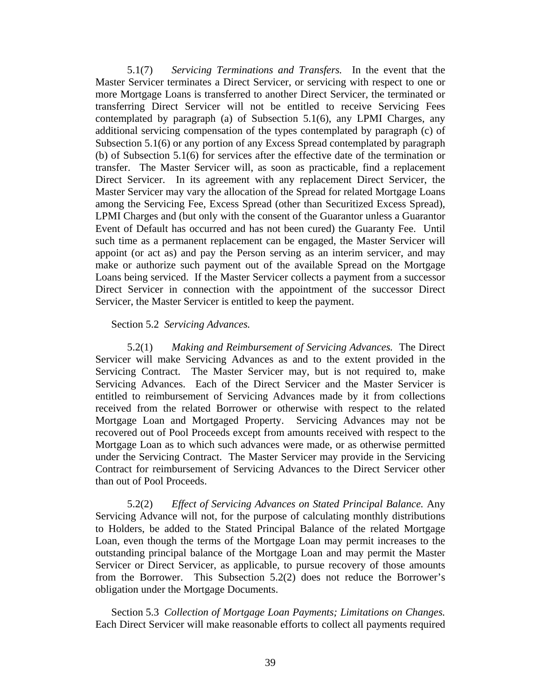5.1(7) *Servicing Terminations and Transfers.* In the event that the Master Servicer terminates a Direct Servicer, or servicing with respect to one or more Mortgage Loans is transferred to another Direct Servicer, the terminated or transferring Direct Servicer will not be entitled to receive Servicing Fees contemplated by paragraph (a) of Subsection 5.1(6), any LPMI Charges, any additional servicing compensation of the types contemplated by paragraph (c) of Subsection 5.1(6) or any portion of any Excess Spread contemplated by paragraph (b) of Subsection 5.1(6) for services after the effective date of the termination or transfer. The Master Servicer will, as soon as practicable, find a replacement Direct Servicer. In its agreement with any replacement Direct Servicer, the Master Servicer may vary the allocation of the Spread for related Mortgage Loans among the Servicing Fee, Excess Spread (other than Securitized Excess Spread), LPMI Charges and (but only with the consent of the Guarantor unless a Guarantor Event of Default has occurred and has not been cured) the Guaranty Fee. Until such time as a permanent replacement can be engaged, the Master Servicer will appoint (or act as) and pay the Person serving as an interim servicer, and may make or authorize such payment out of the available Spread on the Mortgage Loans being serviced. If the Master Servicer collects a payment from a successor Direct Servicer in connection with the appointment of the successor Direct Servicer, the Master Servicer is entitled to keep the payment.

#### Section 5.2 *Servicing Advances.*

5.2(1) *Making and Reimbursement of Servicing Advances.* The Direct Servicer will make Servicing Advances as and to the extent provided in the Servicing Contract. The Master Servicer may, but is not required to, make Servicing Advances. Each of the Direct Servicer and the Master Servicer is entitled to reimbursement of Servicing Advances made by it from collections received from the related Borrower or otherwise with respect to the related Mortgage Loan and Mortgaged Property. Servicing Advances may not be recovered out of Pool Proceeds except from amounts received with respect to the Mortgage Loan as to which such advances were made, or as otherwise permitted under the Servicing Contract. The Master Servicer may provide in the Servicing Contract for reimbursement of Servicing Advances to the Direct Servicer other than out of Pool Proceeds.

5.2(2) *Effect of Servicing Advances on Stated Principal Balance.* Any Servicing Advance will not, for the purpose of calculating monthly distributions to Holders, be added to the Stated Principal Balance of the related Mortgage Loan, even though the terms of the Mortgage Loan may permit increases to the outstanding principal balance of the Mortgage Loan and may permit the Master Servicer or Direct Servicer, as applicable, to pursue recovery of those amounts from the Borrower. This Subsection 5.2(2) does not reduce the Borrower's obligation under the Mortgage Documents.

Section 5.3 *Collection of Mortgage Loan Payments; Limitations on Changes.*  Each Direct Servicer will make reasonable efforts to collect all payments required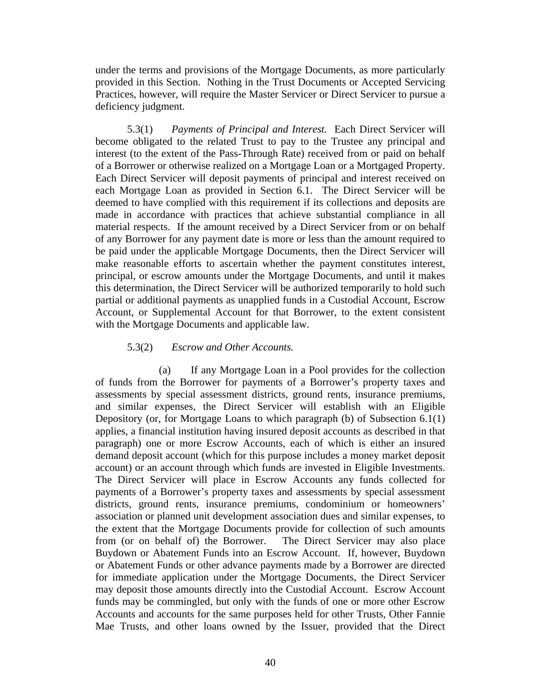under the terms and provisions of the Mortgage Documents, as more particularly provided in this Section. Nothing in the Trust Documents or Accepted Servicing Practices, however, will require the Master Servicer or Direct Servicer to pursue a deficiency judgment.

5.3(1) *Payments of Principal and Interest.* Each Direct Servicer will become obligated to the related Trust to pay to the Trustee any principal and interest (to the extent of the Pass-Through Rate) received from or paid on behalf of a Borrower or otherwise realized on a Mortgage Loan or a Mortgaged Property. Each Direct Servicer will deposit payments of principal and interest received on each Mortgage Loan as provided in Section 6.1. The Direct Servicer will be deemed to have complied with this requirement if its collections and deposits are made in accordance with practices that achieve substantial compliance in all material respects. If the amount received by a Direct Servicer from or on behalf of any Borrower for any payment date is more or less than the amount required to be paid under the applicable Mortgage Documents, then the Direct Servicer will make reasonable efforts to ascertain whether the payment constitutes interest, principal, or escrow amounts under the Mortgage Documents, and until it makes this determination, the Direct Servicer will be authorized temporarily to hold such partial or additional payments as unapplied funds in a Custodial Account, Escrow Account, or Supplemental Account for that Borrower, to the extent consistent with the Mortgage Documents and applicable law.

# 5.3(2) *Escrow and Other Accounts.*

(a) If any Mortgage Loan in a Pool provides for the collection of funds from the Borrower for payments of a Borrower's property taxes and assessments by special assessment districts, ground rents, insurance premiums, and similar expenses, the Direct Servicer will establish with an Eligible Depository (or, for Mortgage Loans to which paragraph (b) of Subsection 6.1(1) applies, a financial institution having insured deposit accounts as described in that paragraph) one or more Escrow Accounts, each of which is either an insured demand deposit account (which for this purpose includes a money market deposit account) or an account through which funds are invested in Eligible Investments. The Direct Servicer will place in Escrow Accounts any funds collected for payments of a Borrower's property taxes and assessments by special assessment districts, ground rents, insurance premiums, condominium or homeowners' association or planned unit development association dues and similar expenses, to the extent that the Mortgage Documents provide for collection of such amounts from (or on behalf of) the Borrower. The Direct Servicer may also place Buydown or Abatement Funds into an Escrow Account. If, however, Buydown or Abatement Funds or other advance payments made by a Borrower are directed for immediate application under the Mortgage Documents, the Direct Servicer may deposit those amounts directly into the Custodial Account. Escrow Account funds may be commingled, but only with the funds of one or more other Escrow Accounts and accounts for the same purposes held for other Trusts, Other Fannie Mae Trusts, and other loans owned by the Issuer, provided that the Direct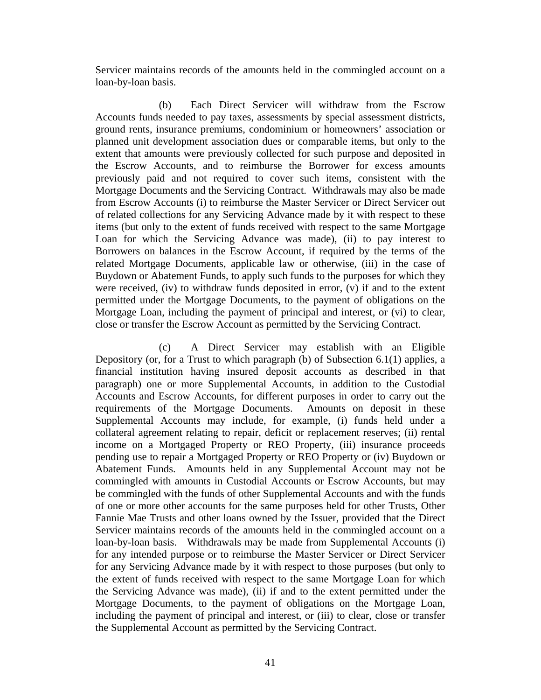Servicer maintains records of the amounts held in the commingled account on a loan-by-loan basis.

(b) Each Direct Servicer will withdraw from the Escrow Accounts funds needed to pay taxes, assessments by special assessment districts, ground rents, insurance premiums, condominium or homeowners' association or planned unit development association dues or comparable items, but only to the extent that amounts were previously collected for such purpose and deposited in the Escrow Accounts, and to reimburse the Borrower for excess amounts previously paid and not required to cover such items, consistent with the Mortgage Documents and the Servicing Contract. Withdrawals may also be made from Escrow Accounts (i) to reimburse the Master Servicer or Direct Servicer out of related collections for any Servicing Advance made by it with respect to these items (but only to the extent of funds received with respect to the same Mortgage Loan for which the Servicing Advance was made), (ii) to pay interest to Borrowers on balances in the Escrow Account, if required by the terms of the related Mortgage Documents, applicable law or otherwise, (iii) in the case of Buydown or Abatement Funds, to apply such funds to the purposes for which they were received, (iv) to withdraw funds deposited in error, (v) if and to the extent permitted under the Mortgage Documents, to the payment of obligations on the Mortgage Loan, including the payment of principal and interest, or (vi) to clear, close or transfer the Escrow Account as permitted by the Servicing Contract.

(c) A Direct Servicer may establish with an Eligible Depository (or, for a Trust to which paragraph (b) of Subsection 6.1(1) applies, a financial institution having insured deposit accounts as described in that paragraph) one or more Supplemental Accounts, in addition to the Custodial Accounts and Escrow Accounts, for different purposes in order to carry out the requirements of the Mortgage Documents. Amounts on deposit in these Supplemental Accounts may include, for example, (i) funds held under a collateral agreement relating to repair, deficit or replacement reserves; (ii) rental income on a Mortgaged Property or REO Property, (iii) insurance proceeds pending use to repair a Mortgaged Property or REO Property or (iv) Buydown or Abatement Funds. Amounts held in any Supplemental Account may not be commingled with amounts in Custodial Accounts or Escrow Accounts, but may be commingled with the funds of other Supplemental Accounts and with the funds of one or more other accounts for the same purposes held for other Trusts, Other Fannie Mae Trusts and other loans owned by the Issuer, provided that the Direct Servicer maintains records of the amounts held in the commingled account on a loan-by-loan basis. Withdrawals may be made from Supplemental Accounts (i) for any intended purpose or to reimburse the Master Servicer or Direct Servicer for any Servicing Advance made by it with respect to those purposes (but only to the extent of funds received with respect to the same Mortgage Loan for which the Servicing Advance was made), (ii) if and to the extent permitted under the Mortgage Documents, to the payment of obligations on the Mortgage Loan, including the payment of principal and interest, or (iii) to clear, close or transfer the Supplemental Account as permitted by the Servicing Contract.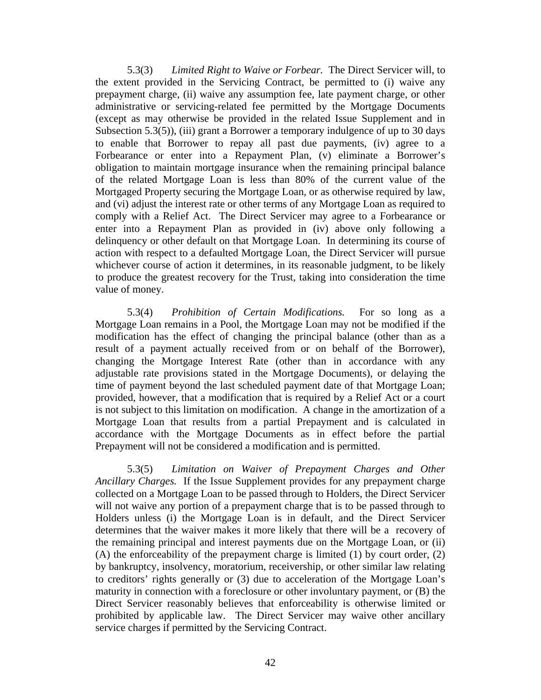5.3(3) *Limited Right to Waive or Forbear.* The Direct Servicer will, to the extent provided in the Servicing Contract, be permitted to (i) waive any prepayment charge, (ii) waive any assumption fee, late payment charge, or other administrative or servicing-related fee permitted by the Mortgage Documents (except as may otherwise be provided in the related Issue Supplement and in Subsection 5.3(5)), (iii) grant a Borrower a temporary indulgence of up to 30 days to enable that Borrower to repay all past due payments, (iv) agree to a Forbearance or enter into a Repayment Plan, (v) eliminate a Borrower's obligation to maintain mortgage insurance when the remaining principal balance of the related Mortgage Loan is less than 80% of the current value of the Mortgaged Property securing the Mortgage Loan, or as otherwise required by law, and (vi) adjust the interest rate or other terms of any Mortgage Loan as required to comply with a Relief Act. The Direct Servicer may agree to a Forbearance or enter into a Repayment Plan as provided in (iv) above only following a delinquency or other default on that Mortgage Loan. In determining its course of action with respect to a defaulted Mortgage Loan, the Direct Servicer will pursue whichever course of action it determines, in its reasonable judgment, to be likely to produce the greatest recovery for the Trust, taking into consideration the time value of money.

5.3(4) *Prohibition of Certain Modifications.* For so long as a Mortgage Loan remains in a Pool, the Mortgage Loan may not be modified if the modification has the effect of changing the principal balance (other than as a result of a payment actually received from or on behalf of the Borrower), changing the Mortgage Interest Rate (other than in accordance with any adjustable rate provisions stated in the Mortgage Documents), or delaying the time of payment beyond the last scheduled payment date of that Mortgage Loan; provided, however, that a modification that is required by a Relief Act or a court is not subject to this limitation on modification. A change in the amortization of a Mortgage Loan that results from a partial Prepayment and is calculated in accordance with the Mortgage Documents as in effect before the partial Prepayment will not be considered a modification and is permitted.

5.3(5) *Limitation on Waiver of Prepayment Charges and Other Ancillary Charges.* If the Issue Supplement provides for any prepayment charge collected on a Mortgage Loan to be passed through to Holders, the Direct Servicer will not waive any portion of a prepayment charge that is to be passed through to Holders unless (i) the Mortgage Loan is in default, and the Direct Servicer determines that the waiver makes it more likely that there will be a recovery of the remaining principal and interest payments due on the Mortgage Loan, or (ii) (A) the enforceability of the prepayment charge is limited (1) by court order, (2) by bankruptcy, insolvency, moratorium, receivership, or other similar law relating to creditors' rights generally or (3) due to acceleration of the Mortgage Loan's maturity in connection with a foreclosure or other involuntary payment, or (B) the Direct Servicer reasonably believes that enforceability is otherwise limited or prohibited by applicable law. The Direct Servicer may waive other ancillary service charges if permitted by the Servicing Contract.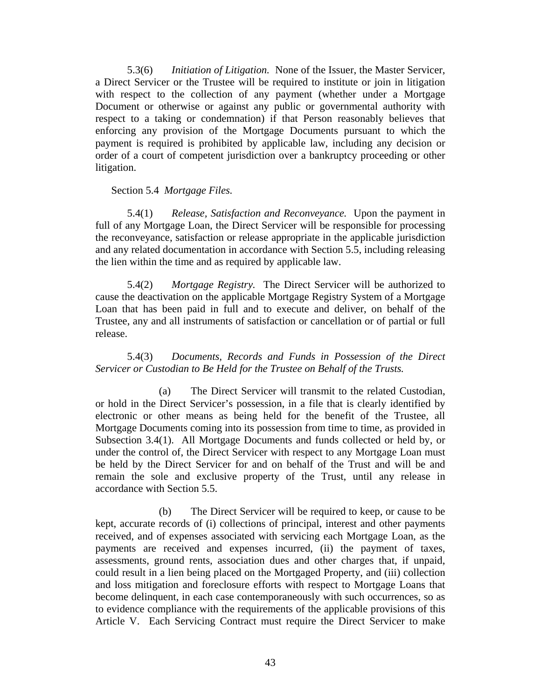5.3(6) *Initiation of Litigation.* None of the Issuer, the Master Servicer, a Direct Servicer or the Trustee will be required to institute or join in litigation with respect to the collection of any payment (whether under a Mortgage Document or otherwise or against any public or governmental authority with respect to a taking or condemnation) if that Person reasonably believes that enforcing any provision of the Mortgage Documents pursuant to which the payment is required is prohibited by applicable law, including any decision or order of a court of competent jurisdiction over a bankruptcy proceeding or other litigation.

# Section 5.4 *Mortgage Files.*

5.4(1) *Release, Satisfaction and Reconveyance.* Upon the payment in full of any Mortgage Loan, the Direct Servicer will be responsible for processing the reconveyance, satisfaction or release appropriate in the applicable jurisdiction and any related documentation in accordance with Section 5.5, including releasing the lien within the time and as required by applicable law.

5.4(2) *Mortgage Registry.* The Direct Servicer will be authorized to cause the deactivation on the applicable Mortgage Registry System of a Mortgage Loan that has been paid in full and to execute and deliver, on behalf of the Trustee, any and all instruments of satisfaction or cancellation or of partial or full release.

5.4(3) *Documents, Records and Funds in Possession of the Direct Servicer or Custodian to Be Held for the Trustee on Behalf of the Trusts.* 

(a) The Direct Servicer will transmit to the related Custodian, or hold in the Direct Servicer's possession, in a file that is clearly identified by electronic or other means as being held for the benefit of the Trustee, all Mortgage Documents coming into its possession from time to time, as provided in Subsection 3.4(1). All Mortgage Documents and funds collected or held by, or under the control of, the Direct Servicer with respect to any Mortgage Loan must be held by the Direct Servicer for and on behalf of the Trust and will be and remain the sole and exclusive property of the Trust, until any release in accordance with Section 5.5.

(b) The Direct Servicer will be required to keep, or cause to be kept, accurate records of (i) collections of principal, interest and other payments received, and of expenses associated with servicing each Mortgage Loan, as the payments are received and expenses incurred, (ii) the payment of taxes, assessments, ground rents, association dues and other charges that, if unpaid, could result in a lien being placed on the Mortgaged Property, and (iii) collection and loss mitigation and foreclosure efforts with respect to Mortgage Loans that become delinquent, in each case contemporaneously with such occurrences, so as to evidence compliance with the requirements of the applicable provisions of this Article V. Each Servicing Contract must require the Direct Servicer to make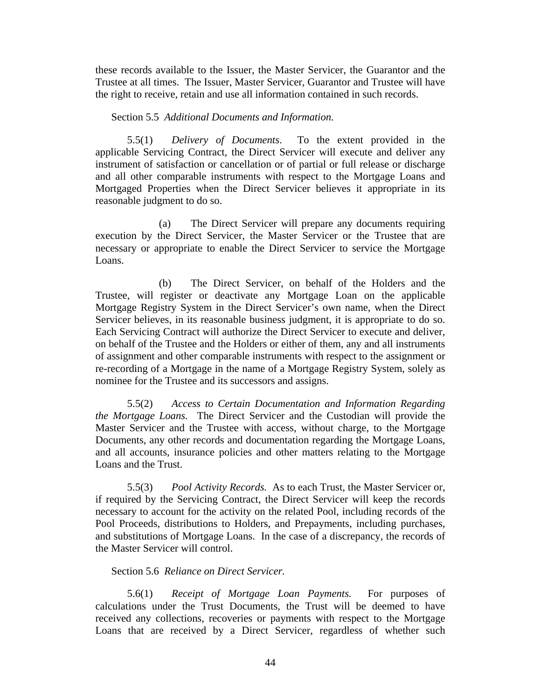these records available to the Issuer, the Master Servicer, the Guarantor and the Trustee at all times. The Issuer, Master Servicer, Guarantor and Trustee will have the right to receive, retain and use all information contained in such records.

## Section 5.5 *Additional Documents and Information.*

5.5(1) *Delivery of Documents*. To the extent provided in the applicable Servicing Contract, the Direct Servicer will execute and deliver any instrument of satisfaction or cancellation or of partial or full release or discharge and all other comparable instruments with respect to the Mortgage Loans and Mortgaged Properties when the Direct Servicer believes it appropriate in its reasonable judgment to do so.

(a) The Direct Servicer will prepare any documents requiring execution by the Direct Servicer, the Master Servicer or the Trustee that are necessary or appropriate to enable the Direct Servicer to service the Mortgage Loans.

(b) The Direct Servicer, on behalf of the Holders and the Trustee, will register or deactivate any Mortgage Loan on the applicable Mortgage Registry System in the Direct Servicer's own name, when the Direct Servicer believes, in its reasonable business judgment, it is appropriate to do so. Each Servicing Contract will authorize the Direct Servicer to execute and deliver, on behalf of the Trustee and the Holders or either of them, any and all instruments of assignment and other comparable instruments with respect to the assignment or re-recording of a Mortgage in the name of a Mortgage Registry System, solely as nominee for the Trustee and its successors and assigns.

5.5(2) *Access to Certain Documentation and Information Regarding the Mortgage Loans.* The Direct Servicer and the Custodian will provide the Master Servicer and the Trustee with access, without charge, to the Mortgage Documents, any other records and documentation regarding the Mortgage Loans, and all accounts, insurance policies and other matters relating to the Mortgage Loans and the Trust.

5.5(3) *Pool Activity Records.* As to each Trust, the Master Servicer or, if required by the Servicing Contract, the Direct Servicer will keep the records necessary to account for the activity on the related Pool, including records of the Pool Proceeds, distributions to Holders, and Prepayments, including purchases, and substitutions of Mortgage Loans. In the case of a discrepancy, the records of the Master Servicer will control.

#### Section 5.6 *Reliance on Direct Servicer.*

5.6(1) *Receipt of Mortgage Loan Payments.* For purposes of calculations under the Trust Documents, the Trust will be deemed to have received any collections, recoveries or payments with respect to the Mortgage Loans that are received by a Direct Servicer, regardless of whether such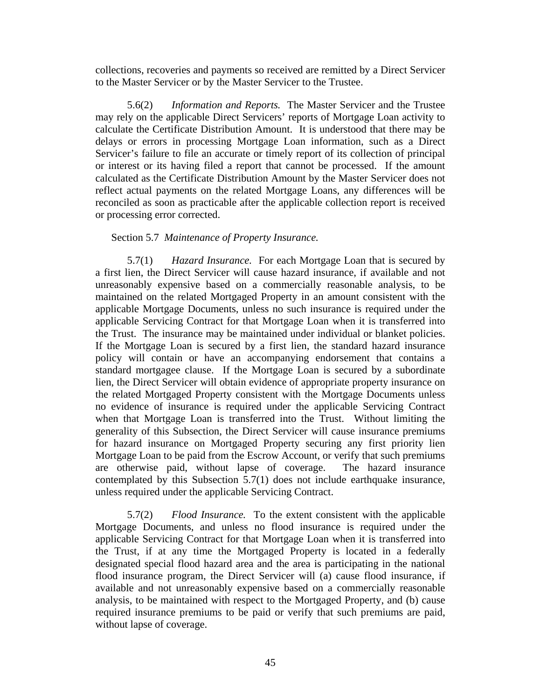collections, recoveries and payments so received are remitted by a Direct Servicer to the Master Servicer or by the Master Servicer to the Trustee.

5.6(2) *Information and Reports.* The Master Servicer and the Trustee may rely on the applicable Direct Servicers' reports of Mortgage Loan activity to calculate the Certificate Distribution Amount. It is understood that there may be delays or errors in processing Mortgage Loan information, such as a Direct Servicer's failure to file an accurate or timely report of its collection of principal or interest or its having filed a report that cannot be processed. If the amount calculated as the Certificate Distribution Amount by the Master Servicer does not reflect actual payments on the related Mortgage Loans, any differences will be reconciled as soon as practicable after the applicable collection report is received or processing error corrected.

# Section 5.7 *Maintenance of Property Insurance.*

5.7(1) *Hazard Insurance.* For each Mortgage Loan that is secured by a first lien, the Direct Servicer will cause hazard insurance, if available and not unreasonably expensive based on a commercially reasonable analysis, to be maintained on the related Mortgaged Property in an amount consistent with the applicable Mortgage Documents, unless no such insurance is required under the applicable Servicing Contract for that Mortgage Loan when it is transferred into the Trust. The insurance may be maintained under individual or blanket policies. If the Mortgage Loan is secured by a first lien, the standard hazard insurance policy will contain or have an accompanying endorsement that contains a standard mortgagee clause. If the Mortgage Loan is secured by a subordinate lien, the Direct Servicer will obtain evidence of appropriate property insurance on the related Mortgaged Property consistent with the Mortgage Documents unless no evidence of insurance is required under the applicable Servicing Contract when that Mortgage Loan is transferred into the Trust. Without limiting the generality of this Subsection, the Direct Servicer will cause insurance premiums for hazard insurance on Mortgaged Property securing any first priority lien Mortgage Loan to be paid from the Escrow Account, or verify that such premiums are otherwise paid, without lapse of coverage. The hazard insurance contemplated by this Subsection 5.7(1) does not include earthquake insurance, unless required under the applicable Servicing Contract.

5.7(2) *Flood Insurance.* To the extent consistent with the applicable Mortgage Documents, and unless no flood insurance is required under the applicable Servicing Contract for that Mortgage Loan when it is transferred into the Trust, if at any time the Mortgaged Property is located in a federally designated special flood hazard area and the area is participating in the national flood insurance program, the Direct Servicer will (a) cause flood insurance, if available and not unreasonably expensive based on a commercially reasonable analysis, to be maintained with respect to the Mortgaged Property, and (b) cause required insurance premiums to be paid or verify that such premiums are paid, without lapse of coverage.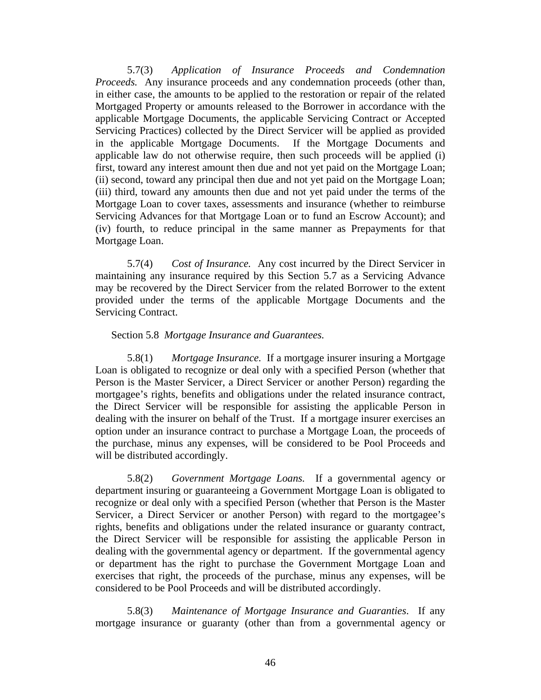5.7(3) *Application of Insurance Proceeds and Condemnation Proceeds.* Any insurance proceeds and any condemnation proceeds (other than, in either case, the amounts to be applied to the restoration or repair of the related Mortgaged Property or amounts released to the Borrower in accordance with the applicable Mortgage Documents, the applicable Servicing Contract or Accepted Servicing Practices) collected by the Direct Servicer will be applied as provided in the applicable Mortgage Documents. If the Mortgage Documents and applicable law do not otherwise require, then such proceeds will be applied (i) first, toward any interest amount then due and not yet paid on the Mortgage Loan; (ii) second, toward any principal then due and not yet paid on the Mortgage Loan; (iii) third, toward any amounts then due and not yet paid under the terms of the Mortgage Loan to cover taxes, assessments and insurance (whether to reimburse Servicing Advances for that Mortgage Loan or to fund an Escrow Account); and (iv) fourth, to reduce principal in the same manner as Prepayments for that Mortgage Loan.

5.7(4) *Cost of Insurance.* Any cost incurred by the Direct Servicer in maintaining any insurance required by this Section 5.7 as a Servicing Advance may be recovered by the Direct Servicer from the related Borrower to the extent provided under the terms of the applicable Mortgage Documents and the Servicing Contract.

# Section 5.8 *Mortgage Insurance and Guarantees.*

5.8(1) *Mortgage Insurance.* If a mortgage insurer insuring a Mortgage Loan is obligated to recognize or deal only with a specified Person (whether that Person is the Master Servicer, a Direct Servicer or another Person) regarding the mortgagee's rights, benefits and obligations under the related insurance contract, the Direct Servicer will be responsible for assisting the applicable Person in dealing with the insurer on behalf of the Trust. If a mortgage insurer exercises an option under an insurance contract to purchase a Mortgage Loan, the proceeds of the purchase, minus any expenses, will be considered to be Pool Proceeds and will be distributed accordingly.

5.8(2) *Government Mortgage Loans.* If a governmental agency or department insuring or guaranteeing a Government Mortgage Loan is obligated to recognize or deal only with a specified Person (whether that Person is the Master Servicer, a Direct Servicer or another Person) with regard to the mortgagee's rights, benefits and obligations under the related insurance or guaranty contract, the Direct Servicer will be responsible for assisting the applicable Person in dealing with the governmental agency or department. If the governmental agency or department has the right to purchase the Government Mortgage Loan and exercises that right, the proceeds of the purchase, minus any expenses, will be considered to be Pool Proceeds and will be distributed accordingly.

5.8(3) *Maintenance of Mortgage Insurance and Guaranties*. If any mortgage insurance or guaranty (other than from a governmental agency or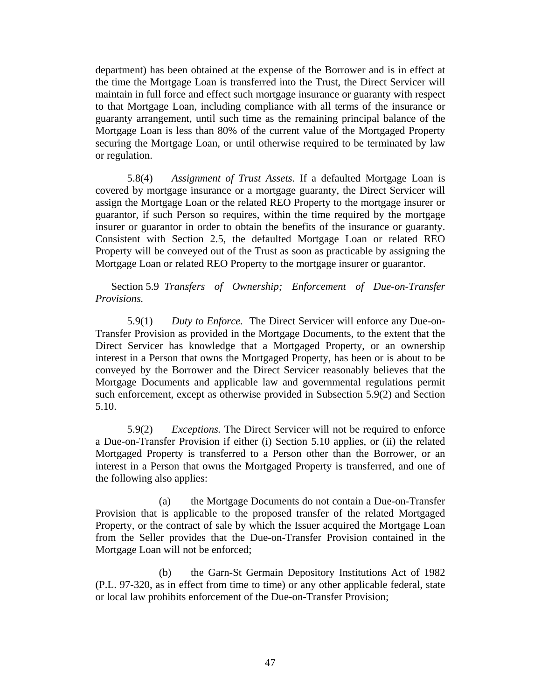department) has been obtained at the expense of the Borrower and is in effect at the time the Mortgage Loan is transferred into the Trust, the Direct Servicer will maintain in full force and effect such mortgage insurance or guaranty with respect to that Mortgage Loan, including compliance with all terms of the insurance or guaranty arrangement, until such time as the remaining principal balance of the Mortgage Loan is less than 80% of the current value of the Mortgaged Property securing the Mortgage Loan, or until otherwise required to be terminated by law or regulation.

5.8(4) *Assignment of Trust Assets.* If a defaulted Mortgage Loan is covered by mortgage insurance or a mortgage guaranty, the Direct Servicer will assign the Mortgage Loan or the related REO Property to the mortgage insurer or guarantor, if such Person so requires, within the time required by the mortgage insurer or guarantor in order to obtain the benefits of the insurance or guaranty. Consistent with Section 2.5, the defaulted Mortgage Loan or related REO Property will be conveyed out of the Trust as soon as practicable by assigning the Mortgage Loan or related REO Property to the mortgage insurer or guarantor.

Section 5.9 *Transfers of Ownership; Enforcement of Due-on-Transfer Provisions.* 

5.9(1) *Duty to Enforce.* The Direct Servicer will enforce any Due-on-Transfer Provision as provided in the Mortgage Documents, to the extent that the Direct Servicer has knowledge that a Mortgaged Property, or an ownership interest in a Person that owns the Mortgaged Property, has been or is about to be conveyed by the Borrower and the Direct Servicer reasonably believes that the Mortgage Documents and applicable law and governmental regulations permit such enforcement, except as otherwise provided in Subsection 5.9(2) and Section 5.10.

5.9(2) *Exceptions.* The Direct Servicer will not be required to enforce a Due-on-Transfer Provision if either (i) Section 5.10 applies, or (ii) the related Mortgaged Property is transferred to a Person other than the Borrower, or an interest in a Person that owns the Mortgaged Property is transferred, and one of the following also applies:

(a) the Mortgage Documents do not contain a Due-on-Transfer Provision that is applicable to the proposed transfer of the related Mortgaged Property, or the contract of sale by which the Issuer acquired the Mortgage Loan from the Seller provides that the Due-on-Transfer Provision contained in the Mortgage Loan will not be enforced;

(b) the Garn-St Germain Depository Institutions Act of 1982 (P.L. 97-320, as in effect from time to time) or any other applicable federal, state or local law prohibits enforcement of the Due-on-Transfer Provision;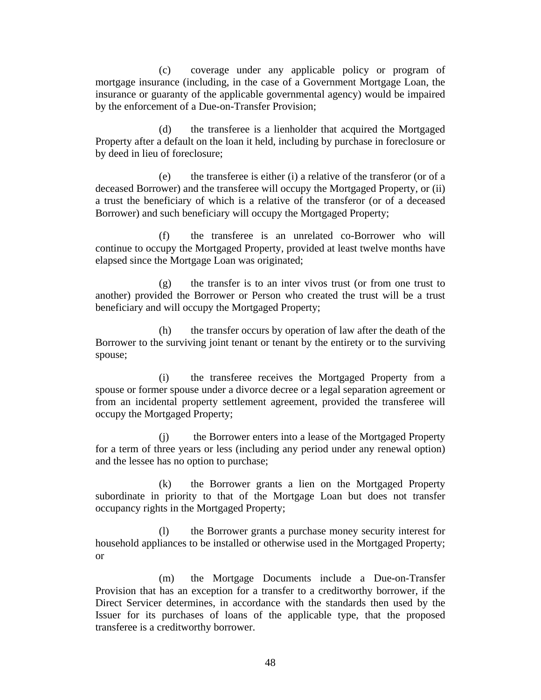(c) coverage under any applicable policy or program of mortgage insurance (including, in the case of a Government Mortgage Loan, the insurance or guaranty of the applicable governmental agency) would be impaired by the enforcement of a Due-on-Transfer Provision;

(d) the transferee is a lienholder that acquired the Mortgaged Property after a default on the loan it held, including by purchase in foreclosure or by deed in lieu of foreclosure;

(e) the transferee is either (i) a relative of the transferor (or of a deceased Borrower) and the transferee will occupy the Mortgaged Property, or (ii) a trust the beneficiary of which is a relative of the transferor (or of a deceased Borrower) and such beneficiary will occupy the Mortgaged Property;

(f) the transferee is an unrelated co-Borrower who will continue to occupy the Mortgaged Property, provided at least twelve months have elapsed since the Mortgage Loan was originated;

(g) the transfer is to an inter vivos trust (or from one trust to another) provided the Borrower or Person who created the trust will be a trust beneficiary and will occupy the Mortgaged Property;

(h) the transfer occurs by operation of law after the death of the Borrower to the surviving joint tenant or tenant by the entirety or to the surviving spouse;

(i) the transferee receives the Mortgaged Property from a spouse or former spouse under a divorce decree or a legal separation agreement or from an incidental property settlement agreement, provided the transferee will occupy the Mortgaged Property;

(j) the Borrower enters into a lease of the Mortgaged Property for a term of three years or less (including any period under any renewal option) and the lessee has no option to purchase;

(k) the Borrower grants a lien on the Mortgaged Property subordinate in priority to that of the Mortgage Loan but does not transfer occupancy rights in the Mortgaged Property;

(l) the Borrower grants a purchase money security interest for household appliances to be installed or otherwise used in the Mortgaged Property; or

(m) the Mortgage Documents include a Due-on-Transfer Provision that has an exception for a transfer to a creditworthy borrower, if the Direct Servicer determines, in accordance with the standards then used by the Issuer for its purchases of loans of the applicable type, that the proposed transferee is a creditworthy borrower.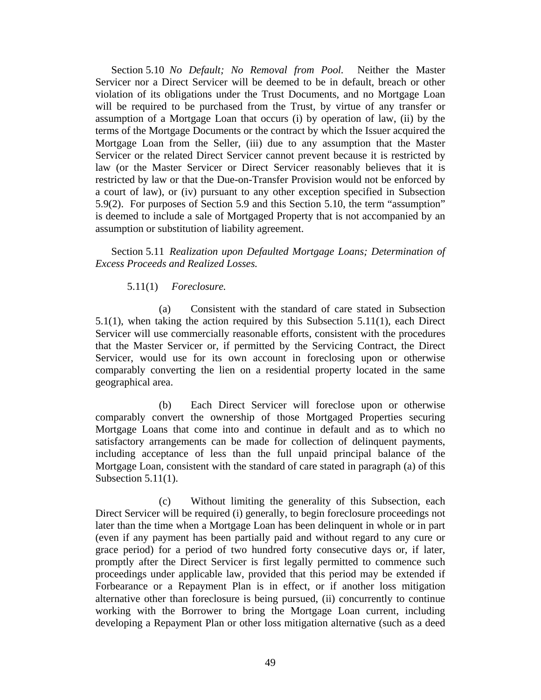Section 5.10 *No Default; No Removal from Pool.* Neither the Master Servicer nor a Direct Servicer will be deemed to be in default, breach or other violation of its obligations under the Trust Documents, and no Mortgage Loan will be required to be purchased from the Trust, by virtue of any transfer or assumption of a Mortgage Loan that occurs (i) by operation of law, (ii) by the terms of the Mortgage Documents or the contract by which the Issuer acquired the Mortgage Loan from the Seller, (iii) due to any assumption that the Master Servicer or the related Direct Servicer cannot prevent because it is restricted by law (or the Master Servicer or Direct Servicer reasonably believes that it is restricted by law or that the Due-on-Transfer Provision would not be enforced by a court of law), or (iv) pursuant to any other exception specified in Subsection 5.9(2). For purposes of Section 5.9 and this Section 5.10, the term "assumption" is deemed to include a sale of Mortgaged Property that is not accompanied by an assumption or substitution of liability agreement.

Section 5.11 *Realization upon Defaulted Mortgage Loans; Determination of Excess Proceeds and Realized Losses.* 

# 5.11(1) *Foreclosure.*

(a) Consistent with the standard of care stated in Subsection 5.1(1), when taking the action required by this Subsection 5.11(1), each Direct Servicer will use commercially reasonable efforts, consistent with the procedures that the Master Servicer or, if permitted by the Servicing Contract, the Direct Servicer, would use for its own account in foreclosing upon or otherwise comparably converting the lien on a residential property located in the same geographical area.

(b) Each Direct Servicer will foreclose upon or otherwise comparably convert the ownership of those Mortgaged Properties securing Mortgage Loans that come into and continue in default and as to which no satisfactory arrangements can be made for collection of delinquent payments, including acceptance of less than the full unpaid principal balance of the Mortgage Loan, consistent with the standard of care stated in paragraph (a) of this Subsection 5.11(1).

(c) Without limiting the generality of this Subsection, each Direct Servicer will be required (i) generally, to begin foreclosure proceedings not later than the time when a Mortgage Loan has been delinquent in whole or in part (even if any payment has been partially paid and without regard to any cure or grace period) for a period of two hundred forty consecutive days or, if later, promptly after the Direct Servicer is first legally permitted to commence such proceedings under applicable law, provided that this period may be extended if Forbearance or a Repayment Plan is in effect, or if another loss mitigation alternative other than foreclosure is being pursued, (ii) concurrently to continue working with the Borrower to bring the Mortgage Loan current, including developing a Repayment Plan or other loss mitigation alternative (such as a deed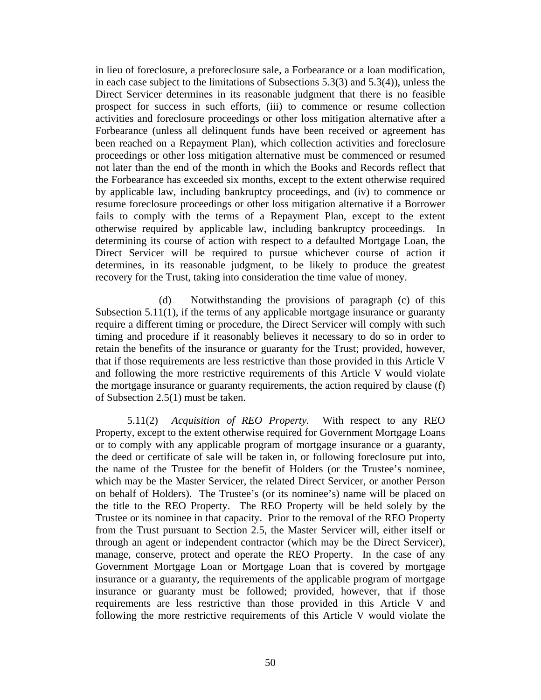in lieu of foreclosure, a preforeclosure sale, a Forbearance or a loan modification, in each case subject to the limitations of Subsections 5.3(3) and 5.3(4)), unless the Direct Servicer determines in its reasonable judgment that there is no feasible prospect for success in such efforts, (iii) to commence or resume collection activities and foreclosure proceedings or other loss mitigation alternative after a Forbearance (unless all delinquent funds have been received or agreement has been reached on a Repayment Plan), which collection activities and foreclosure proceedings or other loss mitigation alternative must be commenced or resumed not later than the end of the month in which the Books and Records reflect that the Forbearance has exceeded six months, except to the extent otherwise required by applicable law, including bankruptcy proceedings, and (iv) to commence or resume foreclosure proceedings or other loss mitigation alternative if a Borrower fails to comply with the terms of a Repayment Plan, except to the extent otherwise required by applicable law, including bankruptcy proceedings. In determining its course of action with respect to a defaulted Mortgage Loan, the Direct Servicer will be required to pursue whichever course of action it determines, in its reasonable judgment, to be likely to produce the greatest recovery for the Trust, taking into consideration the time value of money.

(d) Notwithstanding the provisions of paragraph (c) of this Subsection 5.11(1), if the terms of any applicable mortgage insurance or guaranty require a different timing or procedure, the Direct Servicer will comply with such timing and procedure if it reasonably believes it necessary to do so in order to retain the benefits of the insurance or guaranty for the Trust; provided, however, that if those requirements are less restrictive than those provided in this Article V and following the more restrictive requirements of this Article V would violate the mortgage insurance or guaranty requirements, the action required by clause (f) of Subsection 2.5(1) must be taken.

5.11(2) *Acquisition of REO Property.* With respect to any REO Property, except to the extent otherwise required for Government Mortgage Loans or to comply with any applicable program of mortgage insurance or a guaranty, the deed or certificate of sale will be taken in, or following foreclosure put into, the name of the Trustee for the benefit of Holders (or the Trustee's nominee, which may be the Master Servicer, the related Direct Servicer, or another Person on behalf of Holders). The Trustee's (or its nominee's) name will be placed on the title to the REO Property. The REO Property will be held solely by the Trustee or its nominee in that capacity. Prior to the removal of the REO Property from the Trust pursuant to Section 2.5, the Master Servicer will, either itself or through an agent or independent contractor (which may be the Direct Servicer), manage, conserve, protect and operate the REO Property. In the case of any Government Mortgage Loan or Mortgage Loan that is covered by mortgage insurance or a guaranty, the requirements of the applicable program of mortgage insurance or guaranty must be followed; provided, however, that if those requirements are less restrictive than those provided in this Article V and following the more restrictive requirements of this Article V would violate the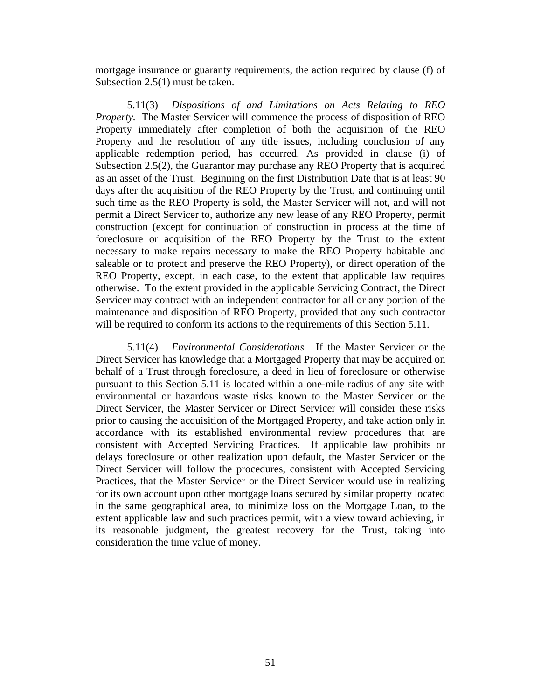mortgage insurance or guaranty requirements, the action required by clause (f) of Subsection 2.5(1) must be taken.

5.11(3) *Dispositions of and Limitations on Acts Relating to REO Property.* The Master Servicer will commence the process of disposition of REO Property immediately after completion of both the acquisition of the REO Property and the resolution of any title issues, including conclusion of any applicable redemption period, has occurred. As provided in clause (i) of Subsection 2.5(2), the Guarantor may purchase any REO Property that is acquired as an asset of the Trust. Beginning on the first Distribution Date that is at least 90 days after the acquisition of the REO Property by the Trust, and continuing until such time as the REO Property is sold, the Master Servicer will not, and will not permit a Direct Servicer to, authorize any new lease of any REO Property, permit construction (except for continuation of construction in process at the time of foreclosure or acquisition of the REO Property by the Trust to the extent necessary to make repairs necessary to make the REO Property habitable and saleable or to protect and preserve the REO Property), or direct operation of the REO Property, except, in each case, to the extent that applicable law requires otherwise. To the extent provided in the applicable Servicing Contract, the Direct Servicer may contract with an independent contractor for all or any portion of the maintenance and disposition of REO Property, provided that any such contractor will be required to conform its actions to the requirements of this Section 5.11.

5.11(4) *Environmental Considerations.* If the Master Servicer or the Direct Servicer has knowledge that a Mortgaged Property that may be acquired on behalf of a Trust through foreclosure, a deed in lieu of foreclosure or otherwise pursuant to this Section 5.11 is located within a one-mile radius of any site with environmental or hazardous waste risks known to the Master Servicer or the Direct Servicer, the Master Servicer or Direct Servicer will consider these risks prior to causing the acquisition of the Mortgaged Property, and take action only in accordance with its established environmental review procedures that are consistent with Accepted Servicing Practices. If applicable law prohibits or delays foreclosure or other realization upon default, the Master Servicer or the Direct Servicer will follow the procedures, consistent with Accepted Servicing Practices, that the Master Servicer or the Direct Servicer would use in realizing for its own account upon other mortgage loans secured by similar property located in the same geographical area, to minimize loss on the Mortgage Loan, to the extent applicable law and such practices permit, with a view toward achieving, in its reasonable judgment, the greatest recovery for the Trust, taking into consideration the time value of money.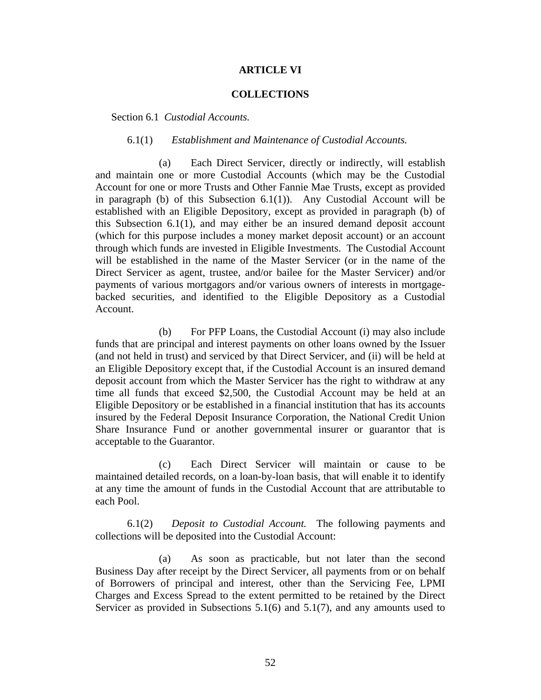## **ARTICLE VI**

### **COLLECTIONS**

Section 6.1 *Custodial Accounts.* 

#### 6.1(1) *Establishment and Maintenance of Custodial Accounts.*

(a) Each Direct Servicer, directly or indirectly, will establish and maintain one or more Custodial Accounts (which may be the Custodial Account for one or more Trusts and Other Fannie Mae Trusts, except as provided in paragraph (b) of this Subsection  $6.1(1)$ ). Any Custodial Account will be established with an Eligible Depository, except as provided in paragraph (b) of this Subsection 6.1(1), and may either be an insured demand deposit account (which for this purpose includes a money market deposit account) or an account through which funds are invested in Eligible Investments. The Custodial Account will be established in the name of the Master Servicer (or in the name of the Direct Servicer as agent, trustee, and/or bailee for the Master Servicer) and/or payments of various mortgagors and/or various owners of interests in mortgagebacked securities, and identified to the Eligible Depository as a Custodial Account.

(b) For PFP Loans, the Custodial Account (i) may also include funds that are principal and interest payments on other loans owned by the Issuer (and not held in trust) and serviced by that Direct Servicer, and (ii) will be held at an Eligible Depository except that, if the Custodial Account is an insured demand deposit account from which the Master Servicer has the right to withdraw at any time all funds that exceed \$2,500, the Custodial Account may be held at an Eligible Depository or be established in a financial institution that has its accounts insured by the Federal Deposit Insurance Corporation, the National Credit Union Share Insurance Fund or another governmental insurer or guarantor that is acceptable to the Guarantor.

(c) Each Direct Servicer will maintain or cause to be maintained detailed records, on a loan-by-loan basis, that will enable it to identify at any time the amount of funds in the Custodial Account that are attributable to each Pool.

6.1(2) *Deposit to Custodial Account.* The following payments and collections will be deposited into the Custodial Account:

(a) As soon as practicable, but not later than the second Business Day after receipt by the Direct Servicer, all payments from or on behalf of Borrowers of principal and interest, other than the Servicing Fee, LPMI Charges and Excess Spread to the extent permitted to be retained by the Direct Servicer as provided in Subsections 5.1(6) and 5.1(7), and any amounts used to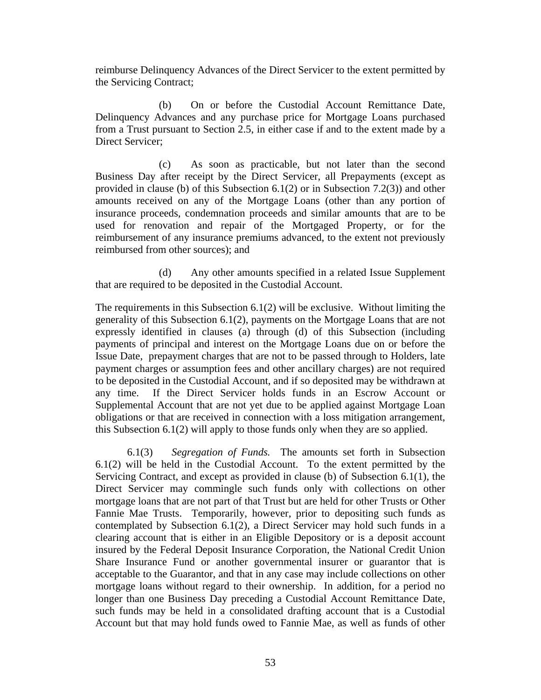reimburse Delinquency Advances of the Direct Servicer to the extent permitted by the Servicing Contract;

(b) On or before the Custodial Account Remittance Date, Delinquency Advances and any purchase price for Mortgage Loans purchased from a Trust pursuant to Section 2.5, in either case if and to the extent made by a Direct Servicer;

(c) As soon as practicable, but not later than the second Business Day after receipt by the Direct Servicer, all Prepayments (except as provided in clause (b) of this Subsection 6.1(2) or in Subsection 7.2(3)) and other amounts received on any of the Mortgage Loans (other than any portion of insurance proceeds, condemnation proceeds and similar amounts that are to be used for renovation and repair of the Mortgaged Property, or for the reimbursement of any insurance premiums advanced, to the extent not previously reimbursed from other sources); and

(d) Any other amounts specified in a related Issue Supplement that are required to be deposited in the Custodial Account.

The requirements in this Subsection  $6.1(2)$  will be exclusive. Without limiting the generality of this Subsection 6.1(2), payments on the Mortgage Loans that are not expressly identified in clauses (a) through (d) of this Subsection (including payments of principal and interest on the Mortgage Loans due on or before the Issue Date, prepayment charges that are not to be passed through to Holders, late payment charges or assumption fees and other ancillary charges) are not required to be deposited in the Custodial Account, and if so deposited may be withdrawn at any time. If the Direct Servicer holds funds in an Escrow Account or Supplemental Account that are not yet due to be applied against Mortgage Loan obligations or that are received in connection with a loss mitigation arrangement, this Subsection 6.1(2) will apply to those funds only when they are so applied.

6.1(3) *Segregation of Funds.* The amounts set forth in Subsection 6.1(2) will be held in the Custodial Account. To the extent permitted by the Servicing Contract, and except as provided in clause (b) of Subsection 6.1(1), the Direct Servicer may commingle such funds only with collections on other mortgage loans that are not part of that Trust but are held for other Trusts or Other Fannie Mae Trusts. Temporarily, however, prior to depositing such funds as contemplated by Subsection 6.1(2), a Direct Servicer may hold such funds in a clearing account that is either in an Eligible Depository or is a deposit account insured by the Federal Deposit Insurance Corporation, the National Credit Union Share Insurance Fund or another governmental insurer or guarantor that is acceptable to the Guarantor, and that in any case may include collections on other mortgage loans without regard to their ownership. In addition, for a period no longer than one Business Day preceding a Custodial Account Remittance Date, such funds may be held in a consolidated drafting account that is a Custodial Account but that may hold funds owed to Fannie Mae, as well as funds of other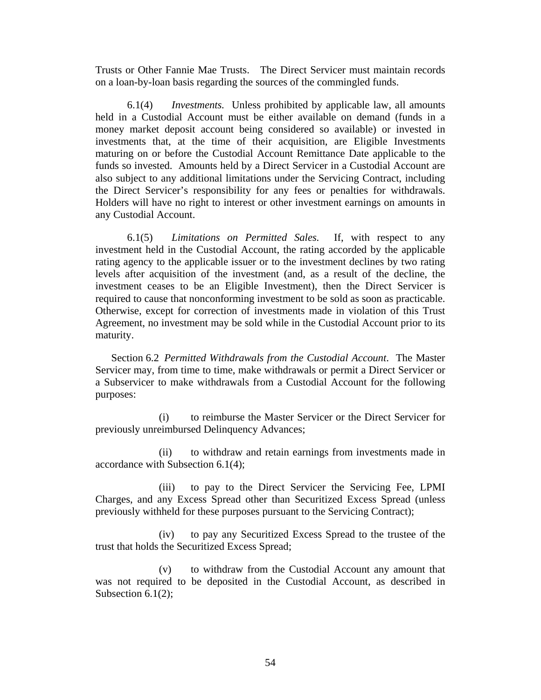Trusts or Other Fannie Mae Trusts. The Direct Servicer must maintain records on a loan-by-loan basis regarding the sources of the commingled funds.

6.1(4) *Investments.* Unless prohibited by applicable law, all amounts held in a Custodial Account must be either available on demand (funds in a money market deposit account being considered so available) or invested in investments that, at the time of their acquisition, are Eligible Investments maturing on or before the Custodial Account Remittance Date applicable to the funds so invested. Amounts held by a Direct Servicer in a Custodial Account are also subject to any additional limitations under the Servicing Contract, including the Direct Servicer's responsibility for any fees or penalties for withdrawals. Holders will have no right to interest or other investment earnings on amounts in any Custodial Account.

6.1(5) *Limitations on Permitted Sales.* If, with respect to any investment held in the Custodial Account, the rating accorded by the applicable rating agency to the applicable issuer or to the investment declines by two rating levels after acquisition of the investment (and, as a result of the decline, the investment ceases to be an Eligible Investment), then the Direct Servicer is required to cause that nonconforming investment to be sold as soon as practicable. Otherwise, except for correction of investments made in violation of this Trust Agreement, no investment may be sold while in the Custodial Account prior to its maturity.

Section 6.2 *Permitted Withdrawals from the Custodial Account*. The Master Servicer may, from time to time, make withdrawals or permit a Direct Servicer or a Subservicer to make withdrawals from a Custodial Account for the following purposes:

(i) to reimburse the Master Servicer or the Direct Servicer for previously unreimbursed Delinquency Advances;

(ii) to withdraw and retain earnings from investments made in accordance with Subsection 6.1(4);

(iii) to pay to the Direct Servicer the Servicing Fee, LPMI Charges, and any Excess Spread other than Securitized Excess Spread (unless previously withheld for these purposes pursuant to the Servicing Contract);

(iv) to pay any Securitized Excess Spread to the trustee of the trust that holds the Securitized Excess Spread;

(v) to withdraw from the Custodial Account any amount that was not required to be deposited in the Custodial Account, as described in Subsection 6.1(2);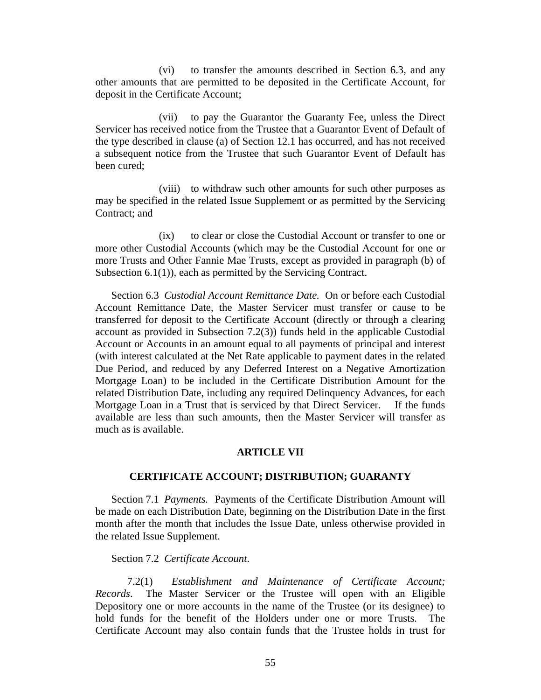(vi) to transfer the amounts described in Section 6.3, and any other amounts that are permitted to be deposited in the Certificate Account, for deposit in the Certificate Account;

(vii) to pay the Guarantor the Guaranty Fee, unless the Direct Servicer has received notice from the Trustee that a Guarantor Event of Default of the type described in clause (a) of Section 12.1 has occurred, and has not received a subsequent notice from the Trustee that such Guarantor Event of Default has been cured;

(viii) to withdraw such other amounts for such other purposes as may be specified in the related Issue Supplement or as permitted by the Servicing Contract; and

(ix) to clear or close the Custodial Account or transfer to one or more other Custodial Accounts (which may be the Custodial Account for one or more Trusts and Other Fannie Mae Trusts, except as provided in paragraph (b) of Subsection 6.1(1)), each as permitted by the Servicing Contract.

Section 6.3 *Custodial Account Remittance Date.* On or before each Custodial Account Remittance Date, the Master Servicer must transfer or cause to be transferred for deposit to the Certificate Account (directly or through a clearing account as provided in Subsection 7.2(3)) funds held in the applicable Custodial Account or Accounts in an amount equal to all payments of principal and interest (with interest calculated at the Net Rate applicable to payment dates in the related Due Period, and reduced by any Deferred Interest on a Negative Amortization Mortgage Loan) to be included in the Certificate Distribution Amount for the related Distribution Date, including any required Delinquency Advances, for each Mortgage Loan in a Trust that is serviced by that Direct Servicer. If the funds available are less than such amounts, then the Master Servicer will transfer as much as is available.

# **ARTICLE VII**

# **CERTIFICATE ACCOUNT; DISTRIBUTION; GUARANTY**

Section 7.1 *Payments.* Payments of the Certificate Distribution Amount will be made on each Distribution Date, beginning on the Distribution Date in the first month after the month that includes the Issue Date, unless otherwise provided in the related Issue Supplement.

Section 7.2 *Certificate Account*.

7.2(1) *Establishment and Maintenance of Certificate Account; Records*. The Master Servicer or the Trustee will open with an Eligible Depository one or more accounts in the name of the Trustee (or its designee) to hold funds for the benefit of the Holders under one or more Trusts. The Certificate Account may also contain funds that the Trustee holds in trust for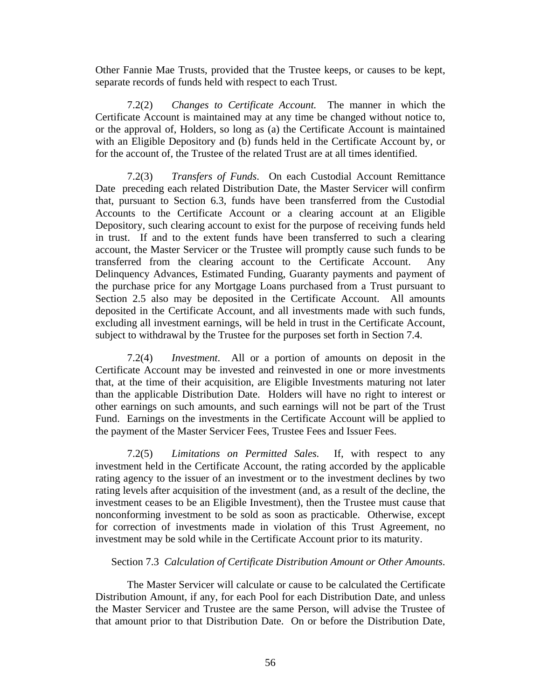Other Fannie Mae Trusts, provided that the Trustee keeps, or causes to be kept, separate records of funds held with respect to each Trust.

7.2(2) *Changes to Certificate Account.* The manner in which the Certificate Account is maintained may at any time be changed without notice to, or the approval of, Holders, so long as (a) the Certificate Account is maintained with an Eligible Depository and (b) funds held in the Certificate Account by, or for the account of, the Trustee of the related Trust are at all times identified.

7.2(3) *Transfers of Funds*. On each Custodial Account Remittance Date preceding each related Distribution Date, the Master Servicer will confirm that, pursuant to Section 6.3, funds have been transferred from the Custodial Accounts to the Certificate Account or a clearing account at an Eligible Depository, such clearing account to exist for the purpose of receiving funds held in trust. If and to the extent funds have been transferred to such a clearing account, the Master Servicer or the Trustee will promptly cause such funds to be transferred from the clearing account to the Certificate Account. Any Delinquency Advances, Estimated Funding, Guaranty payments and payment of the purchase price for any Mortgage Loans purchased from a Trust pursuant to Section 2.5 also may be deposited in the Certificate Account. All amounts deposited in the Certificate Account, and all investments made with such funds, excluding all investment earnings, will be held in trust in the Certificate Account, subject to withdrawal by the Trustee for the purposes set forth in Section 7.4.

7.2(4) *Investment*. All or a portion of amounts on deposit in the Certificate Account may be invested and reinvested in one or more investments that, at the time of their acquisition, are Eligible Investments maturing not later than the applicable Distribution Date. Holders will have no right to interest or other earnings on such amounts, and such earnings will not be part of the Trust Fund. Earnings on the investments in the Certificate Account will be applied to the payment of the Master Servicer Fees, Trustee Fees and Issuer Fees.

7.2(5) *Limitations on Permitted Sales.* If, with respect to any investment held in the Certificate Account, the rating accorded by the applicable rating agency to the issuer of an investment or to the investment declines by two rating levels after acquisition of the investment (and, as a result of the decline, the investment ceases to be an Eligible Investment), then the Trustee must cause that nonconforming investment to be sold as soon as practicable. Otherwise, except for correction of investments made in violation of this Trust Agreement, no investment may be sold while in the Certificate Account prior to its maturity.

# Section 7.3 *Calculation of Certificate Distribution Amount or Other Amounts*.

The Master Servicer will calculate or cause to be calculated the Certificate Distribution Amount, if any, for each Pool for each Distribution Date, and unless the Master Servicer and Trustee are the same Person, will advise the Trustee of that amount prior to that Distribution Date. On or before the Distribution Date,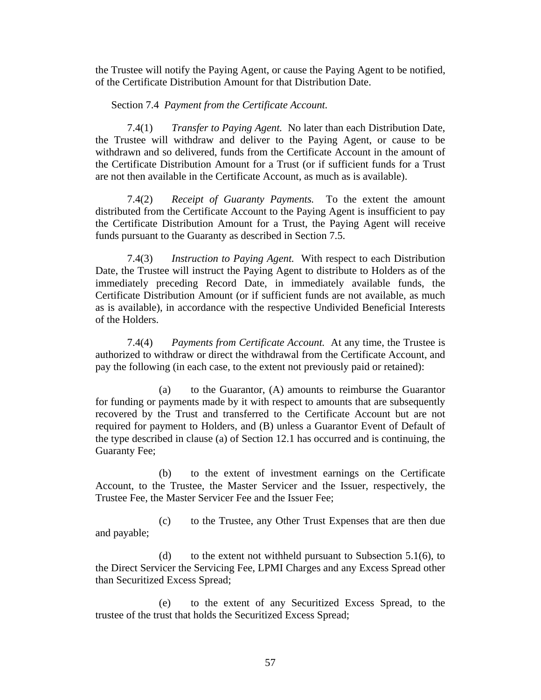the Trustee will notify the Paying Agent, or cause the Paying Agent to be notified, of the Certificate Distribution Amount for that Distribution Date.

## Section 7.4 *Payment from the Certificate Account.*

7.4(1) *Transfer to Paying Agent.* No later than each Distribution Date, the Trustee will withdraw and deliver to the Paying Agent, or cause to be withdrawn and so delivered, funds from the Certificate Account in the amount of the Certificate Distribution Amount for a Trust (or if sufficient funds for a Trust are not then available in the Certificate Account, as much as is available).

7.4(2) *Receipt of Guaranty Payments.* To the extent the amount distributed from the Certificate Account to the Paying Agent is insufficient to pay the Certificate Distribution Amount for a Trust, the Paying Agent will receive funds pursuant to the Guaranty as described in Section 7.5.

7.4(3) *Instruction to Paying Agent.* With respect to each Distribution Date, the Trustee will instruct the Paying Agent to distribute to Holders as of the immediately preceding Record Date, in immediately available funds, the Certificate Distribution Amount (or if sufficient funds are not available, as much as is available), in accordance with the respective Undivided Beneficial Interests of the Holders.

7.4(4) *Payments from Certificate Account.* At any time, the Trustee is authorized to withdraw or direct the withdrawal from the Certificate Account, and pay the following (in each case, to the extent not previously paid or retained):

(a) to the Guarantor, (A) amounts to reimburse the Guarantor for funding or payments made by it with respect to amounts that are subsequently recovered by the Trust and transferred to the Certificate Account but are not required for payment to Holders, and (B) unless a Guarantor Event of Default of the type described in clause (a) of Section 12.1 has occurred and is continuing, the Guaranty Fee;

(b) to the extent of investment earnings on the Certificate Account, to the Trustee, the Master Servicer and the Issuer, respectively, the Trustee Fee, the Master Servicer Fee and the Issuer Fee;

(c) to the Trustee, any Other Trust Expenses that are then due and payable;

(d) to the extent not withheld pursuant to Subsection  $5.1(6)$ , to the Direct Servicer the Servicing Fee, LPMI Charges and any Excess Spread other than Securitized Excess Spread;

(e) to the extent of any Securitized Excess Spread, to the trustee of the trust that holds the Securitized Excess Spread;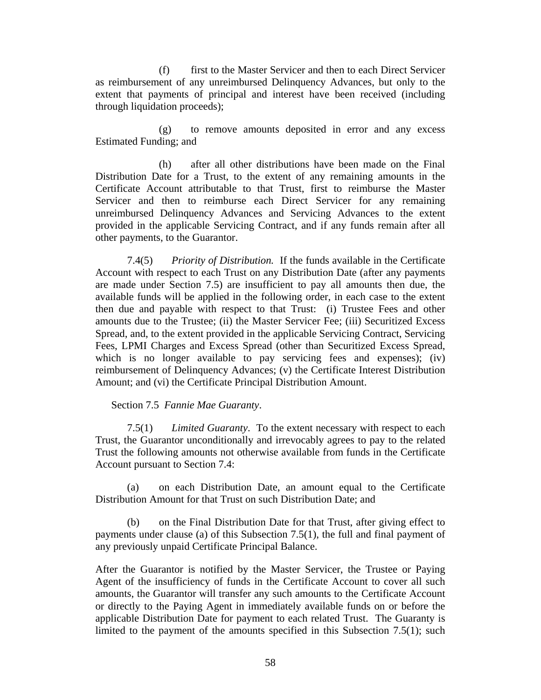(f) first to the Master Servicer and then to each Direct Servicer as reimbursement of any unreimbursed Delinquency Advances, but only to the extent that payments of principal and interest have been received (including through liquidation proceeds);

(g) to remove amounts deposited in error and any excess Estimated Funding; and

(h) after all other distributions have been made on the Final Distribution Date for a Trust, to the extent of any remaining amounts in the Certificate Account attributable to that Trust, first to reimburse the Master Servicer and then to reimburse each Direct Servicer for any remaining unreimbursed Delinquency Advances and Servicing Advances to the extent provided in the applicable Servicing Contract, and if any funds remain after all other payments, to the Guarantor.

7.4(5) *Priority of Distribution.* If the funds available in the Certificate Account with respect to each Trust on any Distribution Date (after any payments are made under Section 7.5) are insufficient to pay all amounts then due, the available funds will be applied in the following order, in each case to the extent then due and payable with respect to that Trust: (i) Trustee Fees and other amounts due to the Trustee; (ii) the Master Servicer Fee; (iii) Securitized Excess Spread, and, to the extent provided in the applicable Servicing Contract, Servicing Fees, LPMI Charges and Excess Spread (other than Securitized Excess Spread, which is no longer available to pay servicing fees and expenses); (iv) reimbursement of Delinquency Advances; (v) the Certificate Interest Distribution Amount; and (vi) the Certificate Principal Distribution Amount.

#### Section 7.5 *Fannie Mae Guaranty*.

7.5(1) *Limited Guaranty*. To the extent necessary with respect to each Trust, the Guarantor unconditionally and irrevocably agrees to pay to the related Trust the following amounts not otherwise available from funds in the Certificate Account pursuant to Section 7.4:

(a) on each Distribution Date, an amount equal to the Certificate Distribution Amount for that Trust on such Distribution Date; and

(b) on the Final Distribution Date for that Trust, after giving effect to payments under clause (a) of this Subsection 7.5(1), the full and final payment of any previously unpaid Certificate Principal Balance.

After the Guarantor is notified by the Master Servicer, the Trustee or Paying Agent of the insufficiency of funds in the Certificate Account to cover all such amounts, the Guarantor will transfer any such amounts to the Certificate Account or directly to the Paying Agent in immediately available funds on or before the applicable Distribution Date for payment to each related Trust. The Guaranty is limited to the payment of the amounts specified in this Subsection 7.5(1); such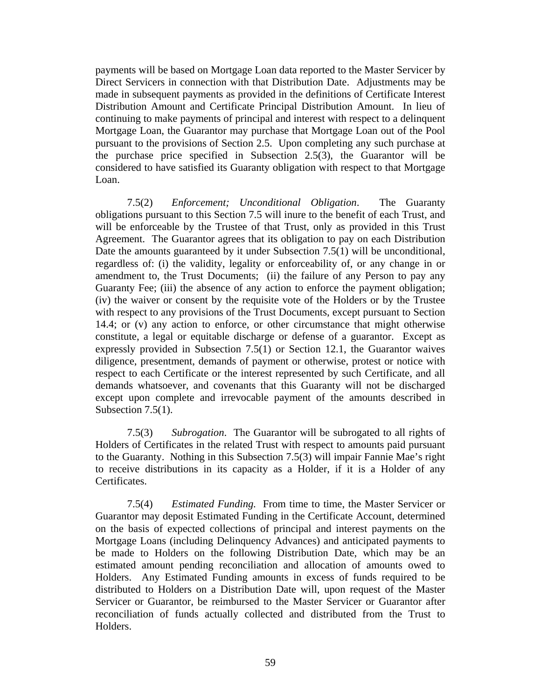payments will be based on Mortgage Loan data reported to the Master Servicer by Direct Servicers in connection with that Distribution Date. Adjustments may be made in subsequent payments as provided in the definitions of Certificate Interest Distribution Amount and Certificate Principal Distribution Amount. In lieu of continuing to make payments of principal and interest with respect to a delinquent Mortgage Loan, the Guarantor may purchase that Mortgage Loan out of the Pool pursuant to the provisions of Section 2.5. Upon completing any such purchase at the purchase price specified in Subsection 2.5(3), the Guarantor will be considered to have satisfied its Guaranty obligation with respect to that Mortgage Loan.

7.5(2) *Enforcement; Unconditional Obligation*. The Guaranty obligations pursuant to this Section 7.5 will inure to the benefit of each Trust, and will be enforceable by the Trustee of that Trust, only as provided in this Trust Agreement. The Guarantor agrees that its obligation to pay on each Distribution Date the amounts guaranteed by it under Subsection 7.5(1) will be unconditional, regardless of: (i) the validity, legality or enforceability of, or any change in or amendment to, the Trust Documents; (ii) the failure of any Person to pay any Guaranty Fee; (iii) the absence of any action to enforce the payment obligation; (iv) the waiver or consent by the requisite vote of the Holders or by the Trustee with respect to any provisions of the Trust Documents, except pursuant to Section 14.4; or (v) any action to enforce, or other circumstance that might otherwise constitute, a legal or equitable discharge or defense of a guarantor. Except as expressly provided in Subsection 7.5(1) or Section 12.1, the Guarantor waives diligence, presentment, demands of payment or otherwise, protest or notice with respect to each Certificate or the interest represented by such Certificate, and all demands whatsoever, and covenants that this Guaranty will not be discharged except upon complete and irrevocable payment of the amounts described in Subsection 7.5(1).

7.5(3) *Subrogation*. The Guarantor will be subrogated to all rights of Holders of Certificates in the related Trust with respect to amounts paid pursuant to the Guaranty. Nothing in this Subsection 7.5(3) will impair Fannie Mae's right to receive distributions in its capacity as a Holder, if it is a Holder of any Certificates.

7.5(4) *Estimated Funding.* From time to time, the Master Servicer or Guarantor may deposit Estimated Funding in the Certificate Account, determined on the basis of expected collections of principal and interest payments on the Mortgage Loans (including Delinquency Advances) and anticipated payments to be made to Holders on the following Distribution Date, which may be an estimated amount pending reconciliation and allocation of amounts owed to Holders. Any Estimated Funding amounts in excess of funds required to be distributed to Holders on a Distribution Date will, upon request of the Master Servicer or Guarantor, be reimbursed to the Master Servicer or Guarantor after reconciliation of funds actually collected and distributed from the Trust to Holders.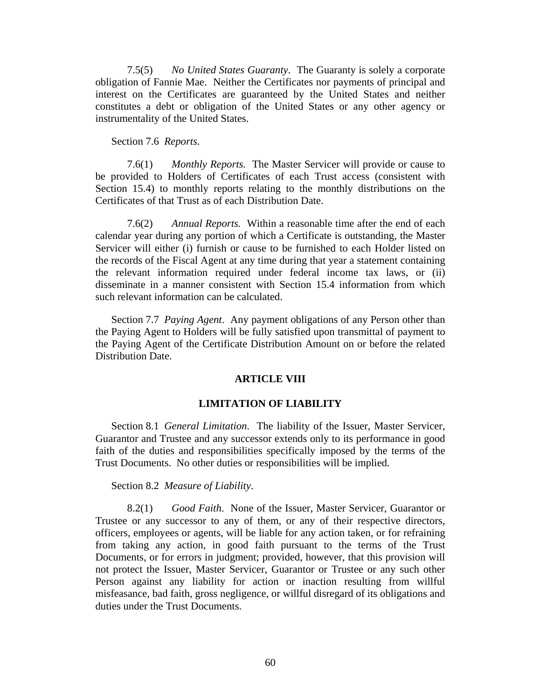7.5(5) *No United States Guaranty*. The Guaranty is solely a corporate obligation of Fannie Mae. Neither the Certificates nor payments of principal and interest on the Certificates are guaranteed by the United States and neither constitutes a debt or obligation of the United States or any other agency or instrumentality of the United States.

Section 7.6 *Reports.* 

7.6(1) *Monthly Reports.* The Master Servicer will provide or cause to be provided to Holders of Certificates of each Trust access (consistent with Section 15.4) to monthly reports relating to the monthly distributions on the Certificates of that Trust as of each Distribution Date.

7.6(2) *Annual Reports.* Within a reasonable time after the end of each calendar year during any portion of which a Certificate is outstanding, the Master Servicer will either (i) furnish or cause to be furnished to each Holder listed on the records of the Fiscal Agent at any time during that year a statement containing the relevant information required under federal income tax laws, or (ii) disseminate in a manner consistent with Section 15.4 information from which such relevant information can be calculated.

Section 7.7 *Paying Agent*. Any payment obligations of any Person other than the Paying Agent to Holders will be fully satisfied upon transmittal of payment to the Paying Agent of the Certificate Distribution Amount on or before the related Distribution Date.

# **ARTICLE VIII**

# **LIMITATION OF LIABILITY**

Section 8.1 *General Limitation*. The liability of the Issuer, Master Servicer, Guarantor and Trustee and any successor extends only to its performance in good faith of the duties and responsibilities specifically imposed by the terms of the Trust Documents. No other duties or responsibilities will be implied.

Section 8.2 *Measure of Liability*.

8.2(1) *Good Faith*. None of the Issuer, Master Servicer, Guarantor or Trustee or any successor to any of them, or any of their respective directors, officers, employees or agents, will be liable for any action taken, or for refraining from taking any action, in good faith pursuant to the terms of the Trust Documents, or for errors in judgment; provided, however, that this provision will not protect the Issuer, Master Servicer, Guarantor or Trustee or any such other Person against any liability for action or inaction resulting from willful misfeasance, bad faith, gross negligence, or willful disregard of its obligations and duties under the Trust Documents.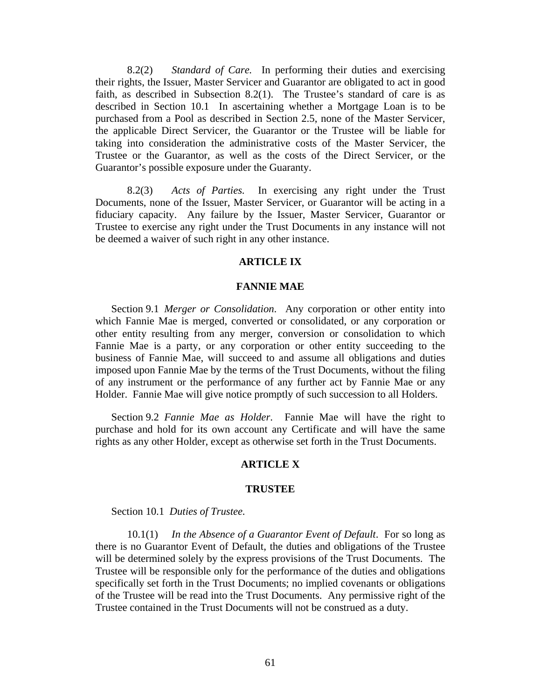8.2(2) *Standard of Care.* In performing their duties and exercising their rights, the Issuer, Master Servicer and Guarantor are obligated to act in good faith, as described in Subsection 8.2(1). The Trustee's standard of care is as described in Section 10.1 In ascertaining whether a Mortgage Loan is to be purchased from a Pool as described in Section 2.5, none of the Master Servicer, the applicable Direct Servicer, the Guarantor or the Trustee will be liable for taking into consideration the administrative costs of the Master Servicer, the Trustee or the Guarantor, as well as the costs of the Direct Servicer, or the Guarantor's possible exposure under the Guaranty.

8.2(3) *Acts of Parties.* In exercising any right under the Trust Documents, none of the Issuer, Master Servicer, or Guarantor will be acting in a fiduciary capacity. Any failure by the Issuer, Master Servicer, Guarantor or Trustee to exercise any right under the Trust Documents in any instance will not be deemed a waiver of such right in any other instance.

# **ARTICLE IX**

## **FANNIE MAE**

Section 9.1 *Merger or Consolidation*. Any corporation or other entity into which Fannie Mae is merged, converted or consolidated, or any corporation or other entity resulting from any merger, conversion or consolidation to which Fannie Mae is a party, or any corporation or other entity succeeding to the business of Fannie Mae, will succeed to and assume all obligations and duties imposed upon Fannie Mae by the terms of the Trust Documents, without the filing of any instrument or the performance of any further act by Fannie Mae or any Holder. Fannie Mae will give notice promptly of such succession to all Holders.

Section 9.2 *Fannie Mae as Holder*. Fannie Mae will have the right to purchase and hold for its own account any Certificate and will have the same rights as any other Holder, except as otherwise set forth in the Trust Documents.

#### **ARTICLE X**

#### **TRUSTEE**

Section 10.1 *Duties of Trustee.* 

10.1(1) *In the Absence of a Guarantor Event of Default*. For so long as there is no Guarantor Event of Default, the duties and obligations of the Trustee will be determined solely by the express provisions of the Trust Documents. The Trustee will be responsible only for the performance of the duties and obligations specifically set forth in the Trust Documents; no implied covenants or obligations of the Trustee will be read into the Trust Documents. Any permissive right of the Trustee contained in the Trust Documents will not be construed as a duty.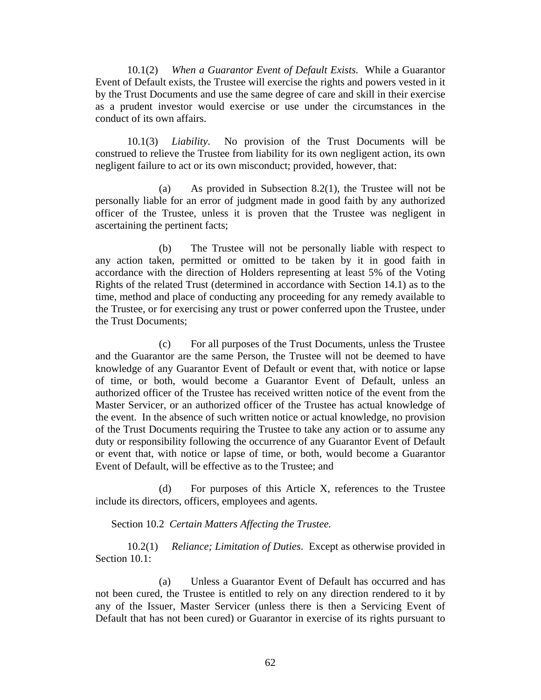10.1(2) *When a Guarantor Event of Default Exists.* While a Guarantor Event of Default exists, the Trustee will exercise the rights and powers vested in it by the Trust Documents and use the same degree of care and skill in their exercise as a prudent investor would exercise or use under the circumstances in the conduct of its own affairs.

10.1(3) *Liability*. No provision of the Trust Documents will be construed to relieve the Trustee from liability for its own negligent action, its own negligent failure to act or its own misconduct; provided, however, that:

(a) As provided in Subsection 8.2(1), the Trustee will not be personally liable for an error of judgment made in good faith by any authorized officer of the Trustee, unless it is proven that the Trustee was negligent in ascertaining the pertinent facts;

(b) The Trustee will not be personally liable with respect to any action taken, permitted or omitted to be taken by it in good faith in accordance with the direction of Holders representing at least 5% of the Voting Rights of the related Trust (determined in accordance with Section 14.1) as to the time, method and place of conducting any proceeding for any remedy available to the Trustee, or for exercising any trust or power conferred upon the Trustee, under the Trust Documents;

(c) For all purposes of the Trust Documents, unless the Trustee and the Guarantor are the same Person, the Trustee will not be deemed to have knowledge of any Guarantor Event of Default or event that, with notice or lapse of time, or both, would become a Guarantor Event of Default, unless an authorized officer of the Trustee has received written notice of the event from the Master Servicer, or an authorized officer of the Trustee has actual knowledge of the event. In the absence of such written notice or actual knowledge, no provision of the Trust Documents requiring the Trustee to take any action or to assume any duty or responsibility following the occurrence of any Guarantor Event of Default or event that, with notice or lapse of time, or both, would become a Guarantor Event of Default, will be effective as to the Trustee; and

(d) For purposes of this Article X, references to the Trustee include its directors, officers, employees and agents.

Section 10.2 *Certain Matters Affecting the Trustee.* 

10.2(1) *Reliance; Limitation of Duties*. Except as otherwise provided in Section 10.1:

(a) Unless a Guarantor Event of Default has occurred and has not been cured, the Trustee is entitled to rely on any direction rendered to it by any of the Issuer, Master Servicer (unless there is then a Servicing Event of Default that has not been cured) or Guarantor in exercise of its rights pursuant to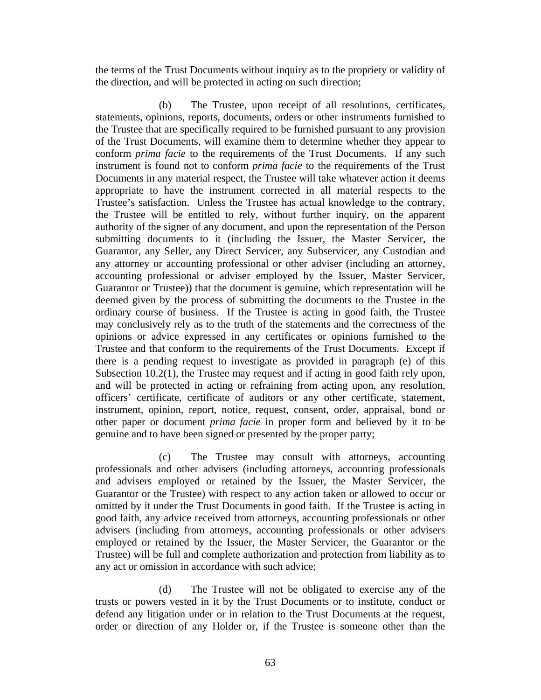the terms of the Trust Documents without inquiry as to the propriety or validity of the direction, and will be protected in acting on such direction;

(b) The Trustee, upon receipt of all resolutions, certificates, statements, opinions, reports, documents, orders or other instruments furnished to the Trustee that are specifically required to be furnished pursuant to any provision of the Trust Documents, will examine them to determine whether they appear to conform *prima facie* to the requirements of the Trust Documents. If any such instrument is found not to conform *prima facie* to the requirements of the Trust Documents in any material respect, the Trustee will take whatever action it deems appropriate to have the instrument corrected in all material respects to the Trustee's satisfaction. Unless the Trustee has actual knowledge to the contrary, the Trustee will be entitled to rely, without further inquiry, on the apparent authority of the signer of any document, and upon the representation of the Person submitting documents to it (including the Issuer, the Master Servicer, the Guarantor, any Seller, any Direct Servicer, any Subservicer, any Custodian and any attorney or accounting professional or other adviser (including an attorney, accounting professional or adviser employed by the Issuer, Master Servicer, Guarantor or Trustee)) that the document is genuine, which representation will be deemed given by the process of submitting the documents to the Trustee in the ordinary course of business. If the Trustee is acting in good faith, the Trustee may conclusively rely as to the truth of the statements and the correctness of the opinions or advice expressed in any certificates or opinions furnished to the Trustee and that conform to the requirements of the Trust Documents. Except if there is a pending request to investigate as provided in paragraph (e) of this Subsection 10.2(1), the Trustee may request and if acting in good faith rely upon, and will be protected in acting or refraining from acting upon, any resolution, officers' certificate, certificate of auditors or any other certificate, statement, instrument, opinion, report, notice, request, consent, order, appraisal, bond or other paper or document *prima facie* in proper form and believed by it to be genuine and to have been signed or presented by the proper party;

(c) The Trustee may consult with attorneys, accounting professionals and other advisers (including attorneys, accounting professionals and advisers employed or retained by the Issuer, the Master Servicer, the Guarantor or the Trustee) with respect to any action taken or allowed to occur or omitted by it under the Trust Documents in good faith. If the Trustee is acting in good faith, any advice received from attorneys, accounting professionals or other advisers (including from attorneys, accounting professionals or other advisers employed or retained by the Issuer, the Master Servicer, the Guarantor or the Trustee) will be full and complete authorization and protection from liability as to any act or omission in accordance with such advice;

(d) The Trustee will not be obligated to exercise any of the trusts or powers vested in it by the Trust Documents or to institute, conduct or defend any litigation under or in relation to the Trust Documents at the request, order or direction of any Holder or, if the Trustee is someone other than the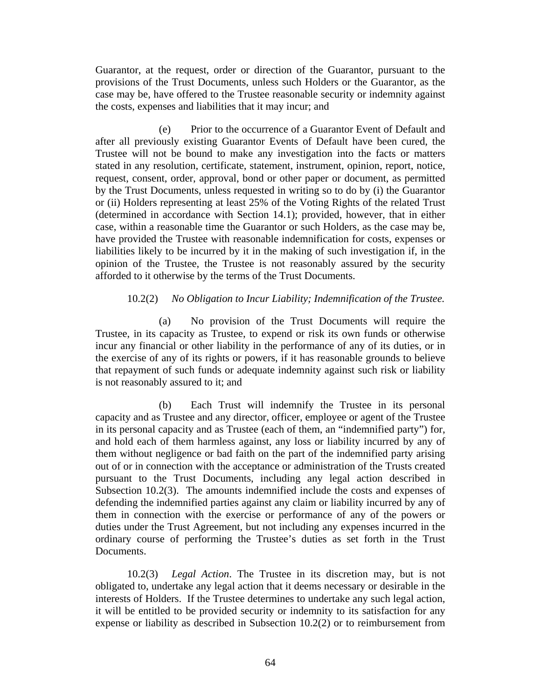Guarantor, at the request, order or direction of the Guarantor, pursuant to the provisions of the Trust Documents, unless such Holders or the Guarantor, as the case may be, have offered to the Trustee reasonable security or indemnity against the costs, expenses and liabilities that it may incur; and

(e) Prior to the occurrence of a Guarantor Event of Default and after all previously existing Guarantor Events of Default have been cured, the Trustee will not be bound to make any investigation into the facts or matters stated in any resolution, certificate, statement, instrument, opinion, report, notice, request, consent, order, approval, bond or other paper or document, as permitted by the Trust Documents, unless requested in writing so to do by (i) the Guarantor or (ii) Holders representing at least 25% of the Voting Rights of the related Trust (determined in accordance with Section 14.1); provided, however, that in either case, within a reasonable time the Guarantor or such Holders, as the case may be, have provided the Trustee with reasonable indemnification for costs, expenses or liabilities likely to be incurred by it in the making of such investigation if, in the opinion of the Trustee, the Trustee is not reasonably assured by the security afforded to it otherwise by the terms of the Trust Documents.

# 10.2(2) *No Obligation to Incur Liability; Indemnification of the Trustee.*

(a) No provision of the Trust Documents will require the Trustee, in its capacity as Trustee, to expend or risk its own funds or otherwise incur any financial or other liability in the performance of any of its duties, or in the exercise of any of its rights or powers, if it has reasonable grounds to believe that repayment of such funds or adequate indemnity against such risk or liability is not reasonably assured to it; and

(b) Each Trust will indemnify the Trustee in its personal capacity and as Trustee and any director, officer, employee or agent of the Trustee in its personal capacity and as Trustee (each of them, an "indemnified party") for, and hold each of them harmless against, any loss or liability incurred by any of them without negligence or bad faith on the part of the indemnified party arising out of or in connection with the acceptance or administration of the Trusts created pursuant to the Trust Documents, including any legal action described in Subsection 10.2(3). The amounts indemnified include the costs and expenses of defending the indemnified parties against any claim or liability incurred by any of them in connection with the exercise or performance of any of the powers or duties under the Trust Agreement, but not including any expenses incurred in the ordinary course of performing the Trustee's duties as set forth in the Trust Documents.

10.2(3) *Legal Action*. The Trustee in its discretion may, but is not obligated to, undertake any legal action that it deems necessary or desirable in the interests of Holders. If the Trustee determines to undertake any such legal action, it will be entitled to be provided security or indemnity to its satisfaction for any expense or liability as described in Subsection 10.2(2) or to reimbursement from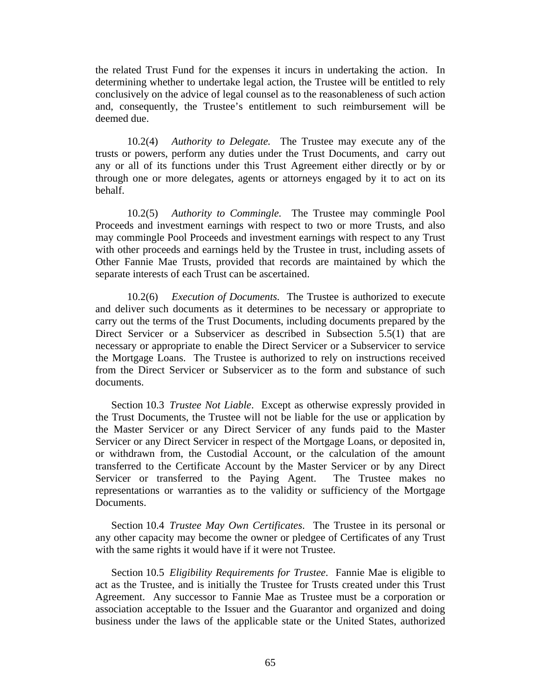the related Trust Fund for the expenses it incurs in undertaking the action. In determining whether to undertake legal action, the Trustee will be entitled to rely conclusively on the advice of legal counsel as to the reasonableness of such action and, consequently, the Trustee's entitlement to such reimbursement will be deemed due.

10.2(4) *Authority to Delegate.* The Trustee may execute any of the trusts or powers, perform any duties under the Trust Documents, and carry out any or all of its functions under this Trust Agreement either directly or by or through one or more delegates, agents or attorneys engaged by it to act on its behalf.

10.2(5) *Authority to Commingle.* The Trustee may commingle Pool Proceeds and investment earnings with respect to two or more Trusts, and also may commingle Pool Proceeds and investment earnings with respect to any Trust with other proceeds and earnings held by the Trustee in trust, including assets of Other Fannie Mae Trusts, provided that records are maintained by which the separate interests of each Trust can be ascertained.

10.2(6) *Execution of Documents.* The Trustee is authorized to execute and deliver such documents as it determines to be necessary or appropriate to carry out the terms of the Trust Documents, including documents prepared by the Direct Servicer or a Subservicer as described in Subsection 5.5(1) that are necessary or appropriate to enable the Direct Servicer or a Subservicer to service the Mortgage Loans. The Trustee is authorized to rely on instructions received from the Direct Servicer or Subservicer as to the form and substance of such documents.

Section 10.3 *Trustee Not Liable*. Except as otherwise expressly provided in the Trust Documents, the Trustee will not be liable for the use or application by the Master Servicer or any Direct Servicer of any funds paid to the Master Servicer or any Direct Servicer in respect of the Mortgage Loans, or deposited in, or withdrawn from, the Custodial Account, or the calculation of the amount transferred to the Certificate Account by the Master Servicer or by any Direct Servicer or transferred to the Paying Agent. The Trustee makes no representations or warranties as to the validity or sufficiency of the Mortgage Documents.

Section 10.4 *Trustee May Own Certificates*. The Trustee in its personal or any other capacity may become the owner or pledgee of Certificates of any Trust with the same rights it would have if it were not Trustee.

Section 10.5 *Eligibility Requirements for Trustee*. Fannie Mae is eligible to act as the Trustee, and is initially the Trustee for Trusts created under this Trust Agreement. Any successor to Fannie Mae as Trustee must be a corporation or association acceptable to the Issuer and the Guarantor and organized and doing business under the laws of the applicable state or the United States, authorized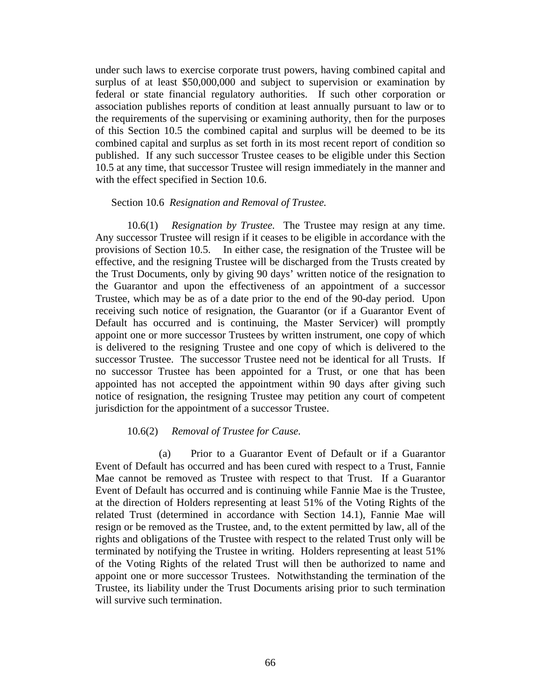under such laws to exercise corporate trust powers, having combined capital and surplus of at least \$50,000,000 and subject to supervision or examination by federal or state financial regulatory authorities. If such other corporation or association publishes reports of condition at least annually pursuant to law or to the requirements of the supervising or examining authority, then for the purposes of this Section 10.5 the combined capital and surplus will be deemed to be its combined capital and surplus as set forth in its most recent report of condition so published. If any such successor Trustee ceases to be eligible under this Section 10.5 at any time, that successor Trustee will resign immediately in the manner and with the effect specified in Section 10.6.

#### Section 10.6 *Resignation and Removal of Trustee.*

10.6(1) *Resignation by Trustee.* The Trustee may resign at any time. Any successor Trustee will resign if it ceases to be eligible in accordance with the provisions of Section 10.5. In either case, the resignation of the Trustee will be effective, and the resigning Trustee will be discharged from the Trusts created by the Trust Documents, only by giving 90 days' written notice of the resignation to the Guarantor and upon the effectiveness of an appointment of a successor Trustee, which may be as of a date prior to the end of the 90-day period. Upon receiving such notice of resignation, the Guarantor (or if a Guarantor Event of Default has occurred and is continuing, the Master Servicer) will promptly appoint one or more successor Trustees by written instrument, one copy of which is delivered to the resigning Trustee and one copy of which is delivered to the successor Trustee. The successor Trustee need not be identical for all Trusts. If no successor Trustee has been appointed for a Trust, or one that has been appointed has not accepted the appointment within 90 days after giving such notice of resignation, the resigning Trustee may petition any court of competent jurisdiction for the appointment of a successor Trustee.

# 10.6(2) *Removal of Trustee for Cause.*

(a) Prior to a Guarantor Event of Default or if a Guarantor Event of Default has occurred and has been cured with respect to a Trust, Fannie Mae cannot be removed as Trustee with respect to that Trust. If a Guarantor Event of Default has occurred and is continuing while Fannie Mae is the Trustee, at the direction of Holders representing at least 51% of the Voting Rights of the related Trust (determined in accordance with Section 14.1), Fannie Mae will resign or be removed as the Trustee, and, to the extent permitted by law, all of the rights and obligations of the Trustee with respect to the related Trust only will be terminated by notifying the Trustee in writing. Holders representing at least 51% of the Voting Rights of the related Trust will then be authorized to name and appoint one or more successor Trustees. Notwithstanding the termination of the Trustee, its liability under the Trust Documents arising prior to such termination will survive such termination.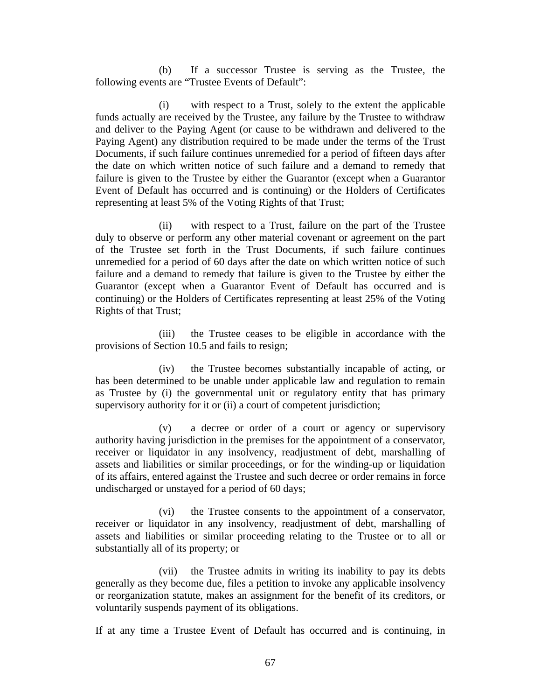(b) If a successor Trustee is serving as the Trustee, the following events are "Trustee Events of Default":

(i) with respect to a Trust, solely to the extent the applicable funds actually are received by the Trustee, any failure by the Trustee to withdraw and deliver to the Paying Agent (or cause to be withdrawn and delivered to the Paying Agent) any distribution required to be made under the terms of the Trust Documents, if such failure continues unremedied for a period of fifteen days after the date on which written notice of such failure and a demand to remedy that failure is given to the Trustee by either the Guarantor (except when a Guarantor Event of Default has occurred and is continuing) or the Holders of Certificates representing at least 5% of the Voting Rights of that Trust;

(ii) with respect to a Trust, failure on the part of the Trustee duly to observe or perform any other material covenant or agreement on the part of the Trustee set forth in the Trust Documents, if such failure continues unremedied for a period of 60 days after the date on which written notice of such failure and a demand to remedy that failure is given to the Trustee by either the Guarantor (except when a Guarantor Event of Default has occurred and is continuing) or the Holders of Certificates representing at least 25% of the Voting Rights of that Trust;

(iii) the Trustee ceases to be eligible in accordance with the provisions of Section 10.5 and fails to resign;

(iv) the Trustee becomes substantially incapable of acting, or has been determined to be unable under applicable law and regulation to remain as Trustee by (i) the governmental unit or regulatory entity that has primary supervisory authority for it or (ii) a court of competent jurisdiction;

(v) a decree or order of a court or agency or supervisory authority having jurisdiction in the premises for the appointment of a conservator, receiver or liquidator in any insolvency, readjustment of debt, marshalling of assets and liabilities or similar proceedings, or for the winding-up or liquidation of its affairs, entered against the Trustee and such decree or order remains in force undischarged or unstayed for a period of 60 days;

(vi) the Trustee consents to the appointment of a conservator, receiver or liquidator in any insolvency, readjustment of debt, marshalling of assets and liabilities or similar proceeding relating to the Trustee or to all or substantially all of its property; or

(vii) the Trustee admits in writing its inability to pay its debts generally as they become due, files a petition to invoke any applicable insolvency or reorganization statute, makes an assignment for the benefit of its creditors, or voluntarily suspends payment of its obligations.

If at any time a Trustee Event of Default has occurred and is continuing, in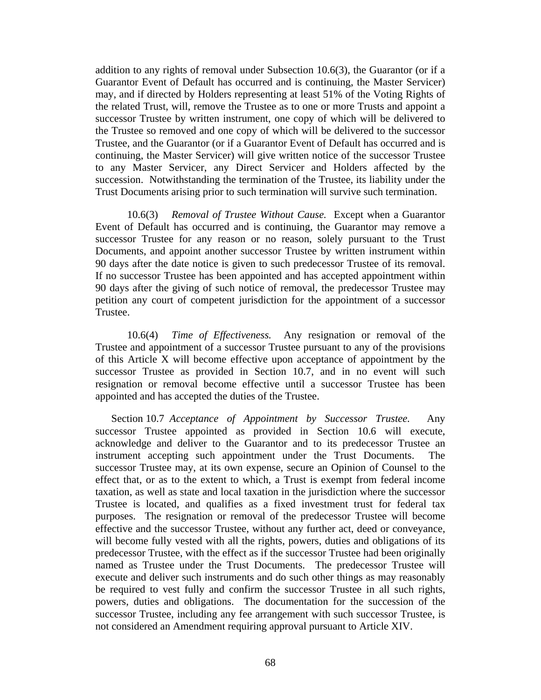addition to any rights of removal under Subsection 10.6(3), the Guarantor (or if a Guarantor Event of Default has occurred and is continuing, the Master Servicer) may, and if directed by Holders representing at least 51% of the Voting Rights of the related Trust, will, remove the Trustee as to one or more Trusts and appoint a successor Trustee by written instrument, one copy of which will be delivered to the Trustee so removed and one copy of which will be delivered to the successor Trustee, and the Guarantor (or if a Guarantor Event of Default has occurred and is continuing, the Master Servicer) will give written notice of the successor Trustee to any Master Servicer, any Direct Servicer and Holders affected by the succession. Notwithstanding the termination of the Trustee, its liability under the Trust Documents arising prior to such termination will survive such termination.

10.6(3) *Removal of Trustee Without Cause.* Except when a Guarantor Event of Default has occurred and is continuing, the Guarantor may remove a successor Trustee for any reason or no reason, solely pursuant to the Trust Documents, and appoint another successor Trustee by written instrument within 90 days after the date notice is given to such predecessor Trustee of its removal. If no successor Trustee has been appointed and has accepted appointment within 90 days after the giving of such notice of removal, the predecessor Trustee may petition any court of competent jurisdiction for the appointment of a successor Trustee.

10.6(4) *Time of Effectiveness.* Any resignation or removal of the Trustee and appointment of a successor Trustee pursuant to any of the provisions of this Article X will become effective upon acceptance of appointment by the successor Trustee as provided in Section 10.7, and in no event will such resignation or removal become effective until a successor Trustee has been appointed and has accepted the duties of the Trustee.

Section 10.7 *Acceptance of Appointment by Successor Trustee.* Any successor Trustee appointed as provided in Section 10.6 will execute, acknowledge and deliver to the Guarantor and to its predecessor Trustee an instrument accepting such appointment under the Trust Documents. The successor Trustee may, at its own expense, secure an Opinion of Counsel to the effect that, or as to the extent to which, a Trust is exempt from federal income taxation, as well as state and local taxation in the jurisdiction where the successor Trustee is located, and qualifies as a fixed investment trust for federal tax purposes. The resignation or removal of the predecessor Trustee will become effective and the successor Trustee, without any further act, deed or conveyance, will become fully vested with all the rights, powers, duties and obligations of its predecessor Trustee, with the effect as if the successor Trustee had been originally named as Trustee under the Trust Documents. The predecessor Trustee will execute and deliver such instruments and do such other things as may reasonably be required to vest fully and confirm the successor Trustee in all such rights, powers, duties and obligations. The documentation for the succession of the successor Trustee, including any fee arrangement with such successor Trustee, is not considered an Amendment requiring approval pursuant to Article XIV.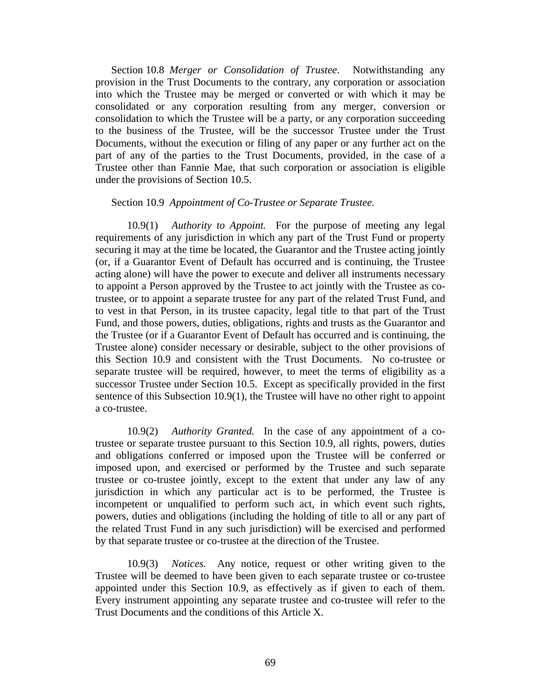Section 10.8 *Merger or Consolidation of Trustee*. Notwithstanding any provision in the Trust Documents to the contrary, any corporation or association into which the Trustee may be merged or converted or with which it may be consolidated or any corporation resulting from any merger, conversion or consolidation to which the Trustee will be a party, or any corporation succeeding to the business of the Trustee, will be the successor Trustee under the Trust Documents, without the execution or filing of any paper or any further act on the part of any of the parties to the Trust Documents, provided, in the case of a Trustee other than Fannie Mae, that such corporation or association is eligible under the provisions of Section 10.5.

#### Section 10.9 *Appointment of Co-Trustee or Separate Trustee.*

10.9(1) *Authority to Appoint.* For the purpose of meeting any legal requirements of any jurisdiction in which any part of the Trust Fund or property securing it may at the time be located, the Guarantor and the Trustee acting jointly (or, if a Guarantor Event of Default has occurred and is continuing, the Trustee acting alone) will have the power to execute and deliver all instruments necessary to appoint a Person approved by the Trustee to act jointly with the Trustee as cotrustee, or to appoint a separate trustee for any part of the related Trust Fund, and to vest in that Person, in its trustee capacity, legal title to that part of the Trust Fund, and those powers, duties, obligations, rights and trusts as the Guarantor and the Trustee (or if a Guarantor Event of Default has occurred and is continuing, the Trustee alone) consider necessary or desirable, subject to the other provisions of this Section 10.9 and consistent with the Trust Documents. No co-trustee or separate trustee will be required, however, to meet the terms of eligibility as a successor Trustee under Section 10.5. Except as specifically provided in the first sentence of this Subsection 10.9(1), the Trustee will have no other right to appoint a co-trustee.

10.9(2) *Authority Granted.* In the case of any appointment of a cotrustee or separate trustee pursuant to this Section 10.9, all rights, powers, duties and obligations conferred or imposed upon the Trustee will be conferred or imposed upon, and exercised or performed by the Trustee and such separate trustee or co-trustee jointly, except to the extent that under any law of any jurisdiction in which any particular act is to be performed, the Trustee is incompetent or unqualified to perform such act, in which event such rights, powers, duties and obligations (including the holding of title to all or any part of the related Trust Fund in any such jurisdiction) will be exercised and performed by that separate trustee or co-trustee at the direction of the Trustee.

10.9(3) *Notices.* Any notice, request or other writing given to the Trustee will be deemed to have been given to each separate trustee or co-trustee appointed under this Section 10.9, as effectively as if given to each of them. Every instrument appointing any separate trustee and co-trustee will refer to the Trust Documents and the conditions of this Article X.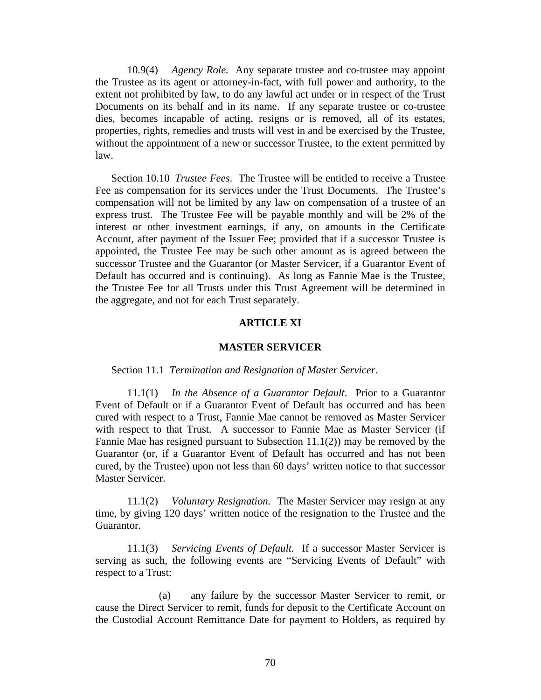10.9(4) *Agency Role.* Any separate trustee and co-trustee may appoint the Trustee as its agent or attorney-in-fact, with full power and authority, to the extent not prohibited by law, to do any lawful act under or in respect of the Trust Documents on its behalf and in its name. If any separate trustee or co-trustee dies, becomes incapable of acting, resigns or is removed, all of its estates, properties, rights, remedies and trusts will vest in and be exercised by the Trustee, without the appointment of a new or successor Trustee, to the extent permitted by law.

Section 10.10 *Trustee Fees*. The Trustee will be entitled to receive a Trustee Fee as compensation for its services under the Trust Documents. The Trustee's compensation will not be limited by any law on compensation of a trustee of an express trust. The Trustee Fee will be payable monthly and will be 2% of the interest or other investment earnings, if any, on amounts in the Certificate Account, after payment of the Issuer Fee; provided that if a successor Trustee is appointed, the Trustee Fee may be such other amount as is agreed between the successor Trustee and the Guarantor (or Master Servicer, if a Guarantor Event of Default has occurred and is continuing). As long as Fannie Mae is the Trustee, the Trustee Fee for all Trusts under this Trust Agreement will be determined in the aggregate, and not for each Trust separately.

## **ARTICLE XI**

# **MASTER SERVICER**

#### Section 11.1 *Termination and Resignation of Master Servicer*.

11.1(1) *In the Absence of a Guarantor Default*. Prior to a Guarantor Event of Default or if a Guarantor Event of Default has occurred and has been cured with respect to a Trust, Fannie Mae cannot be removed as Master Servicer with respect to that Trust. A successor to Fannie Mae as Master Servicer (if Fannie Mae has resigned pursuant to Subsection 11.1(2)) may be removed by the Guarantor (or, if a Guarantor Event of Default has occurred and has not been cured, by the Trustee) upon not less than 60 days' written notice to that successor Master Servicer.

11.1(2) *Voluntary Resignation.* The Master Servicer may resign at any time, by giving 120 days' written notice of the resignation to the Trustee and the Guarantor.

11.1(3) *Servicing Events of Default.* If a successor Master Servicer is serving as such, the following events are "Servicing Events of Default" with respect to a Trust:

(a) any failure by the successor Master Servicer to remit, or cause the Direct Servicer to remit, funds for deposit to the Certificate Account on the Custodial Account Remittance Date for payment to Holders, as required by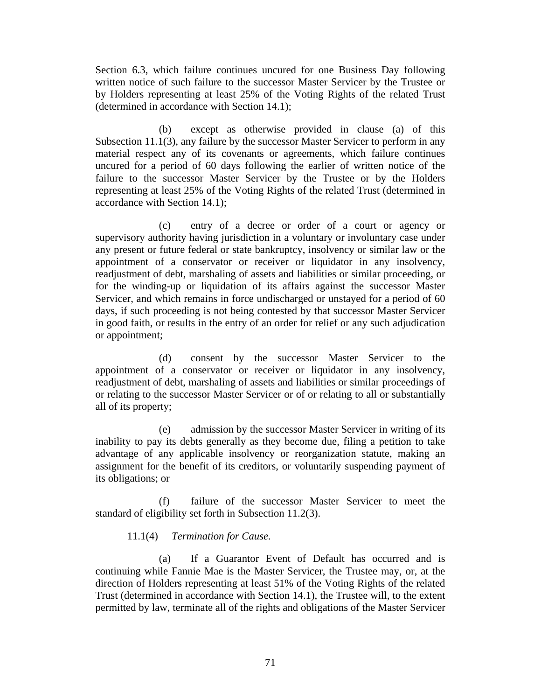Section 6.3, which failure continues uncured for one Business Day following written notice of such failure to the successor Master Servicer by the Trustee or by Holders representing at least 25% of the Voting Rights of the related Trust (determined in accordance with Section 14.1);

(b) except as otherwise provided in clause (a) of this Subsection 11.1(3), any failure by the successor Master Servicer to perform in any material respect any of its covenants or agreements, which failure continues uncured for a period of 60 days following the earlier of written notice of the failure to the successor Master Servicer by the Trustee or by the Holders representing at least 25% of the Voting Rights of the related Trust (determined in accordance with Section 14.1);

(c) entry of a decree or order of a court or agency or supervisory authority having jurisdiction in a voluntary or involuntary case under any present or future federal or state bankruptcy, insolvency or similar law or the appointment of a conservator or receiver or liquidator in any insolvency, readjustment of debt, marshaling of assets and liabilities or similar proceeding, or for the winding-up or liquidation of its affairs against the successor Master Servicer, and which remains in force undischarged or unstayed for a period of 60 days, if such proceeding is not being contested by that successor Master Servicer in good faith, or results in the entry of an order for relief or any such adjudication or appointment;

(d) consent by the successor Master Servicer to the appointment of a conservator or receiver or liquidator in any insolvency, readjustment of debt, marshaling of assets and liabilities or similar proceedings of or relating to the successor Master Servicer or of or relating to all or substantially all of its property;

(e) admission by the successor Master Servicer in writing of its inability to pay its debts generally as they become due, filing a petition to take advantage of any applicable insolvency or reorganization statute, making an assignment for the benefit of its creditors, or voluntarily suspending payment of its obligations; or

(f) failure of the successor Master Servicer to meet the standard of eligibility set forth in Subsection 11.2(3).

# 11.1(4) *Termination for Cause.*

(a) If a Guarantor Event of Default has occurred and is continuing while Fannie Mae is the Master Servicer, the Trustee may, or, at the direction of Holders representing at least 51% of the Voting Rights of the related Trust (determined in accordance with Section 14.1), the Trustee will, to the extent permitted by law, terminate all of the rights and obligations of the Master Servicer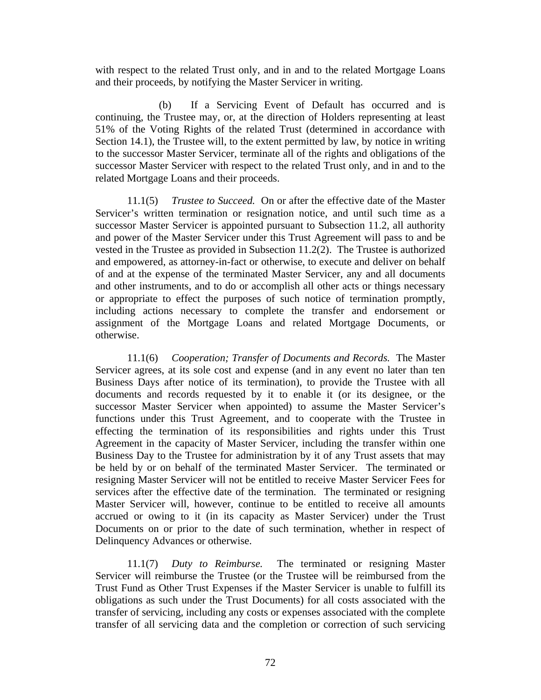with respect to the related Trust only, and in and to the related Mortgage Loans and their proceeds, by notifying the Master Servicer in writing.

(b) If a Servicing Event of Default has occurred and is continuing, the Trustee may, or, at the direction of Holders representing at least 51% of the Voting Rights of the related Trust (determined in accordance with Section 14.1), the Trustee will, to the extent permitted by law, by notice in writing to the successor Master Servicer, terminate all of the rights and obligations of the successor Master Servicer with respect to the related Trust only, and in and to the related Mortgage Loans and their proceeds.

11.1(5) *Trustee to Succeed.* On or after the effective date of the Master Servicer's written termination or resignation notice, and until such time as a successor Master Servicer is appointed pursuant to Subsection 11.2, all authority and power of the Master Servicer under this Trust Agreement will pass to and be vested in the Trustee as provided in Subsection 11.2(2). The Trustee is authorized and empowered, as attorney-in-fact or otherwise, to execute and deliver on behalf of and at the expense of the terminated Master Servicer, any and all documents and other instruments, and to do or accomplish all other acts or things necessary or appropriate to effect the purposes of such notice of termination promptly, including actions necessary to complete the transfer and endorsement or assignment of the Mortgage Loans and related Mortgage Documents, or otherwise.

11.1(6) *Cooperation; Transfer of Documents and Records.* The Master Servicer agrees, at its sole cost and expense (and in any event no later than ten Business Days after notice of its termination), to provide the Trustee with all documents and records requested by it to enable it (or its designee, or the successor Master Servicer when appointed) to assume the Master Servicer's functions under this Trust Agreement, and to cooperate with the Trustee in effecting the termination of its responsibilities and rights under this Trust Agreement in the capacity of Master Servicer, including the transfer within one Business Day to the Trustee for administration by it of any Trust assets that may be held by or on behalf of the terminated Master Servicer. The terminated or resigning Master Servicer will not be entitled to receive Master Servicer Fees for services after the effective date of the termination. The terminated or resigning Master Servicer will, however, continue to be entitled to receive all amounts accrued or owing to it (in its capacity as Master Servicer) under the Trust Documents on or prior to the date of such termination, whether in respect of Delinquency Advances or otherwise.

11.1(7) *Duty to Reimburse.* The terminated or resigning Master Servicer will reimburse the Trustee (or the Trustee will be reimbursed from the Trust Fund as Other Trust Expenses if the Master Servicer is unable to fulfill its obligations as such under the Trust Documents) for all costs associated with the transfer of servicing, including any costs or expenses associated with the complete transfer of all servicing data and the completion or correction of such servicing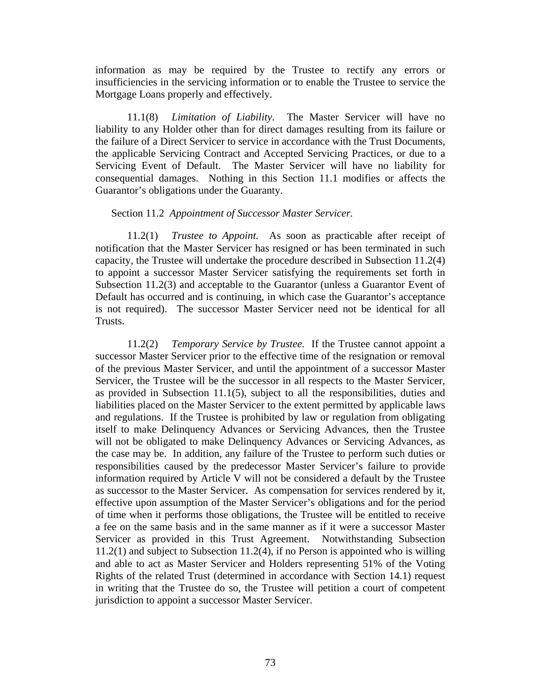information as may be required by the Trustee to rectify any errors or insufficiencies in the servicing information or to enable the Trustee to service the Mortgage Loans properly and effectively.

11.1(8) *Limitation of Liability.* The Master Servicer will have no liability to any Holder other than for direct damages resulting from its failure or the failure of a Direct Servicer to service in accordance with the Trust Documents, the applicable Servicing Contract and Accepted Servicing Practices, or due to a Servicing Event of Default. The Master Servicer will have no liability for consequential damages. Nothing in this Section 11.1 modifies or affects the Guarantor's obligations under the Guaranty.

## Section 11.2 *Appointment of Successor Master Servicer.*

11.2(1) *Trustee to Appoint.* As soon as practicable after receipt of notification that the Master Servicer has resigned or has been terminated in such capacity, the Trustee will undertake the procedure described in Subsection 11.2(4) to appoint a successor Master Servicer satisfying the requirements set forth in Subsection 11.2(3) and acceptable to the Guarantor (unless a Guarantor Event of Default has occurred and is continuing, in which case the Guarantor's acceptance is not required). The successor Master Servicer need not be identical for all Trusts.

11.2(2) *Temporary Service by Trustee.* If the Trustee cannot appoint a successor Master Servicer prior to the effective time of the resignation or removal of the previous Master Servicer, and until the appointment of a successor Master Servicer, the Trustee will be the successor in all respects to the Master Servicer, as provided in Subsection 11.1(5), subject to all the responsibilities, duties and liabilities placed on the Master Servicer to the extent permitted by applicable laws and regulations. If the Trustee is prohibited by law or regulation from obligating itself to make Delinquency Advances or Servicing Advances, then the Trustee will not be obligated to make Delinquency Advances or Servicing Advances, as the case may be. In addition, any failure of the Trustee to perform such duties or responsibilities caused by the predecessor Master Servicer's failure to provide information required by Article V will not be considered a default by the Trustee as successor to the Master Servicer. As compensation for services rendered by it, effective upon assumption of the Master Servicer's obligations and for the period of time when it performs those obligations, the Trustee will be entitled to receive a fee on the same basis and in the same manner as if it were a successor Master Servicer as provided in this Trust Agreement. Notwithstanding Subsection 11.2(1) and subject to Subsection 11.2(4), if no Person is appointed who is willing and able to act as Master Servicer and Holders representing 51% of the Voting Rights of the related Trust (determined in accordance with Section 14.1) request in writing that the Trustee do so, the Trustee will petition a court of competent jurisdiction to appoint a successor Master Servicer.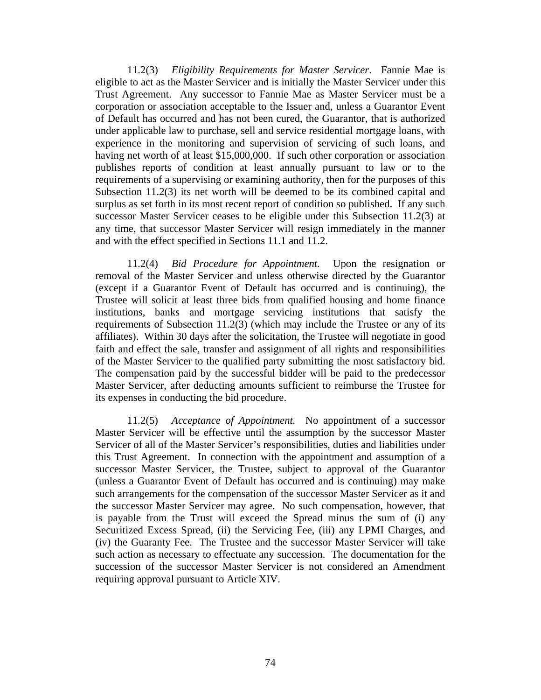11.2(3) *Eligibility Requirements for Master Servicer*. Fannie Mae is eligible to act as the Master Servicer and is initially the Master Servicer under this Trust Agreement. Any successor to Fannie Mae as Master Servicer must be a corporation or association acceptable to the Issuer and, unless a Guarantor Event of Default has occurred and has not been cured, the Guarantor, that is authorized under applicable law to purchase, sell and service residential mortgage loans, with experience in the monitoring and supervision of servicing of such loans, and having net worth of at least \$15,000,000. If such other corporation or association publishes reports of condition at least annually pursuant to law or to the requirements of a supervising or examining authority, then for the purposes of this Subsection 11.2(3) its net worth will be deemed to be its combined capital and surplus as set forth in its most recent report of condition so published. If any such successor Master Servicer ceases to be eligible under this Subsection 11.2(3) at any time, that successor Master Servicer will resign immediately in the manner and with the effect specified in Sections 11.1 and 11.2.

11.2(4) *Bid Procedure for Appointment.* Upon the resignation or removal of the Master Servicer and unless otherwise directed by the Guarantor (except if a Guarantor Event of Default has occurred and is continuing), the Trustee will solicit at least three bids from qualified housing and home finance institutions, banks and mortgage servicing institutions that satisfy the requirements of Subsection 11.2(3) (which may include the Trustee or any of its affiliates). Within 30 days after the solicitation, the Trustee will negotiate in good faith and effect the sale, transfer and assignment of all rights and responsibilities of the Master Servicer to the qualified party submitting the most satisfactory bid. The compensation paid by the successful bidder will be paid to the predecessor Master Servicer, after deducting amounts sufficient to reimburse the Trustee for its expenses in conducting the bid procedure.

11.2(5) *Acceptance of Appointment.* No appointment of a successor Master Servicer will be effective until the assumption by the successor Master Servicer of all of the Master Servicer's responsibilities, duties and liabilities under this Trust Agreement. In connection with the appointment and assumption of a successor Master Servicer, the Trustee, subject to approval of the Guarantor (unless a Guarantor Event of Default has occurred and is continuing) may make such arrangements for the compensation of the successor Master Servicer as it and the successor Master Servicer may agree. No such compensation, however, that is payable from the Trust will exceed the Spread minus the sum of (i) any Securitized Excess Spread, (ii) the Servicing Fee, (iii) any LPMI Charges, and (iv) the Guaranty Fee. The Trustee and the successor Master Servicer will take such action as necessary to effectuate any succession. The documentation for the succession of the successor Master Servicer is not considered an Amendment requiring approval pursuant to Article XIV.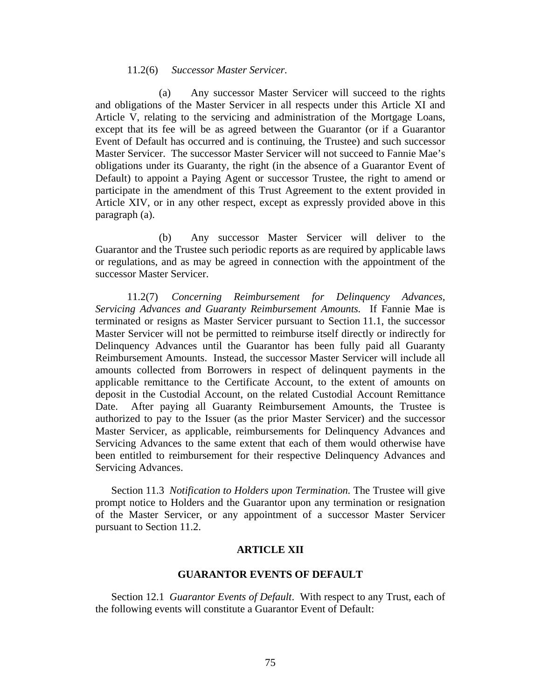# 11.2(6) *Successor Master Servicer.*

(a) Any successor Master Servicer will succeed to the rights and obligations of the Master Servicer in all respects under this Article XI and Article V, relating to the servicing and administration of the Mortgage Loans, except that its fee will be as agreed between the Guarantor (or if a Guarantor Event of Default has occurred and is continuing, the Trustee) and such successor Master Servicer. The successor Master Servicer will not succeed to Fannie Mae's obligations under its Guaranty, the right (in the absence of a Guarantor Event of Default) to appoint a Paying Agent or successor Trustee, the right to amend or participate in the amendment of this Trust Agreement to the extent provided in Article XIV, or in any other respect, except as expressly provided above in this paragraph (a).

(b) Any successor Master Servicer will deliver to the Guarantor and the Trustee such periodic reports as are required by applicable laws or regulations, and as may be agreed in connection with the appointment of the successor Master Servicer.

11.2(7) *Concerning Reimbursement for Delinquency Advances, Servicing Advances and Guaranty Reimbursement Amounts.* If Fannie Mae is terminated or resigns as Master Servicer pursuant to Section 11.1, the successor Master Servicer will not be permitted to reimburse itself directly or indirectly for Delinquency Advances until the Guarantor has been fully paid all Guaranty Reimbursement Amounts. Instead, the successor Master Servicer will include all amounts collected from Borrowers in respect of delinquent payments in the applicable remittance to the Certificate Account, to the extent of amounts on deposit in the Custodial Account, on the related Custodial Account Remittance Date. After paying all Guaranty Reimbursement Amounts, the Trustee is authorized to pay to the Issuer (as the prior Master Servicer) and the successor Master Servicer, as applicable, reimbursements for Delinquency Advances and Servicing Advances to the same extent that each of them would otherwise have been entitled to reimbursement for their respective Delinquency Advances and Servicing Advances.

Section 11.3 *Notification to Holders upon Termination.* The Trustee will give prompt notice to Holders and the Guarantor upon any termination or resignation of the Master Servicer, or any appointment of a successor Master Servicer pursuant to Section 11.2.

# **ARTICLE XII**

## **GUARANTOR EVENTS OF DEFAULT**

Section 12.1 *Guarantor Events of Default*. With respect to any Trust, each of the following events will constitute a Guarantor Event of Default: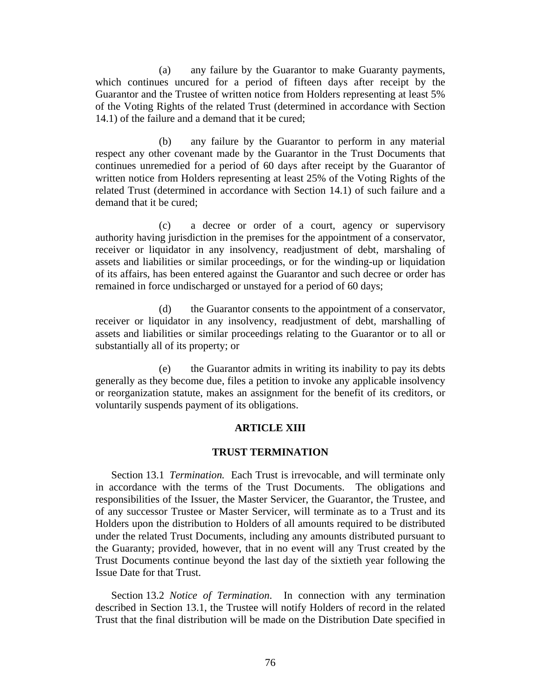(a) any failure by the Guarantor to make Guaranty payments, which continues uncured for a period of fifteen days after receipt by the Guarantor and the Trustee of written notice from Holders representing at least 5% of the Voting Rights of the related Trust (determined in accordance with Section 14.1) of the failure and a demand that it be cured;

(b) any failure by the Guarantor to perform in any material respect any other covenant made by the Guarantor in the Trust Documents that continues unremedied for a period of 60 days after receipt by the Guarantor of written notice from Holders representing at least 25% of the Voting Rights of the related Trust (determined in accordance with Section 14.1) of such failure and a demand that it be cured;

(c) a decree or order of a court, agency or supervisory authority having jurisdiction in the premises for the appointment of a conservator, receiver or liquidator in any insolvency, readjustment of debt, marshaling of assets and liabilities or similar proceedings, or for the winding-up or liquidation of its affairs, has been entered against the Guarantor and such decree or order has remained in force undischarged or unstayed for a period of 60 days;

(d) the Guarantor consents to the appointment of a conservator, receiver or liquidator in any insolvency, readjustment of debt, marshalling of assets and liabilities or similar proceedings relating to the Guarantor or to all or substantially all of its property; or

(e) the Guarantor admits in writing its inability to pay its debts generally as they become due, files a petition to invoke any applicable insolvency or reorganization statute, makes an assignment for the benefit of its creditors, or voluntarily suspends payment of its obligations.

# **ARTICLE XIII**

# **TRUST TERMINATION**

Section 13.1 *Termination.* Each Trust is irrevocable, and will terminate only in accordance with the terms of the Trust Documents. The obligations and responsibilities of the Issuer, the Master Servicer, the Guarantor, the Trustee, and of any successor Trustee or Master Servicer, will terminate as to a Trust and its Holders upon the distribution to Holders of all amounts required to be distributed under the related Trust Documents, including any amounts distributed pursuant to the Guaranty; provided, however, that in no event will any Trust created by the Trust Documents continue beyond the last day of the sixtieth year following the Issue Date for that Trust.

Section 13.2 *Notice of Termination*. In connection with any termination described in Section 13.1, the Trustee will notify Holders of record in the related Trust that the final distribution will be made on the Distribution Date specified in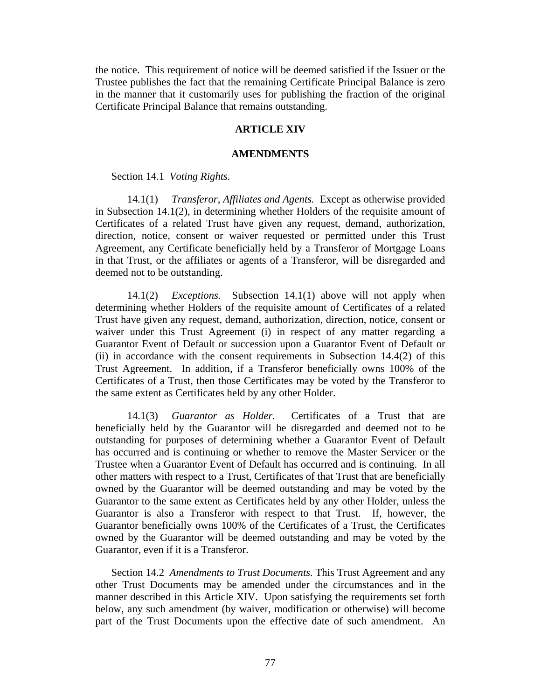the notice. This requirement of notice will be deemed satisfied if the Issuer or the Trustee publishes the fact that the remaining Certificate Principal Balance is zero in the manner that it customarily uses for publishing the fraction of the original Certificate Principal Balance that remains outstanding.

# **ARTICLE XIV**

#### **AMENDMENTS**

# Section 14.1 *Voting Rights.*

14.1(1) *Transferor, Affiliates and Agents.* Except as otherwise provided in Subsection 14.1(2), in determining whether Holders of the requisite amount of Certificates of a related Trust have given any request, demand, authorization, direction, notice, consent or waiver requested or permitted under this Trust Agreement, any Certificate beneficially held by a Transferor of Mortgage Loans in that Trust, or the affiliates or agents of a Transferor, will be disregarded and deemed not to be outstanding.

14.1(2) *Exceptions.* Subsection 14.1(1) above will not apply when determining whether Holders of the requisite amount of Certificates of a related Trust have given any request, demand, authorization, direction, notice, consent or waiver under this Trust Agreement (i) in respect of any matter regarding a Guarantor Event of Default or succession upon a Guarantor Event of Default or (ii) in accordance with the consent requirements in Subsection 14.4(2) of this Trust Agreement. In addition, if a Transferor beneficially owns 100% of the Certificates of a Trust, then those Certificates may be voted by the Transferor to the same extent as Certificates held by any other Holder.

14.1(3) *Guarantor as Holder.* Certificates of a Trust that are beneficially held by the Guarantor will be disregarded and deemed not to be outstanding for purposes of determining whether a Guarantor Event of Default has occurred and is continuing or whether to remove the Master Servicer or the Trustee when a Guarantor Event of Default has occurred and is continuing. In all other matters with respect to a Trust, Certificates of that Trust that are beneficially owned by the Guarantor will be deemed outstanding and may be voted by the Guarantor to the same extent as Certificates held by any other Holder, unless the Guarantor is also a Transferor with respect to that Trust. If, however, the Guarantor beneficially owns 100% of the Certificates of a Trust, the Certificates owned by the Guarantor will be deemed outstanding and may be voted by the Guarantor, even if it is a Transferor.

Section 14.2 *Amendments to Trust Documents.* This Trust Agreement and any other Trust Documents may be amended under the circumstances and in the manner described in this Article XIV. Upon satisfying the requirements set forth below, any such amendment (by waiver, modification or otherwise) will become part of the Trust Documents upon the effective date of such amendment. An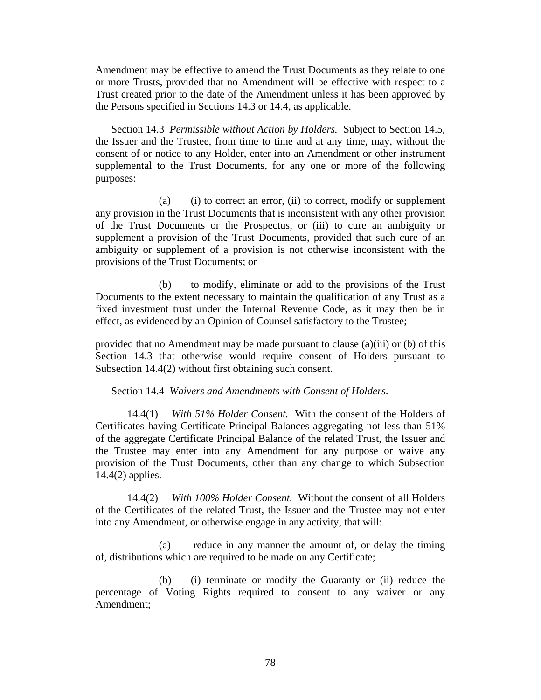Amendment may be effective to amend the Trust Documents as they relate to one or more Trusts, provided that no Amendment will be effective with respect to a Trust created prior to the date of the Amendment unless it has been approved by the Persons specified in Sections 14.3 or 14.4, as applicable.

Section 14.3 *Permissible without Action by Holders.* Subject to Section 14.5, the Issuer and the Trustee, from time to time and at any time, may, without the consent of or notice to any Holder, enter into an Amendment or other instrument supplemental to the Trust Documents, for any one or more of the following purposes:

(a) (i) to correct an error, (ii) to correct, modify or supplement any provision in the Trust Documents that is inconsistent with any other provision of the Trust Documents or the Prospectus, or (iii) to cure an ambiguity or supplement a provision of the Trust Documents, provided that such cure of an ambiguity or supplement of a provision is not otherwise inconsistent with the provisions of the Trust Documents; or

(b) to modify, eliminate or add to the provisions of the Trust Documents to the extent necessary to maintain the qualification of any Trust as a fixed investment trust under the Internal Revenue Code, as it may then be in effect, as evidenced by an Opinion of Counsel satisfactory to the Trustee;

provided that no Amendment may be made pursuant to clause (a)(iii) or (b) of this Section 14.3 that otherwise would require consent of Holders pursuant to Subsection 14.4(2) without first obtaining such consent.

# Section 14.4 *Waivers and Amendments with Consent of Holders*.

14.4(1) *With 51% Holder Consent.* With the consent of the Holders of Certificates having Certificate Principal Balances aggregating not less than 51% of the aggregate Certificate Principal Balance of the related Trust, the Issuer and the Trustee may enter into any Amendment for any purpose or waive any provision of the Trust Documents, other than any change to which Subsection 14.4(2) applies.

14.4(2) *With 100% Holder Consent.* Without the consent of all Holders of the Certificates of the related Trust, the Issuer and the Trustee may not enter into any Amendment, or otherwise engage in any activity, that will:

(a) reduce in any manner the amount of, or delay the timing of, distributions which are required to be made on any Certificate;

(b) (i) terminate or modify the Guaranty or (ii) reduce the percentage of Voting Rights required to consent to any waiver or any Amendment;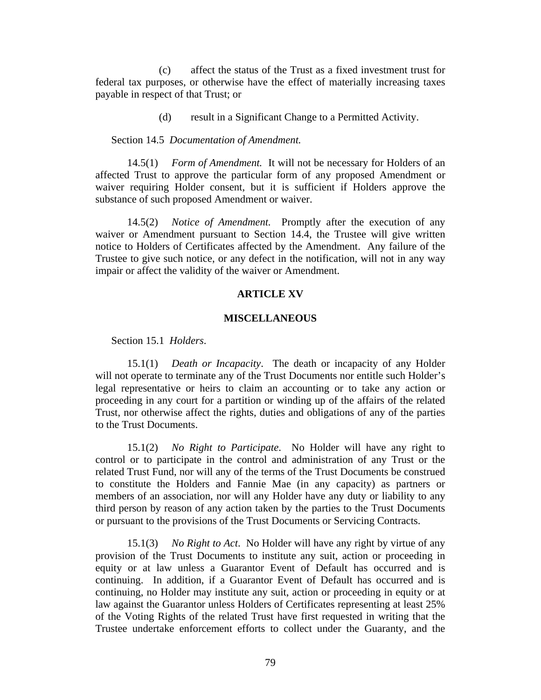(c) affect the status of the Trust as a fixed investment trust for federal tax purposes, or otherwise have the effect of materially increasing taxes payable in respect of that Trust; or

(d) result in a Significant Change to a Permitted Activity.

Section 14.5 *Documentation of Amendment.*

14.5(1) *Form of Amendment.* It will not be necessary for Holders of an affected Trust to approve the particular form of any proposed Amendment or waiver requiring Holder consent, but it is sufficient if Holders approve the substance of such proposed Amendment or waiver.

14.5(2) *Notice of Amendment.* Promptly after the execution of any waiver or Amendment pursuant to Section 14.4, the Trustee will give written notice to Holders of Certificates affected by the Amendment. Any failure of the Trustee to give such notice, or any defect in the notification, will not in any way impair or affect the validity of the waiver or Amendment.

## **ARTICLE XV**

#### **MISCELLANEOUS**

Section 15.1 *Holders*.

15.1(1) *Death or Incapacity*. The death or incapacity of any Holder will not operate to terminate any of the Trust Documents nor entitle such Holder's legal representative or heirs to claim an accounting or to take any action or proceeding in any court for a partition or winding up of the affairs of the related Trust, nor otherwise affect the rights, duties and obligations of any of the parties to the Trust Documents.

15.1(2) *No Right to Participate*. No Holder will have any right to control or to participate in the control and administration of any Trust or the related Trust Fund, nor will any of the terms of the Trust Documents be construed to constitute the Holders and Fannie Mae (in any capacity) as partners or members of an association, nor will any Holder have any duty or liability to any third person by reason of any action taken by the parties to the Trust Documents or pursuant to the provisions of the Trust Documents or Servicing Contracts.

15.1(3) *No Right to Act*. No Holder will have any right by virtue of any provision of the Trust Documents to institute any suit, action or proceeding in equity or at law unless a Guarantor Event of Default has occurred and is continuing. In addition, if a Guarantor Event of Default has occurred and is continuing, no Holder may institute any suit, action or proceeding in equity or at law against the Guarantor unless Holders of Certificates representing at least 25% of the Voting Rights of the related Trust have first requested in writing that the Trustee undertake enforcement efforts to collect under the Guaranty, and the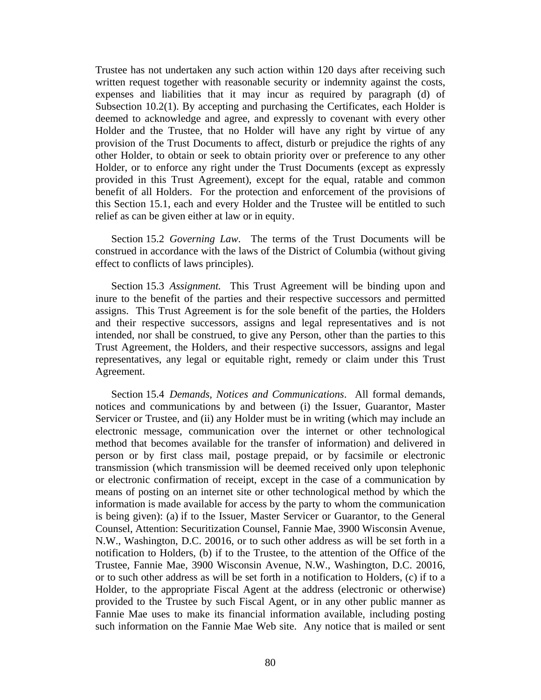Trustee has not undertaken any such action within 120 days after receiving such written request together with reasonable security or indemnity against the costs, expenses and liabilities that it may incur as required by paragraph (d) of Subsection 10.2(1). By accepting and purchasing the Certificates, each Holder is deemed to acknowledge and agree, and expressly to covenant with every other Holder and the Trustee, that no Holder will have any right by virtue of any provision of the Trust Documents to affect, disturb or prejudice the rights of any other Holder, to obtain or seek to obtain priority over or preference to any other Holder, or to enforce any right under the Trust Documents (except as expressly provided in this Trust Agreement), except for the equal, ratable and common benefit of all Holders. For the protection and enforcement of the provisions of this Section 15.1, each and every Holder and the Trustee will be entitled to such relief as can be given either at law or in equity.

Section 15.2 *Governing Law*. The terms of the Trust Documents will be construed in accordance with the laws of the District of Columbia (without giving effect to conflicts of laws principles).

Section 15.3 *Assignment.* This Trust Agreement will be binding upon and inure to the benefit of the parties and their respective successors and permitted assigns. This Trust Agreement is for the sole benefit of the parties, the Holders and their respective successors, assigns and legal representatives and is not intended, nor shall be construed, to give any Person, other than the parties to this Trust Agreement, the Holders, and their respective successors, assigns and legal representatives, any legal or equitable right, remedy or claim under this Trust Agreement.

Section 15.4 *Demands, Notices and Communications*. All formal demands, notices and communications by and between (i) the Issuer, Guarantor, Master Servicer or Trustee, and (ii) any Holder must be in writing (which may include an electronic message, communication over the internet or other technological method that becomes available for the transfer of information) and delivered in person or by first class mail, postage prepaid, or by facsimile or electronic transmission (which transmission will be deemed received only upon telephonic or electronic confirmation of receipt, except in the case of a communication by means of posting on an internet site or other technological method by which the information is made available for access by the party to whom the communication is being given): (a) if to the Issuer, Master Servicer or Guarantor, to the General Counsel, Attention: Securitization Counsel, Fannie Mae, 3900 Wisconsin Avenue, N.W., Washington, D.C. 20016, or to such other address as will be set forth in a notification to Holders, (b) if to the Trustee, to the attention of the Office of the Trustee, Fannie Mae, 3900 Wisconsin Avenue, N.W., Washington, D.C. 20016, or to such other address as will be set forth in a notification to Holders, (c) if to a Holder, to the appropriate Fiscal Agent at the address (electronic or otherwise) provided to the Trustee by such Fiscal Agent, or in any other public manner as Fannie Mae uses to make its financial information available, including posting such information on the Fannie Mae Web site. Any notice that is mailed or sent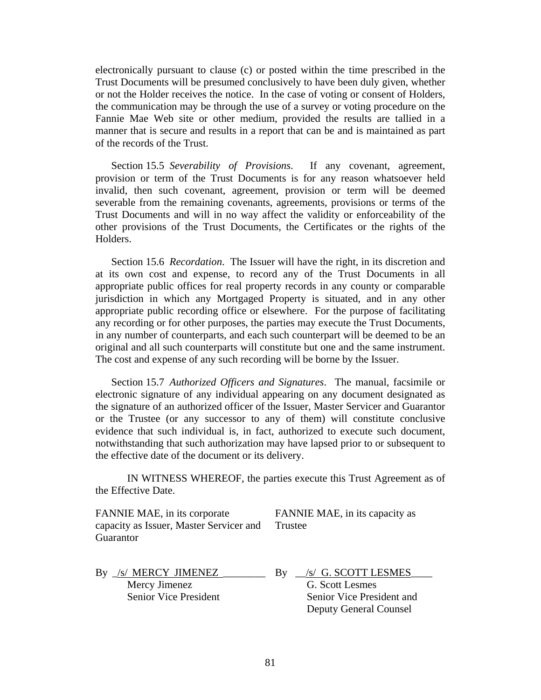electronically pursuant to clause (c) or posted within the time prescribed in the Trust Documents will be presumed conclusively to have been duly given, whether or not the Holder receives the notice. In the case of voting or consent of Holders, the communication may be through the use of a survey or voting procedure on the Fannie Mae Web site or other medium, provided the results are tallied in a manner that is secure and results in a report that can be and is maintained as part of the records of the Trust.

Section 15.5 *Severability of Provisions*.If any covenant, agreement, provision or term of the Trust Documents is for any reason whatsoever held invalid, then such covenant, agreement, provision or term will be deemed severable from the remaining covenants, agreements, provisions or terms of the Trust Documents and will in no way affect the validity or enforceability of the other provisions of the Trust Documents, the Certificates or the rights of the Holders.

Section 15.6 *Recordation*. The Issuer will have the right, in its discretion and at its own cost and expense, to record any of the Trust Documents in all appropriate public offices for real property records in any county or comparable jurisdiction in which any Mortgaged Property is situated, and in any other appropriate public recording office or elsewhere. For the purpose of facilitating any recording or for other purposes, the parties may execute the Trust Documents, in any number of counterparts, and each such counterpart will be deemed to be an original and all such counterparts will constitute but one and the same instrument. The cost and expense of any such recording will be borne by the Issuer.

Section 15.7 *Authorized Officers and Signatures*. The manual, facsimile or electronic signature of any individual appearing on any document designated as the signature of an authorized officer of the Issuer, Master Servicer and Guarantor or the Trustee (or any successor to any of them) will constitute conclusive evidence that such individual is, in fact, authorized to execute such document, notwithstanding that such authorization may have lapsed prior to or subsequent to the effective date of the document or its delivery.

IN WITNESS WHEREOF, the parties execute this Trust Agreement as of the Effective Date.

| FANNIE MAE, in its corporate            | FANNIE MAE, in its capacity as |
|-----------------------------------------|--------------------------------|
| capacity as Issuer, Master Servicer and | Trustee                        |
| Guarantor                               |                                |

By  $\sqrt{s}$  MERCY JIMENEZ Mercy Jimenez Senior Vice President By \_\_/s/ G. SCOTT LESMES\_\_\_\_

 G. Scott Lesmes Senior Vice President and Deputy General Counsel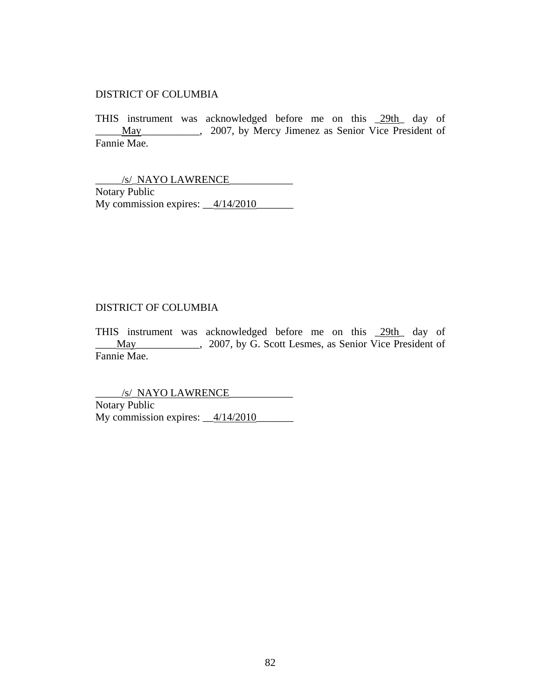# DISTRICT OF COLUMBIA

THIS instrument was acknowledged before me on this \_29th\_ day of May\_\_\_\_\_\_\_\_\_, 2007, by Mercy Jimenez as Senior Vice President of Fannie Mae.

\_\_\_\_\_/s/\_NAYO LAWRENCE\_\_\_\_\_\_\_\_\_\_\_\_ Notary Public My commission expires:  $\_\frac{4}{14/2010}$ 

# DISTRICT OF COLUMBIA

THIS instrument was acknowledged before me on this \_29th\_ day of \_\_\_\_May\_\_\_\_\_\_\_\_\_\_\_\_, 2007, by G. Scott Lesmes, as Senior Vice President of Fannie Mae.

\_\_\_\_\_/s/\_NAYO LAWRENCE\_\_\_\_\_\_\_\_\_\_\_\_ Notary Public My commission expires:  $\frac{4/14/2010}{4/14}$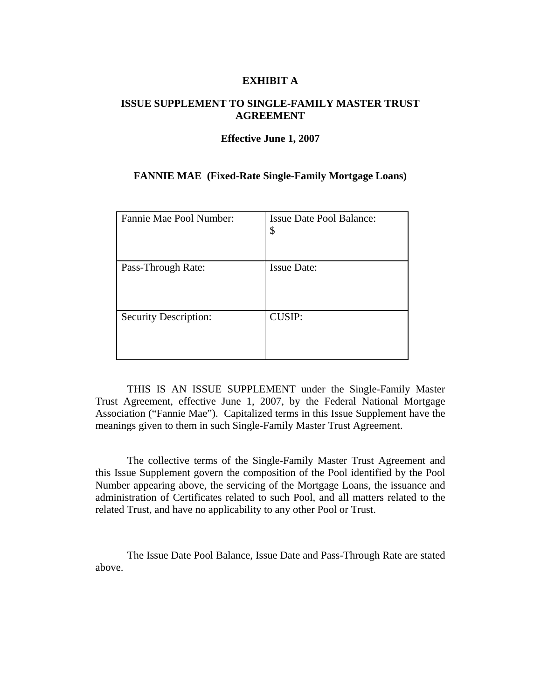# **EXHIBIT A**

# **ISSUE SUPPLEMENT TO SINGLE-FAMILY MASTER TRUST AGREEMENT**

#### **Effective June 1, 2007**

# **FANNIE MAE (Fixed-Rate Single-Family Mortgage Loans)**

| Fannie Mae Pool Number:      | <b>Issue Date Pool Balance:</b><br>\$ |
|------------------------------|---------------------------------------|
| Pass-Through Rate:           | <b>Issue Date:</b>                    |
| <b>Security Description:</b> | <b>CUSIP:</b>                         |

THIS IS AN ISSUE SUPPLEMENT under the Single-Family Master Trust Agreement, effective June 1, 2007, by the Federal National Mortgage Association ("Fannie Mae"). Capitalized terms in this Issue Supplement have the meanings given to them in such Single-Family Master Trust Agreement.

The collective terms of the Single-Family Master Trust Agreement and this Issue Supplement govern the composition of the Pool identified by the Pool Number appearing above, the servicing of the Mortgage Loans, the issuance and administration of Certificates related to such Pool, and all matters related to the related Trust, and have no applicability to any other Pool or Trust.

The Issue Date Pool Balance, Issue Date and Pass-Through Rate are stated above.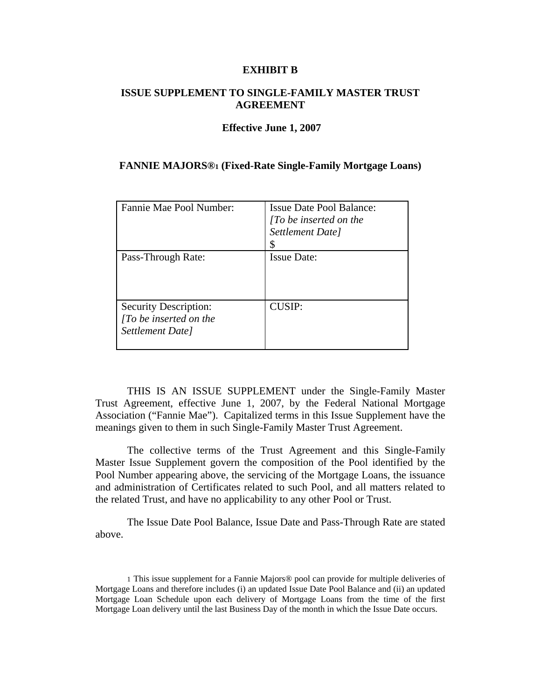## **EXHIBIT B**

# **ISSUE SUPPLEMENT TO SINGLE-FAMILY MASTER TRUST AGREEMENT**

## **Effective June 1, 2007**

## **FANNIE MAJORS®1 (Fixed-Rate Single-Family Mortgage Loans)**

| Fannie Mae Pool Number:                                                          | <b>Issue Date Pool Balance:</b><br>$\int To$ be inserted on the<br>Settlement Date] |
|----------------------------------------------------------------------------------|-------------------------------------------------------------------------------------|
| Pass-Through Rate:                                                               | <b>Issue Date:</b>                                                                  |
| <b>Security Description:</b><br>$\int To$ be inserted on the<br>Settlement Date] | CUSIP:                                                                              |

THIS IS AN ISSUE SUPPLEMENT under the Single-Family Master Trust Agreement, effective June 1, 2007, by the Federal National Mortgage Association ("Fannie Mae"). Capitalized terms in this Issue Supplement have the meanings given to them in such Single-Family Master Trust Agreement.

The collective terms of the Trust Agreement and this Single-Family Master Issue Supplement govern the composition of the Pool identified by the Pool Number appearing above, the servicing of the Mortgage Loans, the issuance and administration of Certificates related to such Pool, and all matters related to the related Trust, and have no applicability to any other Pool or Trust.

The Issue Date Pool Balance, Issue Date and Pass-Through Rate are stated above.

<sup>1</sup> This issue supplement for a Fannie Majors® pool can provide for multiple deliveries of Mortgage Loans and therefore includes (i) an updated Issue Date Pool Balance and (ii) an updated Mortgage Loan Schedule upon each delivery of Mortgage Loans from the time of the first Mortgage Loan delivery until the last Business Day of the month in which the Issue Date occurs.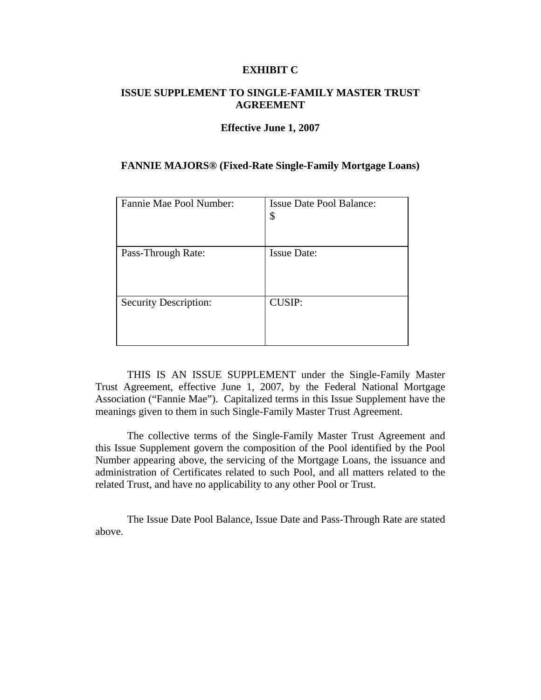## **EXHIBIT C**

# **ISSUE SUPPLEMENT TO SINGLE-FAMILY MASTER TRUST AGREEMENT**

### **Effective June 1, 2007**

## **FANNIE MAJORS® (Fixed-Rate Single-Family Mortgage Loans)**

| Fannie Mae Pool Number:      | <b>Issue Date Pool Balance:</b><br>\$ |
|------------------------------|---------------------------------------|
| Pass-Through Rate:           | <b>Issue Date:</b>                    |
| <b>Security Description:</b> | <b>CUSIP:</b>                         |

THIS IS AN ISSUE SUPPLEMENT under the Single-Family Master Trust Agreement, effective June 1, 2007, by the Federal National Mortgage Association ("Fannie Mae"). Capitalized terms in this Issue Supplement have the meanings given to them in such Single-Family Master Trust Agreement.

The collective terms of the Single-Family Master Trust Agreement and this Issue Supplement govern the composition of the Pool identified by the Pool Number appearing above, the servicing of the Mortgage Loans, the issuance and administration of Certificates related to such Pool, and all matters related to the related Trust, and have no applicability to any other Pool or Trust.

The Issue Date Pool Balance, Issue Date and Pass-Through Rate are stated above.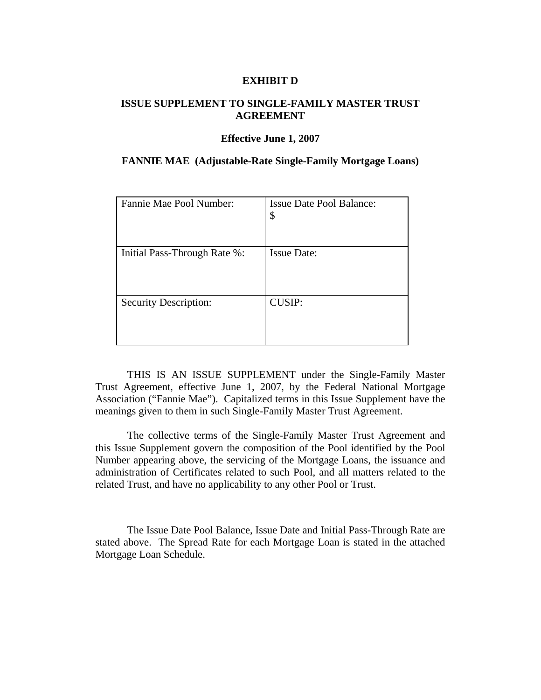## **EXHIBIT D**

# **ISSUE SUPPLEMENT TO SINGLE-FAMILY MASTER TRUST AGREEMENT**

#### **Effective June 1, 2007**

## **FANNIE MAE (Adjustable-Rate Single-Family Mortgage Loans)**

| Fannie Mae Pool Number:      | <b>Issue Date Pool Balance:</b><br>\$ |
|------------------------------|---------------------------------------|
| Initial Pass-Through Rate %: | <b>Issue Date:</b>                    |
| <b>Security Description:</b> | <b>CUSIP:</b>                         |

THIS IS AN ISSUE SUPPLEMENT under the Single-Family Master Trust Agreement, effective June 1, 2007, by the Federal National Mortgage Association ("Fannie Mae"). Capitalized terms in this Issue Supplement have the meanings given to them in such Single-Family Master Trust Agreement.

The collective terms of the Single-Family Master Trust Agreement and this Issue Supplement govern the composition of the Pool identified by the Pool Number appearing above, the servicing of the Mortgage Loans, the issuance and administration of Certificates related to such Pool, and all matters related to the related Trust, and have no applicability to any other Pool or Trust.

The Issue Date Pool Balance, Issue Date and Initial Pass-Through Rate are stated above. The Spread Rate for each Mortgage Loan is stated in the attached Mortgage Loan Schedule.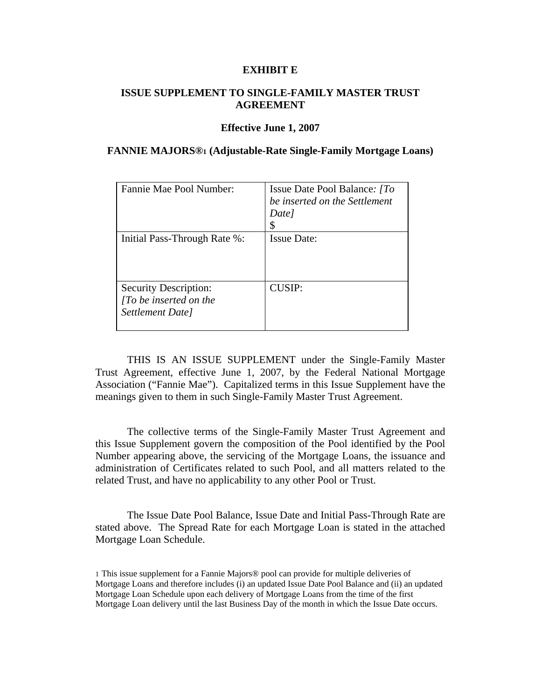## **EXHIBIT E**

# **ISSUE SUPPLEMENT TO SINGLE-FAMILY MASTER TRUST AGREEMENT**

#### **Effective June 1, 2007**

## **FANNIE MAJORS®1 (Adjustable-Rate Single-Family Mortgage Loans)**

| Fannie Mae Pool Number:                                                          | Issue Date Pool Balance: [To<br>be inserted on the Settlement<br>Date |
|----------------------------------------------------------------------------------|-----------------------------------------------------------------------|
| Initial Pass-Through Rate %:                                                     | <b>Issue Date:</b>                                                    |
| <b>Security Description:</b><br>$\int$ To be inserted on the<br>Settlement Date] | CUSIP:                                                                |

THIS IS AN ISSUE SUPPLEMENT under the Single-Family Master Trust Agreement, effective June 1, 2007, by the Federal National Mortgage Association ("Fannie Mae"). Capitalized terms in this Issue Supplement have the meanings given to them in such Single-Family Master Trust Agreement.

The collective terms of the Single-Family Master Trust Agreement and this Issue Supplement govern the composition of the Pool identified by the Pool Number appearing above, the servicing of the Mortgage Loans, the issuance and administration of Certificates related to such Pool, and all matters related to the related Trust, and have no applicability to any other Pool or Trust.

The Issue Date Pool Balance, Issue Date and Initial Pass-Through Rate are stated above. The Spread Rate for each Mortgage Loan is stated in the attached Mortgage Loan Schedule.

<sup>1</sup> This issue supplement for a Fannie Majors® pool can provide for multiple deliveries of Mortgage Loans and therefore includes (i) an updated Issue Date Pool Balance and (ii) an updated Mortgage Loan Schedule upon each delivery of Mortgage Loans from the time of the first Mortgage Loan delivery until the last Business Day of the month in which the Issue Date occurs.